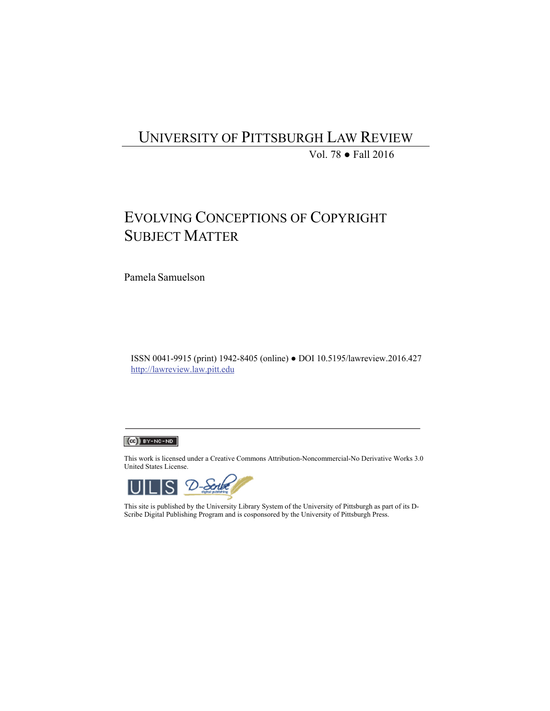## UNIVERSITY OF PITTSBURGH LAW REVIEW

Vol. 78 ● Fall 2016

# EVOLVING CONCEPTIONS OF COPYRIGHT SUBJECT MATTER

Pamela Samuelson

ISSN 0041-9915 (print) 1942-8405 (online) ● DOI 10.5195/lawreview.2016.427 http://lawreview.law.pitt.edu



This work is licensed under a Creative Commons Attribution-Noncommercial-No Derivative Works 3.0 United States License.



This site is published by the University Library System of the University of Pittsburgh as part of its D-Scribe Digital Publishing Program and is cosponsored by the University of Pittsburgh Press.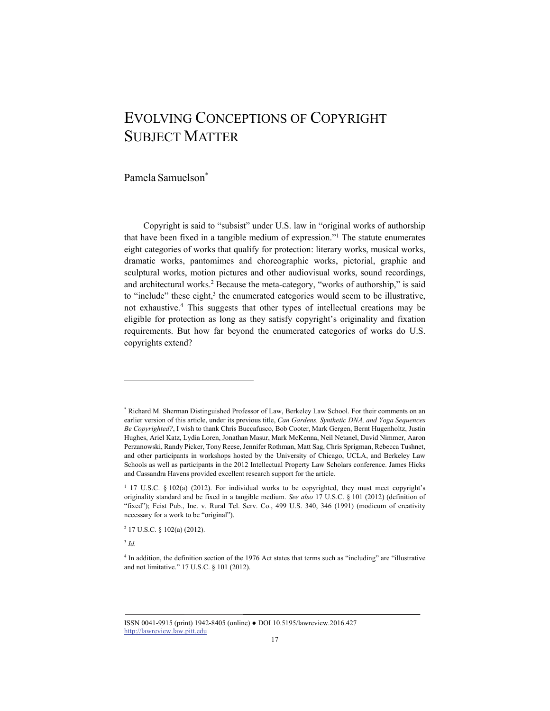## EVOLVING CONCEPTIONS OF COPYRIGHT SUBJECT MATTER

Pamela Samuelson\*

Copyright is said to "subsist" under U.S. law in "original works of authorship that have been fixed in a tangible medium of expression."1 The statute enumerates eight categories of works that qualify for protection: literary works, musical works, dramatic works, pantomimes and choreographic works, pictorial, graphic and sculptural works, motion pictures and other audiovisual works, sound recordings, and architectural works.<sup>2</sup> Because the meta-category, "works of authorship," is said to "include" these eight, $3$  the enumerated categories would seem to be illustrative, not exhaustive.4 This suggests that other types of intellectual creations may be eligible for protection as long as they satisfy copyright's originality and fixation requirements. But how far beyond the enumerated categories of works do U.S. copyrights extend?

<sup>3</sup> *Id.*

<sup>\*</sup> Richard M. Sherman Distinguished Professor of Law, Berkeley Law School. For their comments on an earlier version of this article, under its previous title, *Can Gardens, Synthetic DNA, and Yoga Sequences Be Copyrighted?*, I wish to thank Chris Buccafusco, Bob Cooter, Mark Gergen, Bernt Hugenholtz, Justin Hughes, Ariel Katz, Lydia Loren, Jonathan Masur, Mark McKenna, Neil Netanel, David Nimmer, Aaron Perzanowski, Randy Picker, Tony Reese, Jennifer Rothman, Matt Sag, Chris Sprigman, Rebecca Tushnet, and other participants in workshops hosted by the University of Chicago, UCLA, and Berkeley Law Schools as well as participants in the 2012 Intellectual Property Law Scholars conference. James Hicks and Cassandra Havens provided excellent research support for the article.

<sup>&</sup>lt;sup>1</sup> 17 U.S.C. § 102(a) (2012). For individual works to be copyrighted, they must meet copyright's originality standard and be fixed in a tangible medium. *See also* 17 U.S.C. § 101 (2012) (definition of "fixed"); Feist Pub., Inc. v. Rural Tel. Serv. Co., 499 U.S. 340, 346 (1991) (modicum of creativity necessary for a work to be "original").

 $2$  17 U.S.C. § 102(a) (2012).

<sup>4</sup> In addition, the definition section of the 1976 Act states that terms such as "including" are "illustrative and not limitative." 17 U.S.C. § 101 (2012).

ISSN 0041-9915 (print) 1942-8405 (online) ● DOI 10.5195/lawreview.2016.427 http://lawreview.law.pitt.edu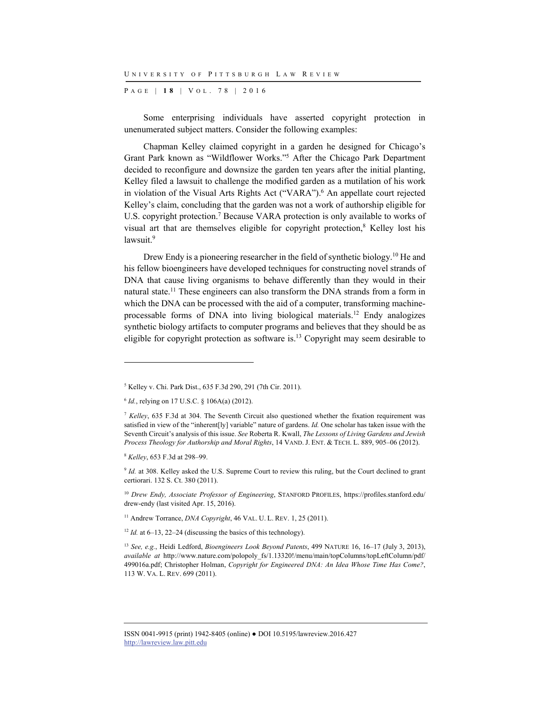P AGE | **1 8** | V O L . 7 8 | 2016

Some enterprising individuals have asserted copyright protection in unenumerated subject matters. Consider the following examples:

Chapman Kelley claimed copyright in a garden he designed for Chicago's Grant Park known as "Wildflower Works."5 After the Chicago Park Department decided to reconfigure and downsize the garden ten years after the initial planting, Kelley filed a lawsuit to challenge the modified garden as a mutilation of his work in violation of the Visual Arts Rights Act ("VARA").<sup>6</sup> An appellate court rejected Kelley's claim, concluding that the garden was not a work of authorship eligible for U.S. copyright protection.<sup>7</sup> Because VARA protection is only available to works of visual art that are themselves eligible for copyright protection,<sup>8</sup> Kelley lost his lawsuit.<sup>9</sup>

Drew Endy is a pioneering researcher in the field of synthetic biology.<sup>10</sup> He and his fellow bioengineers have developed techniques for constructing novel strands of DNA that cause living organisms to behave differently than they would in their natural state.11 These engineers can also transform the DNA strands from a form in which the DNA can be processed with the aid of a computer, transforming machineprocessable forms of DNA into living biological materials.12 Endy analogizes synthetic biology artifacts to computer programs and believes that they should be as eligible for copyright protection as software is.13 Copyright may seem desirable to

l

<sup>5</sup> Kelley v. Chi. Park Dist., 635 F.3d 290, 291 (7th Cir. 2011).

<sup>6</sup> *Id.*, relying on 17 U.S.C. § 106A(a) (2012).

<sup>7</sup> *Kelley*, 635 F.3d at 304. The Seventh Circuit also questioned whether the fixation requirement was satisfied in view of the "inherent[ly] variable" nature of gardens. *Id.* One scholar has taken issue with the Seventh Circuit's analysis of this issue. *See* Roberta R. Kwall, *The Lessons of Living Gardens and Jewish Process Theology for Authorship and Moral Rights*, 14 VAND. J. ENT. & TECH. L. 889, 905–06 (2012).

<sup>8</sup> *Kelley*, 653 F.3d at 298–99.

<sup>&</sup>lt;sup>9</sup> *Id.* at 308. Kelley asked the U.S. Supreme Court to review this ruling, but the Court declined to grant certiorari. 132 S. Ct. 380 (2011).

<sup>10</sup> *Drew Endy, Associate Professor of Engineering*, STANFORD PROFILES, https://profiles.stanford.edu/ drew-endy (last visited Apr. 15, 2016).

<sup>&</sup>lt;sup>11</sup> Andrew Torrance, *DNA Copyright*, 46 VAL. U. L. REV. 1, 25 (2011).

<sup>&</sup>lt;sup>12</sup> *Id.* at 6–13, 22–24 (discussing the basics of this technology).

<sup>13</sup> *See, e.g.*, Heidi Ledford, *Bioengineers Look Beyond Patents*, 499 NATURE 16, 16–17 (July 3, 2013), *available at* http://www.nature.com/polopoly\_fs/1.13320!/menu/main/topColumns/topLeftColumn/pdf/ 499016a.pdf; Christopher Holman, *Copyright for Engineered DNA: An Idea Whose Time Has Come?*, 113 W. VA. L. REV. 699 (2011).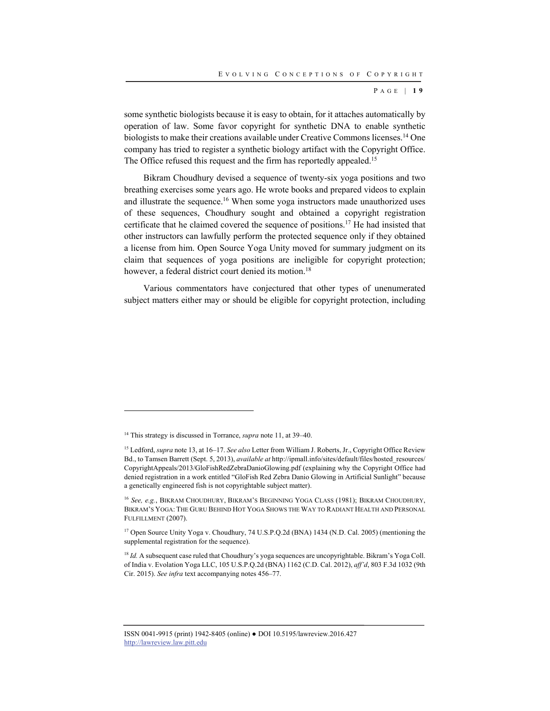P AGE | **1 9**

some synthetic biologists because it is easy to obtain, for it attaches automatically by operation of law. Some favor copyright for synthetic DNA to enable synthetic biologists to make their creations available under Creative Commons licenses.<sup>14</sup> One company has tried to register a synthetic biology artifact with the Copyright Office. The Office refused this request and the firm has reportedly appealed.<sup>15</sup>

Bikram Choudhury devised a sequence of twenty-six yoga positions and two breathing exercises some years ago. He wrote books and prepared videos to explain and illustrate the sequence.16 When some yoga instructors made unauthorized uses of these sequences, Choudhury sought and obtained a copyright registration certificate that he claimed covered the sequence of positions.17 He had insisted that other instructors can lawfully perform the protected sequence only if they obtained a license from him. Open Source Yoga Unity moved for summary judgment on its claim that sequences of yoga positions are ineligible for copyright protection; however, a federal district court denied its motion.<sup>18</sup>

Various commentators have conjectured that other types of unenumerated subject matters either may or should be eligible for copyright protection, including

<sup>14</sup> This strategy is discussed in Torrance, *supra* note 11, at 39–40.

<sup>15</sup> Ledford, *supra* note 13, at 16–17. *See also* Letter from William J. Roberts, Jr., Copyright Office Review Bd., to Tamsen Barrett (Sept. 5, 2013), *available at* http://ipmall.info/sites/default/files/hosted\_resources/ CopyrightAppeals/2013/GloFishRedZebraDanioGlowing.pdf (explaining why the Copyright Office had denied registration in a work entitled "GloFish Red Zebra Danio Glowing in Artificial Sunlight" because a genetically engineered fish is not copyrightable subject matter).

<sup>16</sup> *See, e.g.*, BIKRAM CHOUDHURY, BIKRAM'S BEGINNING YOGA CLASS (1981); BIKRAM CHOUDHURY, BIKRAM'S YOGA: THE GURU BEHIND HOT YOGA SHOWS THE WAY TO RADIANT HEALTH AND PERSONAL FULFILLMENT (2007).

<sup>&</sup>lt;sup>17</sup> Open Source Unity Yoga v. Choudhury, 74 U.S.P.Q.2d (BNA) 1434 (N.D. Cal. 2005) (mentioning the supplemental registration for the sequence).

<sup>&</sup>lt;sup>18</sup> *Id.* A subsequent case ruled that Choudhury's yoga sequences are uncopyrightable. Bikram's Yoga Coll. of India v. Evolation Yoga LLC, 105 U.S.P.Q.2d (BNA) 1162 (C.D. Cal. 2012), *aff'd*, 803 F.3d 1032 (9th Cir. 2015). *See infra* text accompanying notes 456–77.

ISSN 0041-9915 (print) 1942-8405 (online) ● DOI 10.5195/lawreview.2016.427 http://lawreview.law.pitt.edu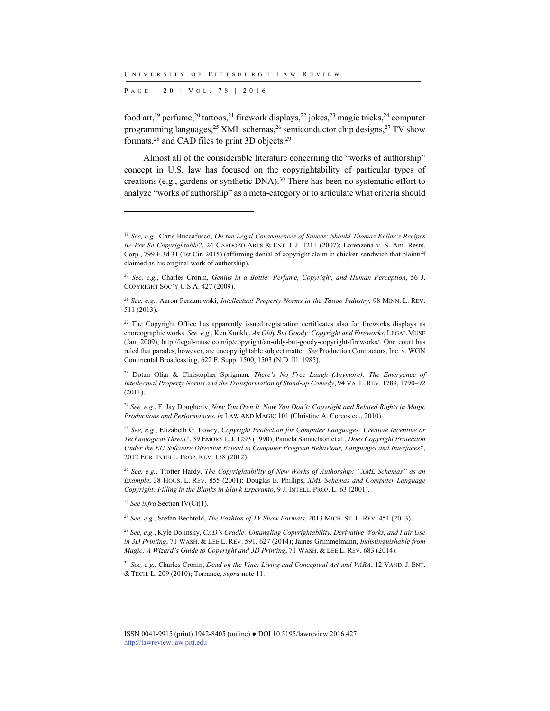P AGE | **2 0** | V O L . 7 8 | 2016

l

food art,<sup>19</sup> perfume,<sup>20</sup> tattoos,<sup>21</sup> firework displays,<sup>22</sup> jokes,<sup>23</sup> magic tricks,<sup>24</sup> computer programming languages,<sup>25</sup> XML schemas,<sup>26</sup> semiconductor chip designs,<sup>27</sup> TV show formats,28 and CAD files to print 3D objects.29

Almost all of the considerable literature concerning the "works of authorship" concept in U.S. law has focused on the copyrightability of particular types of creations (e.g., gardens or synthetic DNA).<sup>30</sup> There has been no systematic effort to analyze "works of authorship" as a meta-category or to articulate what criteria should

<sup>27</sup> *See infra* Section IV(C)(1).

<sup>28</sup> *See, e.g.*, Stefan Bechtold, *The Fashion of TV Show Formats*, 2013 MICH. ST. L. REV. 451 (2013).

<sup>29</sup> *See, e.g.*, Kyle Dolinsky, *CAD's Cradle: Untangling Copyrightability, Derivative Works, and Fair Use in 3D Printing*, 71 WASH. & LEE L. REV. 591, 627 (2014); James Grimmelmann, *Indistinguishable from Magic: A Wizard's Guide to Copyright and 3D Printing*, 71 WASH. & LEE L. REV. 683 (2014).

<sup>30</sup> *See, e.g.*, Charles Cronin, *Dead on the Vine: Living and Conceptual Art and VARA*, 12 VAND. J. ENT. & TECH. L. 209 (2010); Torrance, *supra* note 11.

<sup>19</sup> *See, e.g.*, Chris Buccafusco, *On the Legal Consequences of Sauces: Should Thomas Keller's Recipes Be Per Se Copyrightable?*, 24 CARDOZO ARTS & ENT. L.J. 1211 (2007); Lorenzana v. S. Am. Rests. Corp., 799 F.3d 31 (1st Cir. 2015) (affirming denial of copyright claim in chicken sandwich that plaintiff claimed as his original work of authorship).

<sup>20</sup> *See, e.g.*, Charles Cronin, *Genius in a Bottle: Perfume, Copyright, and Human Perception*, 56 J. COPYRIGHT SOC'Y U.S.A. 427 (2009).

<sup>21</sup> *See, e.g.*, Aaron Perzanowski, *Intellectual Property Norms in the Tattoo Industry*, 98 MINN. L. REV. 511 (2013).

<sup>&</sup>lt;sup>22</sup> The Copyright Office has apparently issued registration certificates also for fireworks displays as choreographic works. *See, e.g.*, Ken Kunkle, *An Oldy But Goody: Copyright and Fireworks*, LEGAL MUSE (Jan. 2009), http://legal-muse.com/ip/copyright/an-oldy-but-goody-copyright-fireworks/. One court has ruled that parades, however, are uncopyrightable subject matter. *See* Production Contractors, Inc. v. WGN Continental Broadcasting, 622 F. Supp. 1500, 1503 (N.D. Ill. 1985).

<sup>23</sup> Dotan Oliar & Christopher Sprigman, *There's No Free Laugh (Anymore): The Emergence of Intellectual Property Norms and the Transformation of Stand-up Comedy*, 94 VA. L. REV. 1789, 1790–92 (2011).

<sup>24</sup> *See, e.g.*, F. Jay Dougherty, *Now You Own It, Now You Don't: Copyright and Related Rights in Magic Productions and Performances*, *in* LAW AND MAGIC 101 (Christine A. Corcos ed., 2010).

<sup>25</sup> *See, e.g.*, Elizabeth G. Lowry, *Copyright Protection for Computer Languages: Creative Incentive or Technological Threat?*, 39 EMORY L.J. 1293 (1990); Pamela Samuelson et al., *Does Copyright Protection Under the EU Software Directive Extend to Computer Program Behaviour, Languages and Interfaces?*, 2012 EUR. INTELL. PROP. REV. 158 (2012).

<sup>26</sup> *See, e.g.*, Trotter Hardy, *The Copyrightability of New Works of Authorship: "XML Schemas" as an Example*, 38 HOUS. L. REV. 855 (2001); Douglas E. Phillips, *XML Schemas and Computer Language Copyright: Filling in the Blanks in Blank Esperanto*, 9 J. INTELL. PROP. L. 63 (2001).

ISSN 0041-9915 (print) 1942-8405 (online) ● DOI 10.5195/lawreview.2016.427 http://lawreview.law.pitt.edu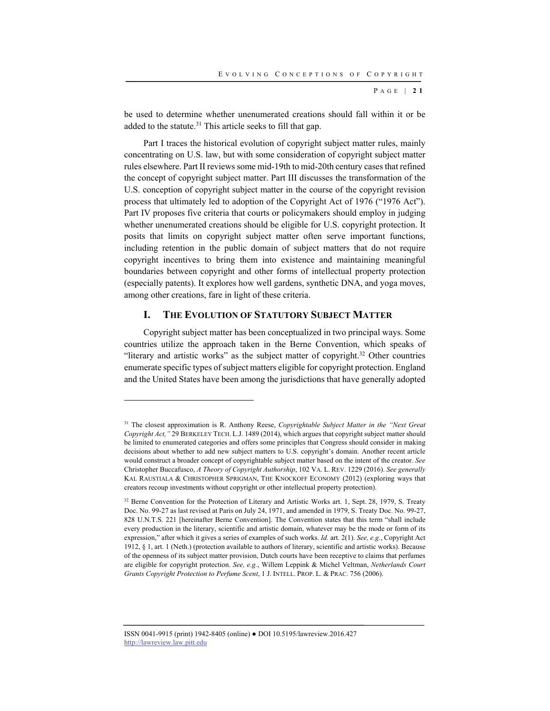P AGE | **2 1**

be used to determine whether unenumerated creations should fall within it or be added to the statute.<sup>31</sup> This article seeks to fill that gap.

Part I traces the historical evolution of copyright subject matter rules, mainly concentrating on U.S. law, but with some consideration of copyright subject matter rules elsewhere. Part II reviews some mid-19th to mid-20th century cases that refined the concept of copyright subject matter. Part III discusses the transformation of the U.S. conception of copyright subject matter in the course of the copyright revision process that ultimately led to adoption of the Copyright Act of 1976 ("1976 Act"). Part IV proposes five criteria that courts or policymakers should employ in judging whether unenumerated creations should be eligible for U.S. copyright protection. It posits that limits on copyright subject matter often serve important functions, including retention in the public domain of subject matters that do not require copyright incentives to bring them into existence and maintaining meaningful boundaries between copyright and other forms of intellectual property protection (especially patents). It explores how well gardens, synthetic DNA, and yoga moves, among other creations, fare in light of these criteria.

#### **I. THE EVOLUTION OF STATUTORY SUBJECT MATTER**

Copyright subject matter has been conceptualized in two principal ways. Some countries utilize the approach taken in the Berne Convention, which speaks of "literary and artistic works" as the subject matter of copyright.<sup>32</sup> Other countries enumerate specific types of subject matters eligible for copyright protection. England and the United States have been among the jurisdictions that have generally adopted

l

<sup>31</sup> The closest approximation is R. Anthony Reese, *Copyrightable Subject Matter in the "Next Great Copyright Act,"* 29 BERKELEY TECH. L.J. 1489 (2014), which argues that copyright subject matter should be limited to enumerated categories and offers some principles that Congress should consider in making decisions about whether to add new subject matters to U.S. copyright's domain. Another recent article would construct a broader concept of copyrightable subject matter based on the intent of the creator. *See* Christopher Buccafusco, *A Theory of Copyright Authorship*, 102 VA. L. REV. 1229 (2016). *See generally* KAL RAUSTIALA & CHRISTOPHER SPRIGMAN, THE KNOCKOFF ECONOMY (2012) (exploring ways that creators recoup investments without copyright or other intellectual property protection).

<sup>&</sup>lt;sup>32</sup> Berne Convention for the Protection of Literary and Artistic Works art. 1, Sept. 28, 1979, S. Treaty Doc. No. 99-27 as last revised at Paris on July 24, 1971, and amended in 1979, S. Treaty Doc. No. 99-27, 828 U.N.T.S. 221 [hereinafter Berne Convention]. The Convention states that this term "shall include every production in the literary, scientific and artistic domain, whatever may be the mode or form of its expression," after which it gives a series of examples of such works. *Id.* art. 2(1). *See, e.g.*, Copyright Act 1912, § 1, art. 1 (Neth.) (protection available to authors of literary, scientific and artistic works). Because of the openness of its subject matter provision, Dutch courts have been receptive to claims that perfumes are eligible for copyright protection. *See, e.g.*, Willem Leppink & Michel Veltman, *Netherlands Court Grants Copyright Protection to Perfume Scent*, 1 J. INTELL. PROP. L. & PRAC. 756 (2006).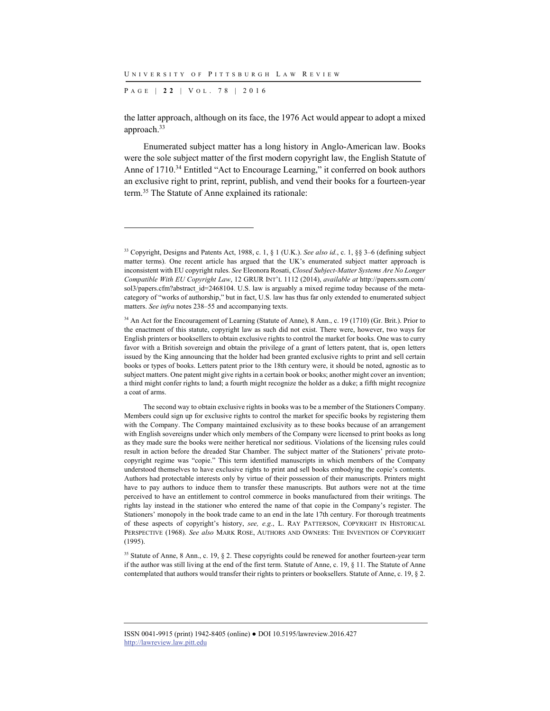P AGE | **2 2** | V O L . 7 8 | 2016

l

the latter approach, although on its face, the 1976 Act would appear to adopt a mixed approach.33

Enumerated subject matter has a long history in Anglo-American law. Books were the sole subject matter of the first modern copyright law, the English Statute of Anne of 1710.<sup>34</sup> Entitled "Act to Encourage Learning," it conferred on book authors an exclusive right to print, reprint, publish, and vend their books for a fourteen-year term.35 The Statute of Anne explained its rationale:

<sup>33</sup> Copyright, Designs and Patents Act, 1988, c. 1, § 1 (U.K.). *See also id.*, c. 1, §§ 3–6 (defining subject matter terms). One recent article has argued that the UK's enumerated subject matter approach is inconsistent with EU copyright rules. *See* Eleonora Rosati, *Closed Subject-Matter Systems Are No Longer Compatible With EU Copyright Law*, 12 GRUR INT'L 1112 (2014), *available at* http://papers.ssrn.com/ sol3/papers.cfm?abstract\_id=2468104. U.S. law is arguably a mixed regime today because of the metacategory of "works of authorship," but in fact, U.S. law has thus far only extended to enumerated subject matters. *See infra* notes 238–55 and accompanying texts.

<sup>&</sup>lt;sup>34</sup> An Act for the Encouragement of Learning (Statute of Anne), 8 Ann., c. 19 (1710) (Gr. Brit.). Prior to the enactment of this statute, copyright law as such did not exist. There were, however, two ways for English printers or booksellers to obtain exclusive rights to control the market for books. One was to curry favor with a British sovereign and obtain the privilege of a grant of letters patent, that is, open letters issued by the King announcing that the holder had been granted exclusive rights to print and sell certain books or types of books. Letters patent prior to the 18th century were, it should be noted, agnostic as to subject matters. One patent might give rights in a certain book or books; another might cover an invention; a third might confer rights to land; a fourth might recognize the holder as a duke; a fifth might recognize a coat of arms.

The second way to obtain exclusive rights in books was to be a member of the Stationers Company. Members could sign up for exclusive rights to control the market for specific books by registering them with the Company. The Company maintained exclusivity as to these books because of an arrangement with English sovereigns under which only members of the Company were licensed to print books as long as they made sure the books were neither heretical nor seditious. Violations of the licensing rules could result in action before the dreaded Star Chamber. The subject matter of the Stationers' private protocopyright regime was "copie." This term identified manuscripts in which members of the Company understood themselves to have exclusive rights to print and sell books embodying the copie's contents. Authors had protectable interests only by virtue of their possession of their manuscripts. Printers might have to pay authors to induce them to transfer these manuscripts. But authors were not at the time perceived to have an entitlement to control commerce in books manufactured from their writings. The rights lay instead in the stationer who entered the name of that copie in the Company's register. The Stationers' monopoly in the book trade came to an end in the late 17th century. For thorough treatments of these aspects of copyright's history, *see, e.g.*, L. RAY PATTERSON, COPYRIGHT IN HISTORICAL PERSPECTIVE (1968). *See also* MARK ROSE, AUTHORS AND OWNERS: THE INVENTION OF COPYRIGHT (1995).

<sup>&</sup>lt;sup>35</sup> Statute of Anne, 8 Ann., c. 19, § 2. These copyrights could be renewed for another fourteen-year term if the author was still living at the end of the first term. Statute of Anne, c. 19, § 11. The Statute of Anne contemplated that authors would transfer their rights to printers or booksellers. Statute of Anne, c. 19, § 2.

ISSN 0041-9915 (print) 1942-8405 (online) ● DOI 10.5195/lawreview.2016.427 http://lawreview.law.pitt.edu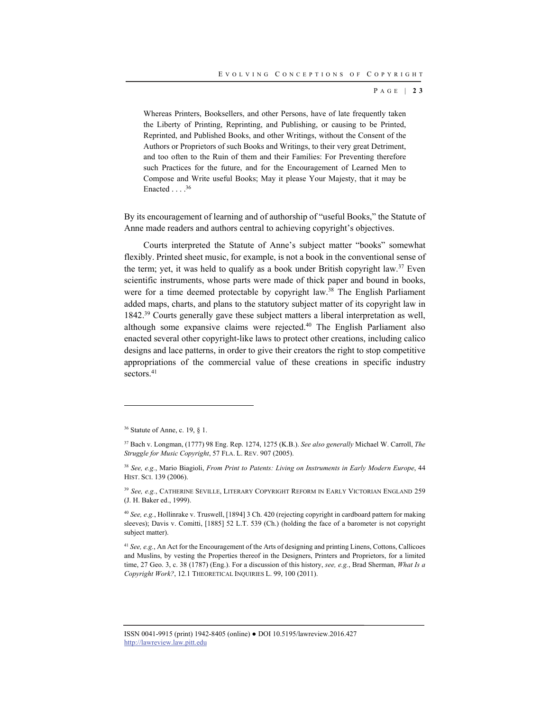P AGE | **2 3**

Whereas Printers, Booksellers, and other Persons, have of late frequently taken the Liberty of Printing, Reprinting, and Publishing, or causing to be Printed, Reprinted, and Published Books, and other Writings, without the Consent of the Authors or Proprietors of such Books and Writings, to their very great Detriment, and too often to the Ruin of them and their Families: For Preventing therefore such Practices for the future, and for the Encouragement of Learned Men to Compose and Write useful Books; May it please Your Majesty, that it may be Enacted  $\ldots$  .<sup>36</sup>

By its encouragement of learning and of authorship of "useful Books," the Statute of Anne made readers and authors central to achieving copyright's objectives.

Courts interpreted the Statute of Anne's subject matter "books" somewhat flexibly. Printed sheet music, for example, is not a book in the conventional sense of the term; yet, it was held to qualify as a book under British copyright law.37 Even scientific instruments, whose parts were made of thick paper and bound in books, were for a time deemed protectable by copyright law.<sup>38</sup> The English Parliament added maps, charts, and plans to the statutory subject matter of its copyright law in 1842.<sup>39</sup> Courts generally gave these subject matters a liberal interpretation as well, although some expansive claims were rejected.<sup>40</sup> The English Parliament also enacted several other copyright-like laws to protect other creations, including calico designs and lace patterns, in order to give their creators the right to stop competitive appropriations of the commercial value of these creations in specific industry sectors.<sup>41</sup>

l

<sup>36</sup> Statute of Anne, c. 19, § 1.

<sup>37</sup> Bach v. Longman, (1777) 98 Eng. Rep. 1274, 1275 (K.B.). *See also generally* Michael W. Carroll, *The Struggle for Music Copyright*, 57 FLA. L. REV. 907 (2005).

<sup>38</sup> *See, e.g.*, Mario Biagioli, *From Print to Patents: Living on Instruments in Early Modern Europe*, 44 HIST. SCI. 139 (2006).

<sup>39</sup> *See, e.g.*, CATHERINE SEVILLE, LITERARY COPYRIGHT REFORM IN EARLY VICTORIAN ENGLAND 259 (J. H. Baker ed., 1999).

<sup>40</sup> *See, e.g.*, Hollinrake v. Truswell, [1894] 3 Ch. 420 (rejecting copyright in cardboard pattern for making sleeves); Davis v. Comitti, [1885] 52 L.T. 539 (Ch.) (holding the face of a barometer is not copyright subject matter).

<sup>41</sup> *See, e.g.*, An Act for the Encouragement of the Arts of designing and printing Linens, Cottons, Callicoes and Muslins, by vesting the Properties thereof in the Designers, Printers and Proprietors, for a limited time, 27 Geo. 3, c. 38 (1787) (Eng.). For a discussion of this history, *see, e.g.*, Brad Sherman, *What Is a Copyright Work?*, 12.1 THEORETICAL INQUIRIES L. 99, 100 (2011).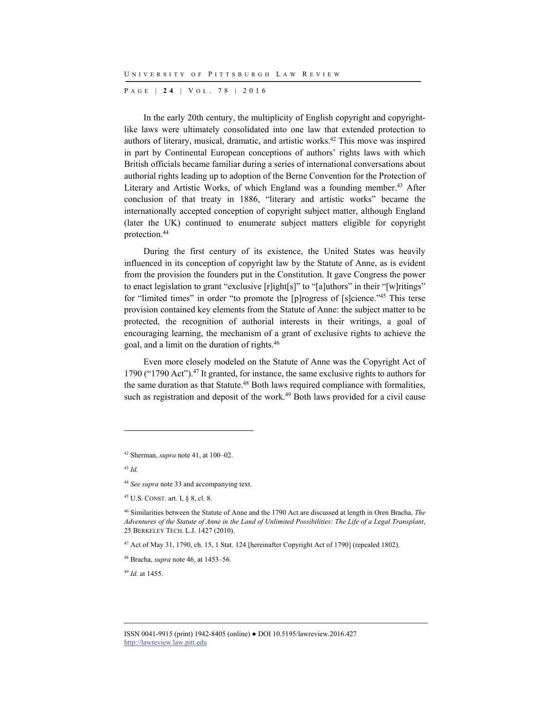P AGE | **2 4** | V O L . 7 8 | 2016

In the early 20th century, the multiplicity of English copyright and copyrightlike laws were ultimately consolidated into one law that extended protection to authors of literary, musical, dramatic, and artistic works.<sup>42</sup> This move was inspired in part by Continental European conceptions of authors' rights laws with which British officials became familiar during a series of international conversations about authorial rights leading up to adoption of the Berne Convention for the Protection of Literary and Artistic Works, of which England was a founding member.<sup>43</sup> After conclusion of that treaty in 1886, "literary and artistic works" became the internationally accepted conception of copyright subject matter, although England (later the UK) continued to enumerate subject matters eligible for copyright protection.44

During the first century of its existence, the United States was heavily influenced in its conception of copyright law by the Statute of Anne, as is evident from the provision the founders put in the Constitution. It gave Congress the power to enact legislation to grant "exclusive [r]ight[s]" to "[a]uthors" in their "[w]ritings" for "limited times" in order "to promote the [p]rogress of [s]cience."45 This terse provision contained key elements from the Statute of Anne: the subject matter to be protected, the recognition of authorial interests in their writings, a goal of encouraging learning, the mechanism of a grant of exclusive rights to achieve the goal, and a limit on the duration of rights.46

Even more closely modeled on the Statute of Anne was the Copyright Act of 1790 ("1790 Act").<sup>47</sup> It granted, for instance, the same exclusive rights to authors for the same duration as that Statute.<sup>48</sup> Both laws required compliance with formalities, such as registration and deposit of the work.<sup>49</sup> Both laws provided for a civil cause

<sup>43</sup> *Id.*

l

<sup>49</sup> *Id.* at 1455.

<sup>42</sup> Sherman, *supra* note 41, at 100–02.

<sup>44</sup> *See supra* note 33 and accompanying text.

<sup>45</sup> U.S. CONST. art. I, § 8, cl. 8.

<sup>46</sup> Similarities between the Statute of Anne and the 1790 Act are discussed at length in Oren Bracha, *The Adventures of the Statute of Anne in the Land of Unlimited Possibilities: The Life of a Legal Transplant*, 25 BERKELEY TECH. L.J. 1427 (2010).

<sup>47</sup> Act of May 31, 1790, ch. 15, 1 Stat. 124 [hereinafter Copyright Act of 1790] (repealed 1802).

<sup>48</sup> Bracha, *supra* note 46, at 1453–56.

ISSN 0041-9915 (print) 1942-8405 (online) ● DOI 10.5195/lawreview.2016.427 http://lawreview.law.pitt.edu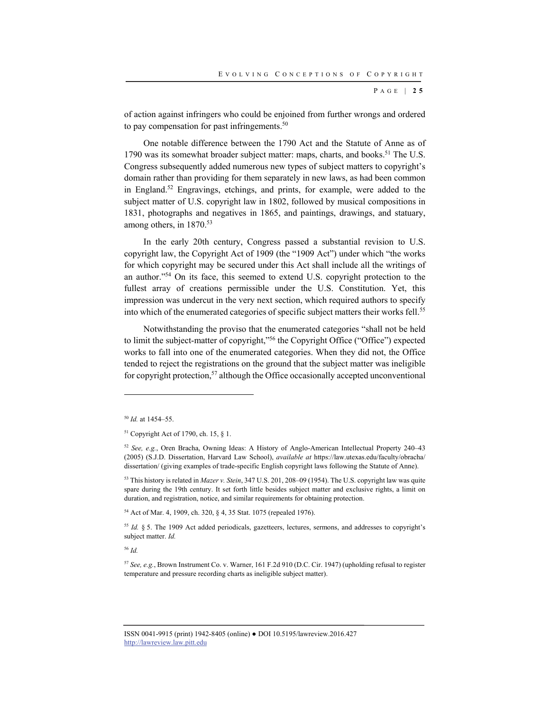P AGE | **2 5**

of action against infringers who could be enjoined from further wrongs and ordered to pay compensation for past infringements.<sup>50</sup>

One notable difference between the 1790 Act and the Statute of Anne as of 1790 was its somewhat broader subject matter: maps, charts, and books.<sup>51</sup> The U.S. Congress subsequently added numerous new types of subject matters to copyright's domain rather than providing for them separately in new laws, as had been common in England.52 Engravings, etchings, and prints, for example, were added to the subject matter of U.S. copyright law in 1802, followed by musical compositions in 1831, photographs and negatives in 1865, and paintings, drawings, and statuary, among others, in 1870.<sup>53</sup>

In the early 20th century, Congress passed a substantial revision to U.S. copyright law, the Copyright Act of 1909 (the "1909 Act") under which "the works for which copyright may be secured under this Act shall include all the writings of an author."54 On its face, this seemed to extend U.S. copyright protection to the fullest array of creations permissible under the U.S. Constitution. Yet, this impression was undercut in the very next section, which required authors to specify into which of the enumerated categories of specific subject matters their works fell.<sup>55</sup>

Notwithstanding the proviso that the enumerated categories "shall not be held to limit the subject-matter of copyright,"56 the Copyright Office ("Office") expected works to fall into one of the enumerated categories. When they did not, the Office tended to reject the registrations on the ground that the subject matter was ineligible for copyright protection,<sup>57</sup> although the Office occasionally accepted unconventional

l

<sup>56</sup> *Id.*

<sup>50</sup> *Id.* at 1454–55.

<sup>51</sup> Copyright Act of 1790, ch. 15, § 1.

<sup>52</sup> *See, e.g.*, Oren Bracha, Owning Ideas: A History of Anglo-American Intellectual Property 240–43 (2005) (S.J.D. Dissertation, Harvard Law School), *available at* https://law.utexas.edu/faculty/obracha/ dissertation/ (giving examples of trade-specific English copyright laws following the Statute of Anne).

<sup>53</sup> This history is related in *Mazer v. Stein*, 347 U.S. 201, 208–09 (1954). The U.S. copyright law was quite spare during the 19th century. It set forth little besides subject matter and exclusive rights, a limit on duration, and registration, notice, and similar requirements for obtaining protection.

<sup>54</sup> Act of Mar. 4, 1909, ch. 320, § 4, 35 Stat. 1075 (repealed 1976).

<sup>&</sup>lt;sup>55</sup> *Id.* § 5. The 1909 Act added periodicals, gazetteers, lectures, sermons, and addresses to copyright's subject matter. *Id.*

<sup>57</sup> *See, e.g.*, Brown Instrument Co. v. Warner, 161 F.2d 910 (D.C. Cir. 1947) (upholding refusal to register temperature and pressure recording charts as ineligible subject matter).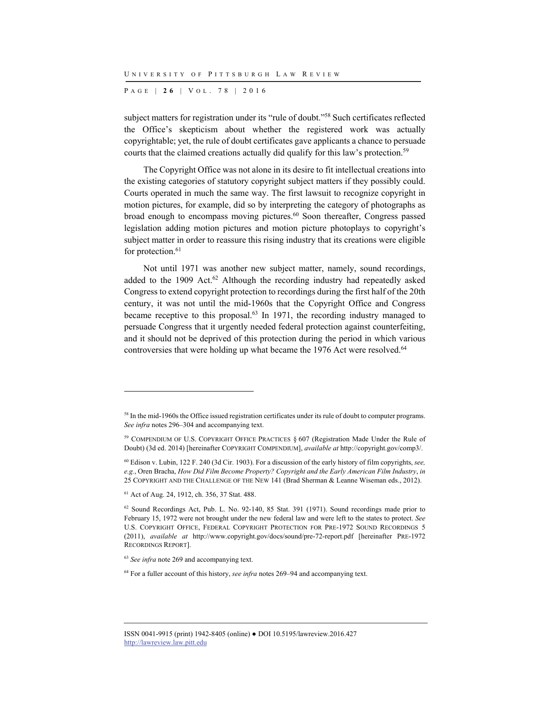P AGE | **2 6** | V O L . 7 8 | 2016

subject matters for registration under its "rule of doubt."58 Such certificates reflected the Office's skepticism about whether the registered work was actually copyrightable; yet, the rule of doubt certificates gave applicants a chance to persuade courts that the claimed creations actually did qualify for this law's protection.<sup>59</sup>

The Copyright Office was not alone in its desire to fit intellectual creations into the existing categories of statutory copyright subject matters if they possibly could. Courts operated in much the same way. The first lawsuit to recognize copyright in motion pictures, for example, did so by interpreting the category of photographs as broad enough to encompass moving pictures.<sup>60</sup> Soon thereafter, Congress passed legislation adding motion pictures and motion picture photoplays to copyright's subject matter in order to reassure this rising industry that its creations were eligible for protection.<sup>61</sup>

Not until 1971 was another new subject matter, namely, sound recordings, added to the  $1909$  Act.<sup>62</sup> Although the recording industry had repeatedly asked Congress to extend copyright protection to recordings during the first half of the 20th century, it was not until the mid-1960s that the Copyright Office and Congress became receptive to this proposal.63 In 1971, the recording industry managed to persuade Congress that it urgently needed federal protection against counterfeiting, and it should not be deprived of this protection during the period in which various controversies that were holding up what became the 1976 Act were resolved.<sup>64</sup>

<sup>58</sup> In the mid-1960s the Office issued registration certificates under its rule of doubt to computer programs. *See infra* notes 296–304 and accompanying text.

<sup>59</sup> COMPENDIUM OF U.S. COPYRIGHT OFFICE PRACTICES § 607 (Registration Made Under the Rule of Doubt) (3d ed. 2014) [hereinafter COPYRIGHT COMPENDIUM], *available at* http://copyright.gov/comp3/.

<sup>60</sup> Edison v. Lubin, 122 F. 240 (3d Cir. 1903). For a discussion of the early history of film copyrights, *see, e.g.*, Oren Bracha, *How Did Film Become Property? Copyright and the Early American Film Industry*, *in* 25 COPYRIGHT AND THE CHALLENGE OF THE NEW 141 (Brad Sherman & Leanne Wiseman eds., 2012).

<sup>61</sup> Act of Aug. 24, 1912, ch. 356, 37 Stat. 488.

<sup>62</sup> Sound Recordings Act, Pub. L. No. 92-140, 85 Stat. 391 (1971). Sound recordings made prior to February 15, 1972 were not brought under the new federal law and were left to the states to protect. *See* U.S. COPYRIGHT OFFICE, FEDERAL COPYRIGHT PROTECTION FOR PRE-1972 SOUND RECORDINGS 5 (2011), *available at* http://www.copyright.gov/docs/sound/pre-72-report.pdf [hereinafter PRE-1972 RECORDINGS REPORT].

<sup>63</sup> *See infra* note 269 and accompanying text.

<sup>64</sup> For a fuller account of this history, *see infra* notes 269–94 and accompanying text.

ISSN 0041-9915 (print) 1942-8405 (online) ● DOI 10.5195/lawreview.2016.427 http://lawreview.law.pitt.edu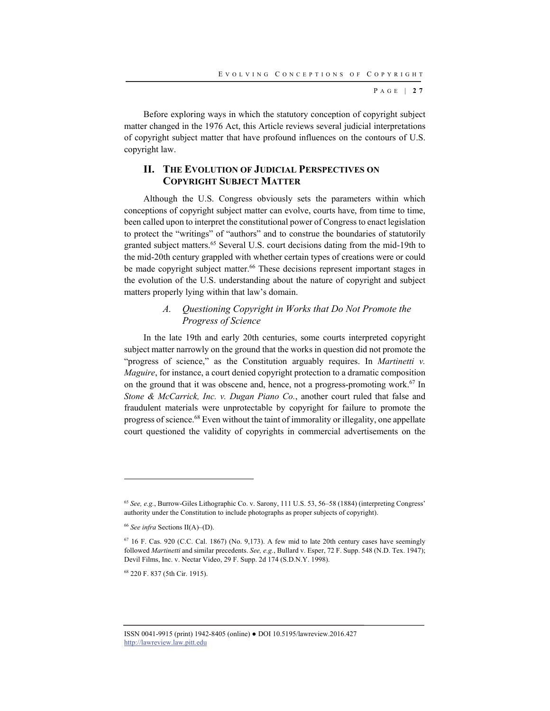P AGE | **2 7**

Before exploring ways in which the statutory conception of copyright subject matter changed in the 1976 Act, this Article reviews several judicial interpretations of copyright subject matter that have profound influences on the contours of U.S. copyright law.

## **II. THE EVOLUTION OF JUDICIAL PERSPECTIVES ON COPYRIGHT SUBJECT MATTER**

Although the U.S. Congress obviously sets the parameters within which conceptions of copyright subject matter can evolve, courts have, from time to time, been called upon to interpret the constitutional power of Congress to enact legislation to protect the "writings" of "authors" and to construe the boundaries of statutorily granted subject matters.<sup>65</sup> Several U.S. court decisions dating from the mid-19th to the mid-20th century grappled with whether certain types of creations were or could be made copyright subject matter.<sup>66</sup> These decisions represent important stages in the evolution of the U.S. understanding about the nature of copyright and subject matters properly lying within that law's domain.

## *A. Questioning Copyright in Works that Do Not Promote the Progress of Science*

In the late 19th and early 20th centuries, some courts interpreted copyright subject matter narrowly on the ground that the works in question did not promote the "progress of science," as the Constitution arguably requires. In *Martinetti v. Maguire*, for instance, a court denied copyright protection to a dramatic composition on the ground that it was obscene and, hence, not a progress-promoting work.<sup>67</sup> In *Stone & McCarrick, Inc. v. Dugan Piano Co.*, another court ruled that false and fraudulent materials were unprotectable by copyright for failure to promote the progress of science.<sup>68</sup> Even without the taint of immorality or illegality, one appellate court questioned the validity of copyrights in commercial advertisements on the

l

68 220 F. 837 (5th Cir. 1915).

<sup>65</sup> *See, e.g.*, Burrow-Giles Lithographic Co. v. Sarony, 111 U.S. 53, 56–58 (1884) (interpreting Congress' authority under the Constitution to include photographs as proper subjects of copyright).

<sup>&</sup>lt;sup>66</sup> See infra Sections II(A)–(D).

 $67$  16 F. Cas. 920 (C.C. Cal. 1867) (No. 9,173). A few mid to late 20th century cases have seemingly followed *Martinetti* and similar precedents. *See, e.g.*, Bullard v. Esper, 72 F. Supp. 548 (N.D. Tex. 1947); Devil Films, Inc. v. Nectar Video, 29 F. Supp. 2d 174 (S.D.N.Y. 1998).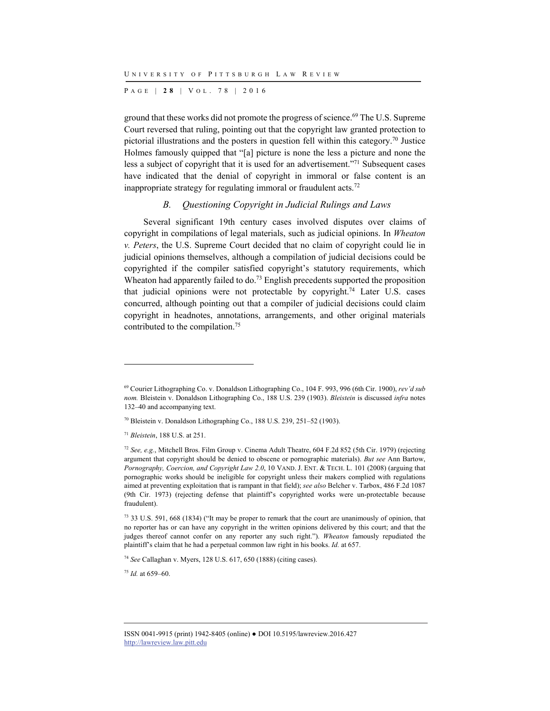P AGE | **2 8** | V O L . 7 8 | 2016

ground that these works did not promote the progress of science. 69 The U.S. Supreme Court reversed that ruling, pointing out that the copyright law granted protection to pictorial illustrations and the posters in question fell within this category.<sup>70</sup> Justice Holmes famously quipped that "[a] picture is none the less a picture and none the less a subject of copyright that it is used for an advertisement."71 Subsequent cases have indicated that the denial of copyright in immoral or false content is an inappropriate strategy for regulating immoral or fraudulent acts.<sup>72</sup>

#### *B. Questioning Copyright in Judicial Rulings and Laws*

Several significant 19th century cases involved disputes over claims of copyright in compilations of legal materials, such as judicial opinions. In *Wheaton v. Peters*, the U.S. Supreme Court decided that no claim of copyright could lie in judicial opinions themselves, although a compilation of judicial decisions could be copyrighted if the compiler satisfied copyright's statutory requirements, which Wheaton had apparently failed to do.<sup>73</sup> English precedents supported the proposition that judicial opinions were not protectable by copyright.<sup>74</sup> Later U.S. cases concurred, although pointing out that a compiler of judicial decisions could claim copyright in headnotes, annotations, arrangements, and other original materials contributed to the compilation.75

l

<sup>75</sup> *Id.* at 659–60.

<sup>69</sup> Courier Lithographing Co. v. Donaldson Lithographing Co., 104 F. 993, 996 (6th Cir. 1900), *rev'd sub nom.* Bleistein v. Donaldson Lithographing Co., 188 U.S. 239 (1903). *Bleistein* is discussed *infra* notes 132–40 and accompanying text.

<sup>70</sup> Bleistein v. Donaldson Lithographing Co., 188 U.S. 239, 251–52 (1903).

<sup>71</sup> *Bleistein*, 188 U.S. at 251.

<sup>72</sup> *See, e.g.*, Mitchell Bros. Film Group v. Cinema Adult Theatre, 604 F.2d 852 (5th Cir. 1979) (rejecting argument that copyright should be denied to obscene or pornographic materials). *But see* Ann Bartow, *Pornography, Coercion, and Copyright Law 2.0*, 10 VAND. J. ENT. & TECH. L. 101 (2008) (arguing that pornographic works should be ineligible for copyright unless their makers complied with regulations aimed at preventing exploitation that is rampant in that field); *see also* Belcher v. Tarbox, 486 F.2d 1087 (9th Cir. 1973) (rejecting defense that plaintiff's copyrighted works were un-protectable because fraudulent).

<sup>73 33</sup> U.S. 591, 668 (1834) ("It may be proper to remark that the court are unanimously of opinion, that no reporter has or can have any copyright in the written opinions delivered by this court; and that the judges thereof cannot confer on any reporter any such right."). *Wheaton* famously repudiated the plaintiff's claim that he had a perpetual common law right in his books. *Id.* at 657.

<sup>74</sup> *See* Callaghan v. Myers, 128 U.S. 617, 650 (1888) (citing cases).

ISSN 0041-9915 (print) 1942-8405 (online) ● DOI 10.5195/lawreview.2016.427 http://lawreview.law.pitt.edu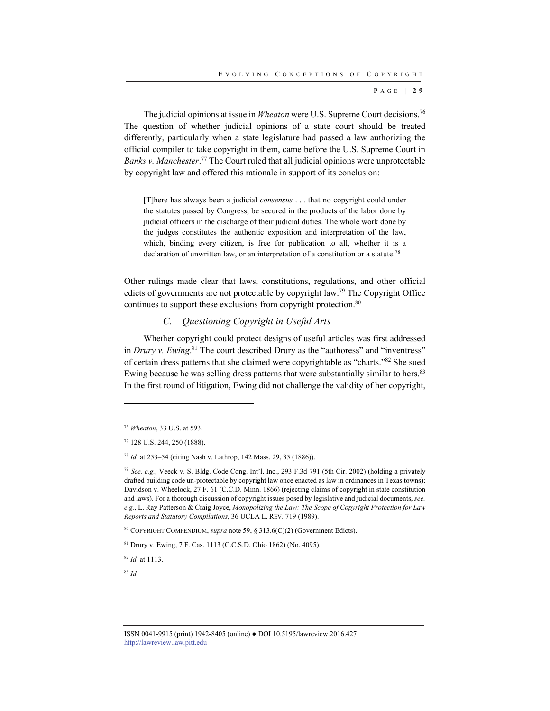P AGE | **2 9**

The judicial opinions at issue in *Wheaton* were U.S. Supreme Court decisions.<sup>76</sup> The question of whether judicial opinions of a state court should be treated differently, particularly when a state legislature had passed a law authorizing the official compiler to take copyright in them, came before the U.S. Supreme Court in *Banks v. Manchester*. 77 The Court ruled that all judicial opinions were unprotectable by copyright law and offered this rationale in support of its conclusion:

[T]here has always been a judicial *consensus* . . . that no copyright could under the statutes passed by Congress, be secured in the products of the labor done by judicial officers in the discharge of their judicial duties. The whole work done by the judges constitutes the authentic exposition and interpretation of the law, which, binding every citizen, is free for publication to all, whether it is a declaration of unwritten law, or an interpretation of a constitution or a statute.<sup>78</sup>

Other rulings made clear that laws, constitutions, regulations, and other official edicts of governments are not protectable by copyright law.79 The Copyright Office continues to support these exclusions from copyright protection.<sup>80</sup>

### *C. Questioning Copyright in Useful Arts*

Whether copyright could protect designs of useful articles was first addressed in *Drury v. Ewing*. 81 The court described Drury as the "authoress" and "inventress" of certain dress patterns that she claimed were copyrightable as "charts."82 She sued Ewing because he was selling dress patterns that were substantially similar to hers.<sup>83</sup> In the first round of litigation, Ewing did not challenge the validity of her copyright,

<sup>82</sup> *Id.* at 1113.

<sup>83</sup> *Id.*

<sup>76</sup> *Wheaton*, 33 U.S. at 593.

<sup>77 128</sup> U.S. 244, 250 (1888).

<sup>78</sup> *Id.* at 253–54 (citing Nash v. Lathrop, 142 Mass. 29, 35 (1886)).

<sup>79</sup> *See, e.g.*, Veeck v. S. Bldg. Code Cong. Int'l, Inc., 293 F.3d 791 (5th Cir. 2002) (holding a privately drafted building code un-protectable by copyright law once enacted as law in ordinances in Texas towns); Davidson v. Wheelock, 27 F. 61 (C.C.D. Minn. 1866) (rejecting claims of copyright in state constitution and laws). For a thorough discussion of copyright issues posed by legislative and judicial documents, *see, e.g.*, L. Ray Patterson & Craig Joyce, *Monopolizing the Law: The Scope of Copyright Protection for Law Reports and Statutory Compilations*, 36 UCLA L. REV. 719 (1989).

<sup>80</sup> COPYRIGHT COMPENDIUM, *supra* note 59, § 313.6(C)(2) (Government Edicts).

<sup>81</sup> Drury v. Ewing, 7 F. Cas. 1113 (C.C.S.D. Ohio 1862) (No. 4095).

ISSN 0041-9915 (print) 1942-8405 (online) ● DOI 10.5195/lawreview.2016.427 http://lawreview.law.pitt.edu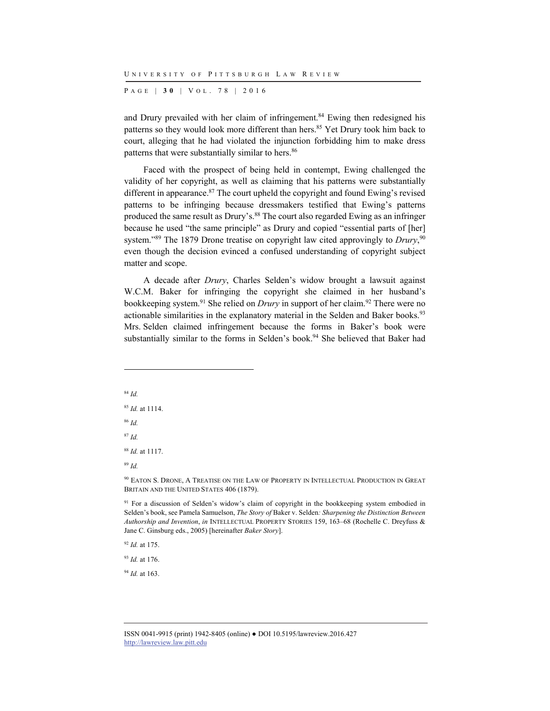P AGE | **3 0** | V O L . 7 8 | 2016

and Drury prevailed with her claim of infringement.<sup>84</sup> Ewing then redesigned his patterns so they would look more different than hers.<sup>85</sup> Yet Drury took him back to court, alleging that he had violated the injunction forbidding him to make dress patterns that were substantially similar to hers.<sup>86</sup>

Faced with the prospect of being held in contempt, Ewing challenged the validity of her copyright, as well as claiming that his patterns were substantially different in appearance.<sup>87</sup> The court upheld the copyright and found Ewing's revised patterns to be infringing because dressmakers testified that Ewing's patterns produced the same result as Drury's.<sup>88</sup> The court also regarded Ewing as an infringer because he used "the same principle" as Drury and copied "essential parts of [her] system."<sup>89</sup> The 1879 Drone treatise on copyright law cited approvingly to *Drury*,<sup>90</sup> even though the decision evinced a confused understanding of copyright subject matter and scope.

A decade after *Drury*, Charles Selden's widow brought a lawsuit against W.C.M. Baker for infringing the copyright she claimed in her husband's bookkeeping system.<sup>91</sup> She relied on *Drury* in support of her claim.<sup>92</sup> There were no actionable similarities in the explanatory material in the Selden and Baker books.<sup>93</sup> Mrs. Selden claimed infringement because the forms in Baker's book were substantially similar to the forms in Selden's book.<sup>94</sup> She believed that Baker had

<sup>84</sup> *Id.* <sup>85</sup> *Id.* at 1114. <sup>86</sup> *Id.* <sup>87</sup> *Id.* <sup>88</sup> *Id.* at 1117.

l

<sup>89</sup> *Id.*

90 EATON S. DRONE, A TREATISE ON THE LAW OF PROPERTY IN INTELLECTUAL PRODUCTION IN GREAT BRITAIN AND THE UNITED STATES 406 (1879).

<sup>91</sup> For a discussion of Selden's widow's claim of copyright in the bookkeeping system embodied in Selden's book, see Pamela Samuelson, *The Story of* Baker v. Selden*: Sharpening the Distinction Between Authorship and Invention*, *in* INTELLECTUAL PROPERTY STORIES 159, 163–68 (Rochelle C. Dreyfuss & Jane C. Ginsburg eds., 2005) [hereinafter *Baker Story*].

<sup>92</sup> *Id.* at 175.

<sup>93</sup> *Id.* at 176.

<sup>94</sup> *Id.* at 163.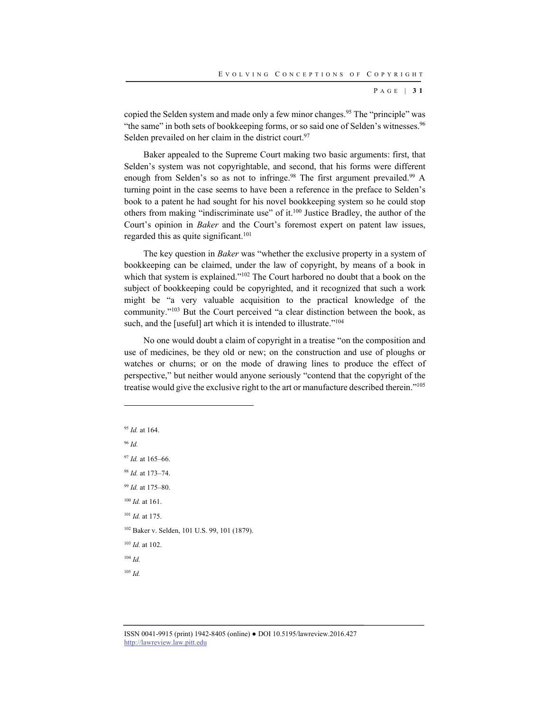P AGE | **3 1**

copied the Selden system and made only a few minor changes.<sup>95</sup> The "principle" was "the same" in both sets of bookkeeping forms, or so said one of Selden's witnesses.<sup>96</sup> Selden prevailed on her claim in the district court.<sup>97</sup>

Baker appealed to the Supreme Court making two basic arguments: first, that Selden's system was not copyrightable, and second, that his forms were different enough from Selden's so as not to infringe.<sup>98</sup> The first argument prevailed.<sup>99</sup> A turning point in the case seems to have been a reference in the preface to Selden's book to a patent he had sought for his novel bookkeeping system so he could stop others from making "indiscriminate use" of it.100 Justice Bradley, the author of the Court's opinion in *Baker* and the Court's foremost expert on patent law issues, regarded this as quite significant.<sup>101</sup>

The key question in *Baker* was "whether the exclusive property in a system of bookkeeping can be claimed, under the law of copyright, by means of a book in which that system is explained."<sup>102</sup> The Court harbored no doubt that a book on the subject of bookkeeping could be copyrighted, and it recognized that such a work might be "a very valuable acquisition to the practical knowledge of the community."103 But the Court perceived "a clear distinction between the book, as such, and the [useful] art which it is intended to illustrate."<sup>104</sup>

No one would doubt a claim of copyright in a treatise "on the composition and use of medicines, be they old or new; on the construction and use of ploughs or watches or churns; or on the mode of drawing lines to produce the effect of perspective," but neither would anyone seriously "contend that the copyright of the treatise would give the exclusive right to the art or manufacture described therein."105

<sup>95</sup> *Id.* at 164. <sup>96</sup> *Id.* <sup>97</sup> *Id.* at 165–66. <sup>98</sup> *Id.* at 173–74. <sup>99</sup> *Id.* at 175–80. <sup>100</sup> *Id.* at 161. <sup>101</sup> *Id.* at 175. <sup>102</sup> Baker v. Selden, 101 U.S. 99, 101 (1879). <sup>103</sup> *Id.* at 102. <sup>104</sup> *Id.* <sup>105</sup> *Id.*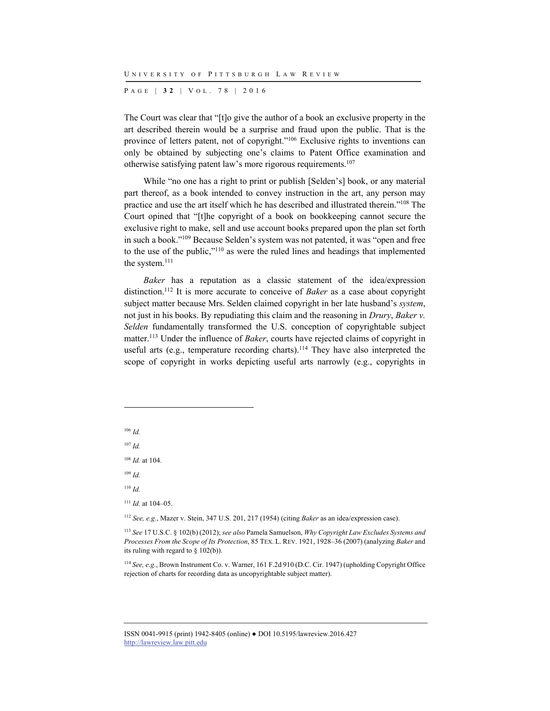P AGE | **3 2** | V O L . 7 8 | 2016

The Court was clear that "[t]o give the author of a book an exclusive property in the art described therein would be a surprise and fraud upon the public. That is the province of letters patent, not of copyright."106 Exclusive rights to inventions can only be obtained by subjecting one's claims to Patent Office examination and otherwise satisfying patent law's more rigorous requirements.107

While "no one has a right to print or publish [Selden's] book, or any material part thereof, as a book intended to convey instruction in the art, any person may practice and use the art itself which he has described and illustrated therein."108 The Court opined that "[t]he copyright of a book on bookkeeping cannot secure the exclusive right to make, sell and use account books prepared upon the plan set forth in such a book."109 Because Selden's system was not patented, it was "open and free to the use of the public,"110 as were the ruled lines and headings that implemented the system.<sup>111</sup>

*Baker* has a reputation as a classic statement of the idea/expression distinction.112 It is more accurate to conceive of *Baker* as a case about copyright subject matter because Mrs. Selden claimed copyright in her late husband's *system*, not just in his books. By repudiating this claim and the reasoning in *Drury*, *Baker v. Selden* fundamentally transformed the U.S. conception of copyrightable subject matter.113 Under the influence of *Baker*, courts have rejected claims of copyright in useful arts (e.g., temperature recording charts).<sup>114</sup> They have also interpreted the scope of copyright in works depicting useful arts narrowly (e.g., copyrights in

<sup>106</sup> *Id.*

l

<sup>107</sup> *Id.*

<sup>108</sup> *Id.* at 104.

<sup>109</sup> *Id.*

<sup>110</sup> *Id.*

<sup>111</sup> *Id.* at 104–05.

<sup>112</sup> *See, e.g.*, Mazer v. Stein, 347 U.S. 201, 217 (1954) (citing *Baker* as an idea/expression case).

<sup>113</sup> *See* 17 U.S.C. § 102(b) (2012); *see also* Pamela Samuelson, *Why Copyright Law Excludes Systems and Processes From the Scope of Its Protection*, 85 TEX. L. REV. 1921, 1928–36 (2007) (analyzing *Baker* and its ruling with regard to § 102(b)).

<sup>114</sup> *See, e.g.*, Brown Instrument Co. v. Warner, 161 F.2d 910 (D.C. Cir. 1947) (upholding Copyright Office rejection of charts for recording data as uncopyrightable subject matter).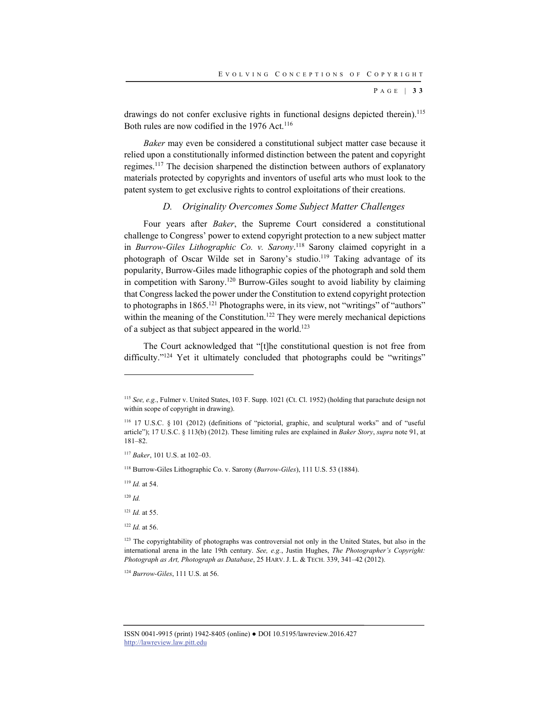P AGE | **3 3**

drawings do not confer exclusive rights in functional designs depicted therein).<sup>115</sup> Both rules are now codified in the 1976 Act.<sup>116</sup>

*Baker* may even be considered a constitutional subject matter case because it relied upon a constitutionally informed distinction between the patent and copyright regimes.117 The decision sharpened the distinction between authors of explanatory materials protected by copyrights and inventors of useful arts who must look to the patent system to get exclusive rights to control exploitations of their creations.

### *D. Originality Overcomes Some Subject Matter Challenges*

Four years after *Baker*, the Supreme Court considered a constitutional challenge to Congress' power to extend copyright protection to a new subject matter in *Burrow-Giles Lithographic Co. v. Sarony*. 118 Sarony claimed copyright in a photograph of Oscar Wilde set in Sarony's studio.119 Taking advantage of its popularity, Burrow-Giles made lithographic copies of the photograph and sold them in competition with Sarony.120 Burrow-Giles sought to avoid liability by claiming that Congress lacked the power under the Constitution to extend copyright protection to photographs in 1865.<sup>121</sup> Photographs were, in its view, not "writings" of "authors" within the meaning of the Constitution.<sup>122</sup> They were merely mechanical depictions of a subject as that subject appeared in the world.123

The Court acknowledged that "[t]he constitutional question is not free from difficulty."<sup>124</sup> Yet it ultimately concluded that photographs could be "writings"

<sup>120</sup> *Id.*

l

<sup>122</sup> *Id.* at 56.

<sup>124</sup> *Burrow-Giles*, 111 U.S. at 56.

<sup>115</sup> *See, e.g.*, Fulmer v. United States, 103 F. Supp. 1021 (Ct. Cl. 1952) (holding that parachute design not within scope of copyright in drawing).

<sup>116 17</sup> U.S.C. § 101 (2012) (definitions of "pictorial, graphic, and sculptural works" and of "useful article"); 17 U.S.C. § 113(b) (2012). These limiting rules are explained in *Baker Story*, *supra* note 91, at 181–82.

<sup>117</sup> *Baker*, 101 U.S. at 102–03.

<sup>118</sup> Burrow-Giles Lithographic Co. v. Sarony (*Burrow-Giles*), 111 U.S. 53 (1884).

<sup>119</sup> *Id.* at 54.

<sup>121</sup> *Id.* at 55.

<sup>&</sup>lt;sup>123</sup> The copyrightability of photographs was controversial not only in the United States, but also in the international arena in the late 19th century. *See, e.g.*, Justin Hughes, *The Photographer's Copyright: Photograph as Art, Photograph as Database*, 25 HARV. J. L. & TECH. 339, 341–42 (2012).

ISSN 0041-9915 (print) 1942-8405 (online) ● DOI 10.5195/lawreview.2016.427 http://lawreview.law.pitt.edu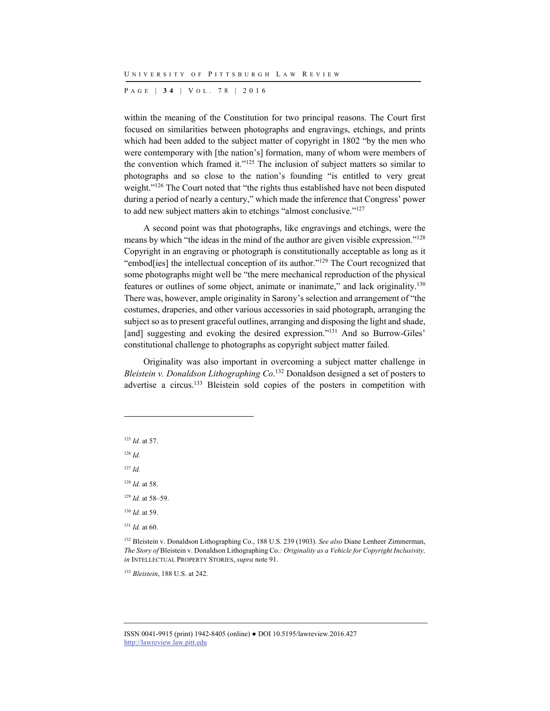P AGE | **3 4** | V O L . 7 8 | 2016

within the meaning of the Constitution for two principal reasons. The Court first focused on similarities between photographs and engravings, etchings, and prints which had been added to the subject matter of copyright in 1802 "by the men who were contemporary with [the nation's] formation, many of whom were members of the convention which framed it."125 The inclusion of subject matters so similar to photographs and so close to the nation's founding "is entitled to very great weight."<sup>126</sup> The Court noted that "the rights thus established have not been disputed during a period of nearly a century," which made the inference that Congress' power to add new subject matters akin to etchings "almost conclusive."127

A second point was that photographs, like engravings and etchings, were the means by which "the ideas in the mind of the author are given visible expression."128 Copyright in an engraving or photograph is constitutionally acceptable as long as it "embod[ies] the intellectual conception of its author."129 The Court recognized that some photographs might well be "the mere mechanical reproduction of the physical features or outlines of some object, animate or inanimate," and lack originality.130 There was, however, ample originality in Sarony's selection and arrangement of "the costumes, draperies, and other various accessories in said photograph, arranging the subject so as to present graceful outlines, arranging and disposing the light and shade, [and] suggesting and evoking the desired expression."<sup>131</sup> And so Burrow-Giles' constitutional challenge to photographs as copyright subject matter failed.

Originality was also important in overcoming a subject matter challenge in *Bleistein v. Donaldson Lithographing Co*. 132 Donaldson designed a set of posters to advertise a circus.<sup>133</sup> Bleistein sold copies of the posters in competition with

<sup>125</sup> *Id.* at 57.

<sup>126</sup> *Id.*

l

<sup>127</sup> *Id.*

<sup>128</sup> *Id.* at 58.

<sup>129</sup> *Id.* at 58–59.

<sup>130</sup> *Id.* at 59.

 $131$  *Id.* at 60.

<sup>133</sup> *Bleistein*, 188 U.S. at 242.

<sup>132</sup> Bleistein v. Donaldson Lithographing Co., 188 U.S. 239 (1903). *See also* Diane Lenheer Zimmerman, *The Story of* Bleistein v. Donaldson Lithographing Co.*: Originality as a Vehicle for Copyright Inclusivity, in* INTELLECTUAL PROPERTY STORIES, *supra* note 91.

ISSN 0041-9915 (print) 1942-8405 (online) ● DOI 10.5195/lawreview.2016.427 http://lawreview.law.pitt.edu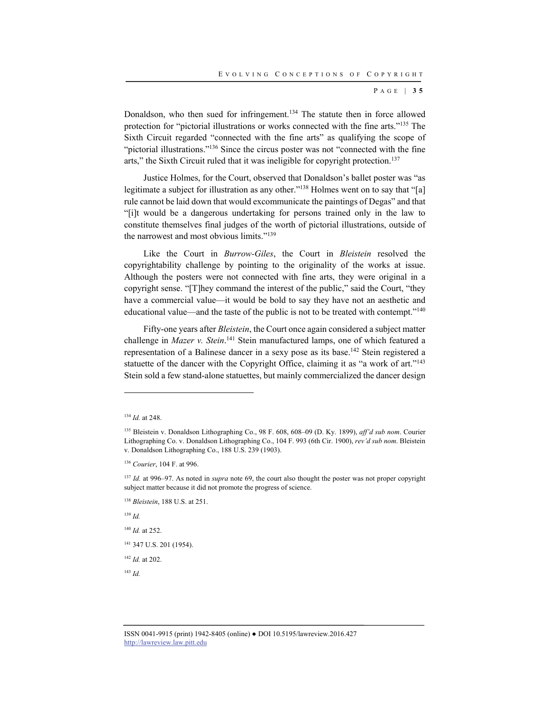P AGE | **3 5**

Donaldson, who then sued for infringement.134 The statute then in force allowed protection for "pictorial illustrations or works connected with the fine arts."135 The Sixth Circuit regarded "connected with the fine arts" as qualifying the scope of "pictorial illustrations."136 Since the circus poster was not "connected with the fine arts," the Sixth Circuit ruled that it was ineligible for copyright protection.<sup>137</sup>

Justice Holmes, for the Court, observed that Donaldson's ballet poster was "as legitimate a subject for illustration as any other."<sup>138</sup> Holmes went on to say that "[a] rule cannot be laid down that would excommunicate the paintings of Degas" and that "[i]t would be a dangerous undertaking for persons trained only in the law to constitute themselves final judges of the worth of pictorial illustrations, outside of the narrowest and most obvious limits."<sup>139</sup>

Like the Court in *Burrow-Giles*, the Court in *Bleistein* resolved the copyrightability challenge by pointing to the originality of the works at issue. Although the posters were not connected with fine arts, they were original in a copyright sense. "[T]hey command the interest of the public," said the Court, "they have a commercial value—it would be bold to say they have not an aesthetic and educational value—and the taste of the public is not to be treated with contempt."140

Fifty-one years after *Bleistein*, the Court once again considered a subject matter challenge in *Mazer v. Stein*. 141 Stein manufactured lamps, one of which featured a representation of a Balinese dancer in a sexy pose as its base.142 Stein registered a statuette of the dancer with the Copyright Office, claiming it as "a work of art."<sup>143</sup> Stein sold a few stand-alone statuettes, but mainly commercialized the dancer design

l

<sup>139</sup> *Id.*

<sup>140</sup> *Id.* at 252.

<sup>141</sup> 347 U.S. 201 (1954).

<sup>142</sup> *Id.* at 202.

<sup>143</sup> *Id.*

<sup>134</sup> *Id.* at 248.

<sup>135</sup> Bleistein v. Donaldson Lithographing Co., 98 F. 608, 608–09 (D. Ky. 1899), *aff'd sub nom*. Courier Lithographing Co. v. Donaldson Lithographing Co., 104 F. 993 (6th Cir. 1900), *rev'd sub nom*. Bleistein v. Donaldson Lithographing Co., 188 U.S. 239 (1903).

<sup>136</sup> *Courier*, 104 F. at 996.

<sup>137</sup> *Id.* at 996–97. As noted in *supra* note 69, the court also thought the poster was not proper copyright subject matter because it did not promote the progress of science.

<sup>138</sup> *Bleistein*, 188 U.S. at 251.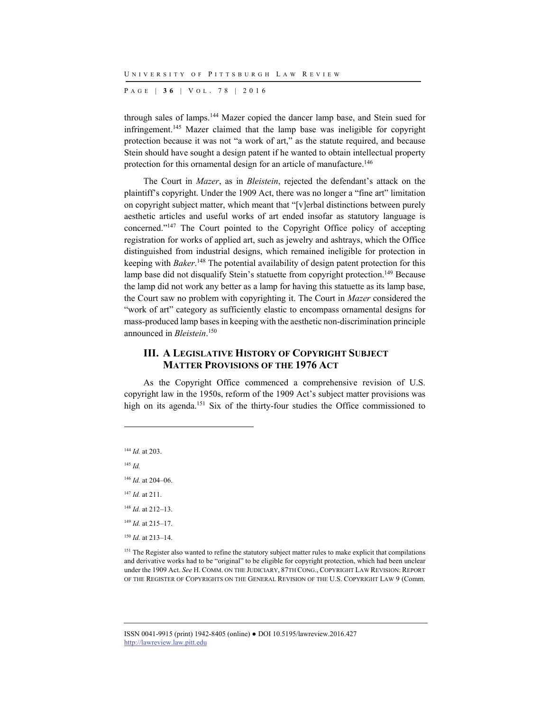P AGE | **3 6** | V O L . 7 8 | 2016

through sales of lamps.144 Mazer copied the dancer lamp base, and Stein sued for infringement.145 Mazer claimed that the lamp base was ineligible for copyright protection because it was not "a work of art," as the statute required, and because Stein should have sought a design patent if he wanted to obtain intellectual property protection for this ornamental design for an article of manufacture.<sup>146</sup>

The Court in *Mazer*, as in *Bleistein*, rejected the defendant's attack on the plaintiff's copyright. Under the 1909 Act, there was no longer a "fine art" limitation on copyright subject matter, which meant that "[v]erbal distinctions between purely aesthetic articles and useful works of art ended insofar as statutory language is concerned."147 The Court pointed to the Copyright Office policy of accepting registration for works of applied art, such as jewelry and ashtrays, which the Office distinguished from industrial designs, which remained ineligible for protection in keeping with *Baker*. 148 The potential availability of design patent protection for this lamp base did not disqualify Stein's statuette from copyright protection.<sup>149</sup> Because the lamp did not work any better as a lamp for having this statuette as its lamp base, the Court saw no problem with copyrighting it. The Court in *Mazer* considered the "work of art" category as sufficiently elastic to encompass ornamental designs for mass-produced lamp bases in keeping with the aesthetic non-discrimination principle announced in *Bleistein*. 150

#### **III. A LEGISLATIVE HISTORY OF COPYRIGHT SUBJECT MATTER PROVISIONS OF THE 1976 ACT**

As the Copyright Office commenced a comprehensive revision of U.S. copyright law in the 1950s, reform of the 1909 Act's subject matter provisions was high on its agenda.<sup>151</sup> Six of the thirty-four studies the Office commissioned to

 *Id.* at 203. <sup>145</sup> *Id. Id.* at 204–06. *Id.* at 211. *Id.* at 212–13.

l

<sup>149</sup> *Id.* at 215–17.

<sup>150</sup> *Id.* at 213–14.

<sup>151</sup> The Register also wanted to refine the statutory subject matter rules to make explicit that compilations and derivative works had to be "original" to be eligible for copyright protection, which had been unclear under the 1909 Act. *See* H. COMM. ON THE JUDICIARY, 87TH CONG., COPYRIGHT LAW REVISION: REPORT OF THE REGISTER OF COPYRIGHTS ON THE GENERAL REVISION OF THE U.S. COPYRIGHT LAW 9 (Comm.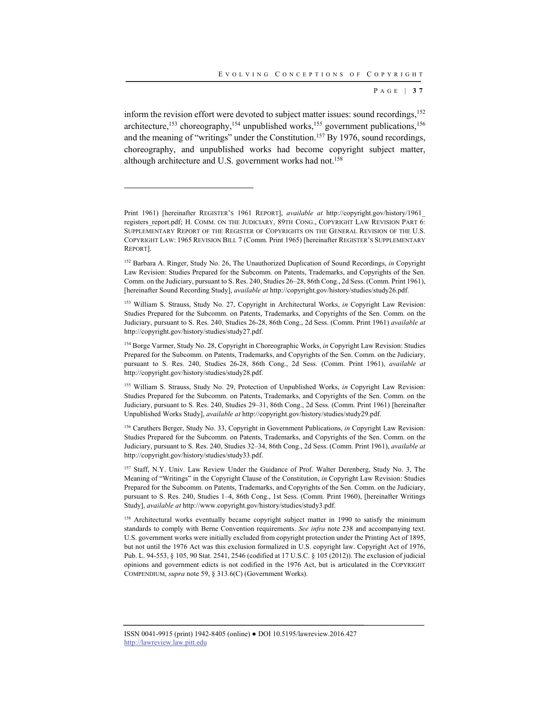P AGE | **3 7**

inform the revision effort were devoted to subject matter issues: sound recordings,<sup>152</sup> architecture,<sup>153</sup> choreography,<sup>154</sup> unpublished works,<sup>155</sup> government publications,<sup>156</sup> and the meaning of "writings" under the Constitution.<sup>157</sup> By 1976, sound recordings, choreography, and unpublished works had become copyright subject matter, although architecture and U.S. government works had not.<sup>158</sup>

Print 1961) [hereinafter REGISTER'S 1961 REPORT], *available at* http://copyright.gov/history/1961\_ registers\_report.pdf; H. COMM. ON THE JUDICIARY, 89TH CONG., COPYRIGHT LAW REVISION PART 6: SUPPLEMENTARY REPORT OF THE REGISTER OF COPYRIGHTS ON THE GENERAL REVISION OF THE U.S. COPYRIGHT LAW: 1965 REVISION BILL 7 (Comm. Print 1965) [hereinafter REGISTER'S SUPPLEMENTARY REPORT].

<sup>152</sup> Barbara A. Ringer, Study No. 26, The Unauthorized Duplication of Sound Recordings, *in* Copyright Law Revision: Studies Prepared for the Subcomm. on Patents, Trademarks, and Copyrights of the Sen. Comm. on the Judiciary, pursuant to S. Res. 240, Studies 26-28, 86th Cong., 2d Sess. (Comm. Print 1961), [hereinafter Sound Recording Study], *available at* http://copyright.gov/history/studies/study26.pdf.

<sup>153</sup> William S. Strauss, Study No. 27, Copyright in Architectural Works, *in* Copyright Law Revision: Studies Prepared for the Subcomm. on Patents, Trademarks, and Copyrights of the Sen. Comm. on the Judiciary, pursuant to S. Res. 240, Studies 26-28, 86th Cong., 2d Sess. (Comm. Print 1961) *available at* http://copyright.gov/history/studies/study27.pdf.

<sup>&</sup>lt;sup>154</sup> Borge Varmer, Study No. 28, Copyright in Choreographic Works, *in* Copyright Law Revision: Studies Prepared for the Subcomm. on Patents, Trademarks, and Copyrights of the Sen. Comm. on the Judiciary, pursuant to S. Res. 240, Studies 26-28, 86th Cong., 2d Sess. (Comm. Print 1961), *available at* http://copyright.gov/history/studies/study28.pdf.

<sup>155</sup> William S. Strauss, Study No. 29, Protection of Unpublished Works, *in* Copyright Law Revision: Studies Prepared for the Subcomm. on Patents, Trademarks, and Copyrights of the Sen. Comm. on the Judiciary, pursuant to S. Res. 240, Studies 29-31, 86th Cong., 2d Sess. (Comm. Print 1961) [hereinafter Unpublished Works Study], *available at* http://copyright.gov/history/studies/study29.pdf.

<sup>156</sup> Caruthers Berger, Study No. 33, Copyright in Government Publications, *in* Copyright Law Revision: Studies Prepared for the Subcomm. on Patents, Trademarks, and Copyrights of the Sen. Comm. on the Judiciary, pursuant to S. Res. 240, Studies 32‒34, 86th Cong., 2d Sess. (Comm. Print 1961), *available at* http://copyright.gov/history/studies/study33.pdf.

<sup>&</sup>lt;sup>157</sup> Staff, N.Y. Univ. Law Review Under the Guidance of Prof. Walter Derenberg, Study No. 3, The Meaning of "Writings" in the Copyright Clause of the Constitution, *in* Copyright Law Revision: Studies Prepared for the Subcomm. on Patents, Trademarks, and Copyrights of the Sen. Comm. on the Judiciary, pursuant to S. Res. 240, Studies 1-4, 86th Cong., 1st Sess. (Comm. Print 1960), [hereinafter Writings Study], *available at* http://www.copyright.gov/history/studies/study3.pdf.

<sup>&</sup>lt;sup>158</sup> Architectural works eventually became copyright subject matter in 1990 to satisfy the minimum standards to comply with Berne Convention requirements. *See infra* note 238 and accompanying text. U.S. government works were initially excluded from copyright protection under the Printing Act of 1895, but not until the 1976 Act was this exclusion formalized in U.S. copyright law. Copyright Act of 1976, Pub. L. 94-553, § 105, 90 Stat. 2541, 2546 (codified at 17 U.S.C. § 105 (2012)). The exclusion of judicial opinions and government edicts is not codified in the 1976 Act, but is articulated in the COPYRIGHT COMPENDIUM, *supra* note 59, § 313.6(C) (Government Works).

ISSN 0041-9915 (print) 1942-8405 (online) ● DOI 10.5195/lawreview.2016.427 http://lawreview.law.pitt.edu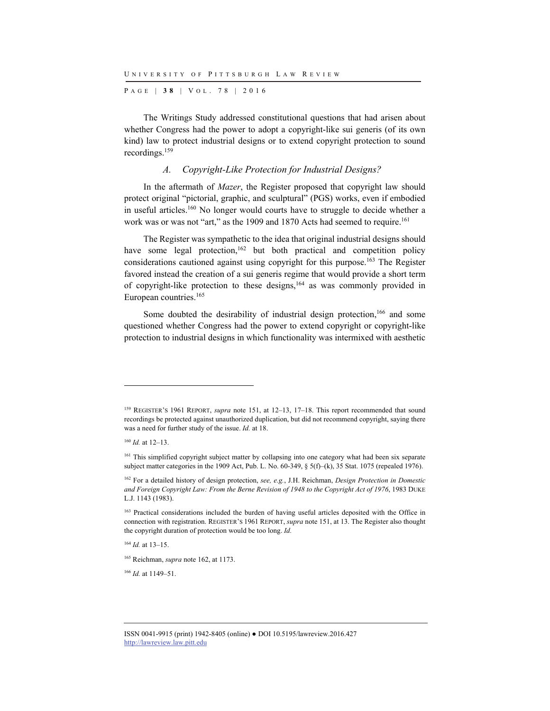P AGE | **3 8** | V O L . 7 8 | 2016

The Writings Study addressed constitutional questions that had arisen about whether Congress had the power to adopt a copyright-like sui generis (of its own kind) law to protect industrial designs or to extend copyright protection to sound recordings.159

#### *A. Copyright-Like Protection for Industrial Designs?*

In the aftermath of *Mazer*, the Register proposed that copyright law should protect original "pictorial, graphic, and sculptural" (PGS) works, even if embodied in useful articles.160 No longer would courts have to struggle to decide whether a work was or was not "art," as the 1909 and 1870 Acts had seemed to require.<sup>161</sup>

The Register was sympathetic to the idea that original industrial designs should have some legal protection,  $162$  but both practical and competition policy considerations cautioned against using copyright for this purpose.<sup>163</sup> The Register favored instead the creation of a sui generis regime that would provide a short term of copyright-like protection to these designs,<sup>164</sup> as was commonly provided in European countries.165

Some doubted the desirability of industrial design protection,<sup>166</sup> and some questioned whether Congress had the power to extend copyright or copyright-like protection to industrial designs in which functionality was intermixed with aesthetic

l

<sup>164</sup> *Id.* at 13–15.

<sup>166</sup> *Id.* at 1149–51.

<sup>159</sup> REGISTER'S 1961 REPORT, *supra* note 151, at 12–13, 17–18. This report recommended that sound recordings be protected against unauthorized duplication, but did not recommend copyright, saying there was a need for further study of the issue. *Id.* at 18.

<sup>160</sup> *Id.* at 12–13.

<sup>&</sup>lt;sup>161</sup> This simplified copyright subject matter by collapsing into one category what had been six separate subject matter categories in the 1909 Act, Pub. L. No. 60-349, § 5(f)–(k), 35 Stat. 1075 (repealed 1976).

<sup>162</sup> For a detailed history of design protection, *see, e.g.*, J.H. Reichman, *Design Protection in Domestic and Foreign Copyright Law: From the Berne Revision of 1948 to the Copyright Act of 1976*, 1983 DUKE L.J. 1143 (1983).

<sup>&</sup>lt;sup>163</sup> Practical considerations included the burden of having useful articles deposited with the Office in connection with registration. REGISTER'S 1961 REPORT, *supra* note 151, at 13. The Register also thought the copyright duration of protection would be too long. *Id.*

<sup>165</sup> Reichman, *supra* note 162, at 1173.

ISSN 0041-9915 (print) 1942-8405 (online) ● DOI 10.5195/lawreview.2016.427 http://lawreview.law.pitt.edu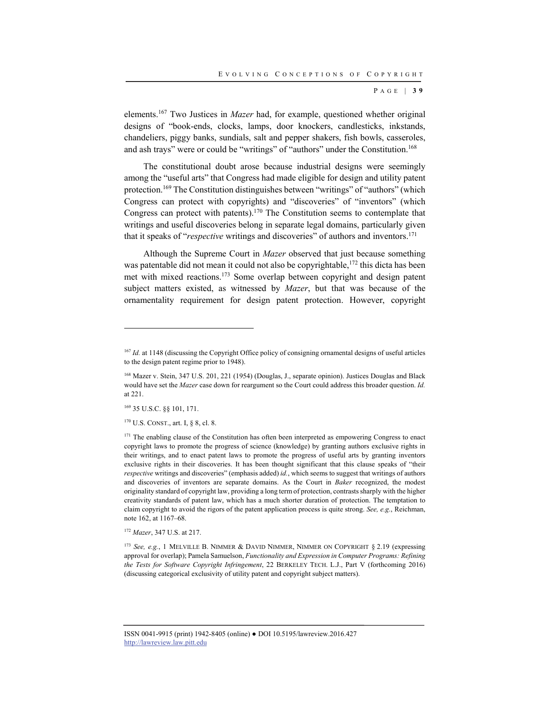P AGE | **3 9**

elements.167 Two Justices in *Mazer* had, for example, questioned whether original designs of "book-ends, clocks, lamps, door knockers, candlesticks, inkstands, chandeliers, piggy banks, sundials, salt and pepper shakers, fish bowls, casseroles, and ash trays" were or could be "writings" of "authors" under the Constitution.168

The constitutional doubt arose because industrial designs were seemingly among the "useful arts" that Congress had made eligible for design and utility patent protection.169 The Constitution distinguishes between "writings" of "authors" (which Congress can protect with copyrights) and "discoveries" of "inventors" (which Congress can protect with patents).170 The Constitution seems to contemplate that writings and useful discoveries belong in separate legal domains, particularly given that it speaks of "*respective* writings and discoveries" of authors and inventors.171

Although the Supreme Court in *Mazer* observed that just because something was patentable did not mean it could not also be copyrightable,<sup>172</sup> this dicta has been met with mixed reactions.173 Some overlap between copyright and design patent subject matters existed, as witnessed by *Mazer*, but that was because of the ornamentality requirement for design patent protection. However, copyright

169 35 U.S.C. §§ 101, 171.

l

170 U.S. CONST., art. I, § 8, cl. 8.

<sup>172</sup> *Mazer*, 347 U.S. at 217.

<sup>173</sup> *See, e.g.*, 1 MELVILLE B. NIMMER & DAVID NIMMER, NIMMER ON COPYRIGHT § 2.19 (expressing approval for overlap); Pamela Samuelson, *Functionality and Expression in Computer Programs: Refining the Tests for Software Copyright Infringement*, 22 BERKELEY TECH. L.J., Part V (forthcoming 2016) (discussing categorical exclusivity of utility patent and copyright subject matters).

<sup>&</sup>lt;sup>167</sup> *Id.* at 1148 (discussing the Copyright Office policy of consigning ornamental designs of useful articles to the design patent regime prior to 1948).

<sup>&</sup>lt;sup>168</sup> Mazer v. Stein, 347 U.S. 201, 221 (1954) (Douglas, J., separate opinion). Justices Douglas and Black would have set the *Mazer* case down for reargument so the Court could address this broader question. *Id.* at 221.

<sup>&</sup>lt;sup>171</sup> The enabling clause of the Constitution has often been interpreted as empowering Congress to enact copyright laws to promote the progress of science (knowledge) by granting authors exclusive rights in their writings, and to enact patent laws to promote the progress of useful arts by granting inventors exclusive rights in their discoveries. It has been thought significant that this clause speaks of "their *respective* writings and discoveries" (emphasis added) *id.*, which seems to suggest that writings of authors and discoveries of inventors are separate domains. As the Court in *Baker* recognized, the modest originality standard of copyright law, providing a long term of protection, contrasts sharply with the higher creativity standards of patent law, which has a much shorter duration of protection. The temptation to claim copyright to avoid the rigors of the patent application process is quite strong. *See, e.g.*, Reichman, note 162, at 1167–68.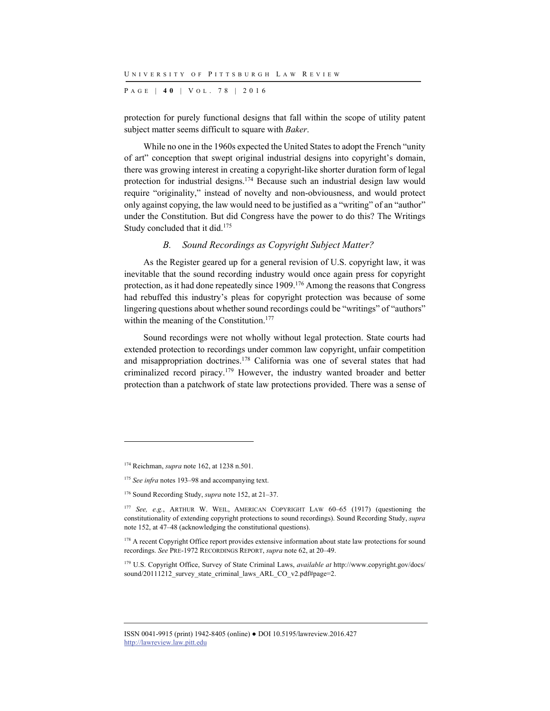P AGE | **4 0** | V O L . 7 8 | 2016

protection for purely functional designs that fall within the scope of utility patent subject matter seems difficult to square with *Baker*.

While no one in the 1960s expected the United States to adopt the French "unity of art" conception that swept original industrial designs into copyright's domain, there was growing interest in creating a copyright-like shorter duration form of legal protection for industrial designs.174 Because such an industrial design law would require "originality," instead of novelty and non-obviousness, and would protect only against copying, the law would need to be justified as a "writing" of an "author" under the Constitution. But did Congress have the power to do this? The Writings Study concluded that it did.<sup>175</sup>

#### *B. Sound Recordings as Copyright Subject Matter?*

As the Register geared up for a general revision of U.S. copyright law, it was inevitable that the sound recording industry would once again press for copyright protection, as it had done repeatedly since 1909.176 Among the reasons that Congress had rebuffed this industry's pleas for copyright protection was because of some lingering questions about whether sound recordings could be "writings" of "authors" within the meaning of the Constitution.<sup>177</sup>

Sound recordings were not wholly without legal protection. State courts had extended protection to recordings under common law copyright, unfair competition and misappropriation doctrines.178 California was one of several states that had criminalized record piracy.179 However, the industry wanted broader and better protection than a patchwork of state law protections provided. There was a sense of

l

<sup>174</sup> Reichman, *supra* note 162, at 1238 n.501.

<sup>&</sup>lt;sup>175</sup> See infra notes 193–98 and accompanying text.

<sup>176</sup> Sound Recording Study, *supra* note 152, at 21–37.

<sup>&</sup>lt;sup>177</sup> See, e.g., ARTHUR W. WEIL, AMERICAN COPYRIGHT LAW 60-65 (1917) (questioning the constitutionality of extending copyright protections to sound recordings). Sound Recording Study, *supra* note 152, at 47–48 (acknowledging the constitutional questions).

<sup>&</sup>lt;sup>178</sup> A recent Copyright Office report provides extensive information about state law protections for sound recordings. *See* PRE-1972 RECORDINGS REPORT, *supra* note 62, at 20–49.

<sup>179</sup> U.S. Copyright Office, Survey of State Criminal Laws, *available at* http://www.copyright.gov/docs/ sound/20111212\_survey\_state\_criminal\_laws\_ARL\_CO\_v2.pdf#page=2.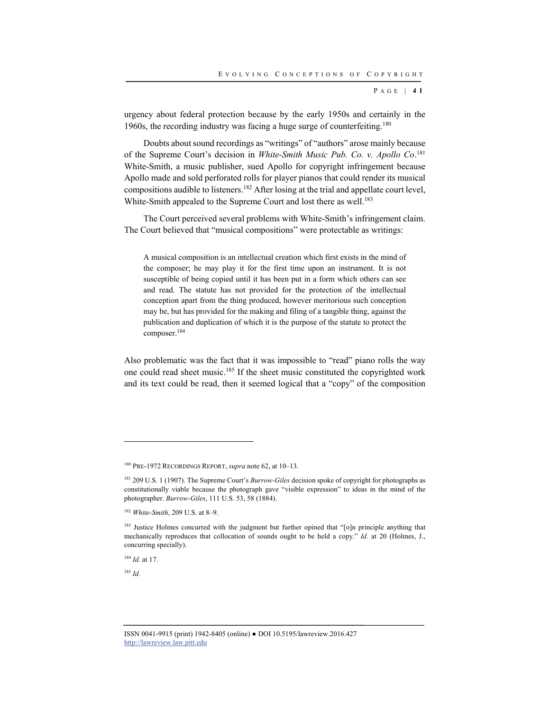P AGE | **4 1**

urgency about federal protection because by the early 1950s and certainly in the 1960s, the recording industry was facing a huge surge of counterfeiting.<sup>180</sup>

Doubts about sound recordings as "writings" of "authors" arose mainly because of the Supreme Court's decision in *White-Smith Music Pub. Co. v. Apollo Co*. 181 White-Smith, a music publisher, sued Apollo for copyright infringement because Apollo made and sold perforated rolls for player pianos that could render its musical compositions audible to listeners.182 After losing at the trial and appellate court level, White-Smith appealed to the Supreme Court and lost there as well.<sup>183</sup>

The Court perceived several problems with White-Smith's infringement claim. The Court believed that "musical compositions" were protectable as writings:

A musical composition is an intellectual creation which first exists in the mind of the composer; he may play it for the first time upon an instrument. It is not susceptible of being copied until it has been put in a form which others can see and read. The statute has not provided for the protection of the intellectual conception apart from the thing produced, however meritorious such conception may be, but has provided for the making and filing of a tangible thing, against the publication and duplication of which it is the purpose of the statute to protect the composer.184

Also problematic was the fact that it was impossible to "read" piano rolls the way one could read sheet music.185 If the sheet music constituted the copyrighted work and its text could be read, then it seemed logical that a "copy" of the composition

<sup>184</sup> *Id.* at 17.

<sup>185</sup> *Id.*

<sup>180</sup> PRE-1972 RECORDINGS REPORT, *supra* note 62, at 10–13.

<sup>181 209</sup> U.S. 1 (1907). The Supreme Court's *Burrow-Giles* decision spoke of copyright for photographs as constitutionally viable because the photograph gave "visible expression" to ideas in the mind of the photographer. *Burrow-Giles*, 111 U.S. 53, 58 (1884).

<sup>182</sup> *White-Smith*, 209 U.S. at 8–9.

<sup>&</sup>lt;sup>183</sup> Justice Holmes concurred with the judgment but further opined that "[o]n principle anything that mechanically reproduces that collocation of sounds ought to be held a copy." *Id.* at 20 (Holmes, J., concurring specially).

ISSN 0041-9915 (print) 1942-8405 (online) ● DOI 10.5195/lawreview.2016.427 http://lawreview.law.pitt.edu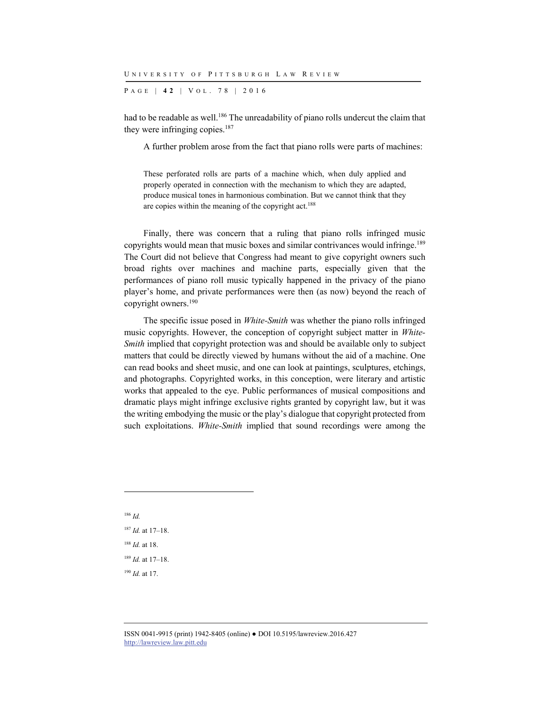P AGE | **4 2** | V O L . 7 8 | 2016

had to be readable as well.<sup>186</sup> The unreadability of piano rolls undercut the claim that they were infringing copies.<sup>187</sup>

A further problem arose from the fact that piano rolls were parts of machines:

These perforated rolls are parts of a machine which, when duly applied and properly operated in connection with the mechanism to which they are adapted, produce musical tones in harmonious combination. But we cannot think that they are copies within the meaning of the copyright act.<sup>188</sup>

Finally, there was concern that a ruling that piano rolls infringed music copyrights would mean that music boxes and similar contrivances would infringe.<sup>189</sup> The Court did not believe that Congress had meant to give copyright owners such broad rights over machines and machine parts, especially given that the performances of piano roll music typically happened in the privacy of the piano player's home, and private performances were then (as now) beyond the reach of copyright owners.190

The specific issue posed in *White-Smith* was whether the piano rolls infringed music copyrights. However, the conception of copyright subject matter in *White-Smith* implied that copyright protection was and should be available only to subject matters that could be directly viewed by humans without the aid of a machine. One can read books and sheet music, and one can look at paintings, sculptures, etchings, and photographs. Copyrighted works, in this conception, were literary and artistic works that appealed to the eye. Public performances of musical compositions and dramatic plays might infringe exclusive rights granted by copyright law, but it was the writing embodying the music or the play's dialogue that copyright protected from such exploitations. *White-Smith* implied that sound recordings were among the

<sup>186</sup> *Id. Id.* at 17–18. *Id.* at 18. *Id.* at 17–18. *Id.* at 17.

ISSN 0041-9915 (print) 1942-8405 (online) ● DOI 10.5195/lawreview.2016.427 http://lawreview.law.pitt.edu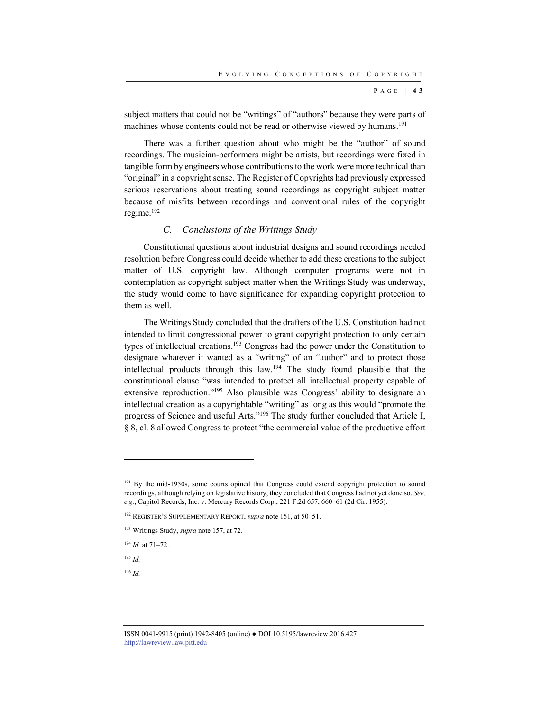P AGE | **4 3**

subject matters that could not be "writings" of "authors" because they were parts of machines whose contents could not be read or otherwise viewed by humans.<sup>191</sup>

There was a further question about who might be the "author" of sound recordings. The musician-performers might be artists, but recordings were fixed in tangible form by engineers whose contributions to the work were more technical than "original" in a copyright sense. The Register of Copyrights had previously expressed serious reservations about treating sound recordings as copyright subject matter because of misfits between recordings and conventional rules of the copyright regime.192

#### *C. Conclusions of the Writings Study*

Constitutional questions about industrial designs and sound recordings needed resolution before Congress could decide whether to add these creations to the subject matter of U.S. copyright law. Although computer programs were not in contemplation as copyright subject matter when the Writings Study was underway, the study would come to have significance for expanding copyright protection to them as well.

The Writings Study concluded that the drafters of the U.S. Constitution had not intended to limit congressional power to grant copyright protection to only certain types of intellectual creations.<sup>193</sup> Congress had the power under the Constitution to designate whatever it wanted as a "writing" of an "author" and to protect those intellectual products through this law.194 The study found plausible that the constitutional clause "was intended to protect all intellectual property capable of extensive reproduction."195 Also plausible was Congress' ability to designate an intellectual creation as a copyrightable "writing" as long as this would "promote the progress of Science and useful Arts."196 The study further concluded that Article I, § 8, cl. 8 allowed Congress to protect "the commercial value of the productive effort

<sup>194</sup> *Id.* at 71–72.

<sup>195</sup> *Id.*

l

<sup>196</sup> *Id.*

<sup>&</sup>lt;sup>191</sup> By the mid-1950s, some courts opined that Congress could extend copyright protection to sound recordings, although relying on legislative history, they concluded that Congress had not yet done so. *See, e.g.*, Capitol Records, Inc. v. Mercury Records Corp., 221 F.2d 657, 660–61 (2d Cir. 1955).

<sup>192</sup> REGISTER'S SUPPLEMENTARY REPORT, *supra* note 151, at 50–51.

<sup>193</sup> Writings Study, *supra* note 157, at 72.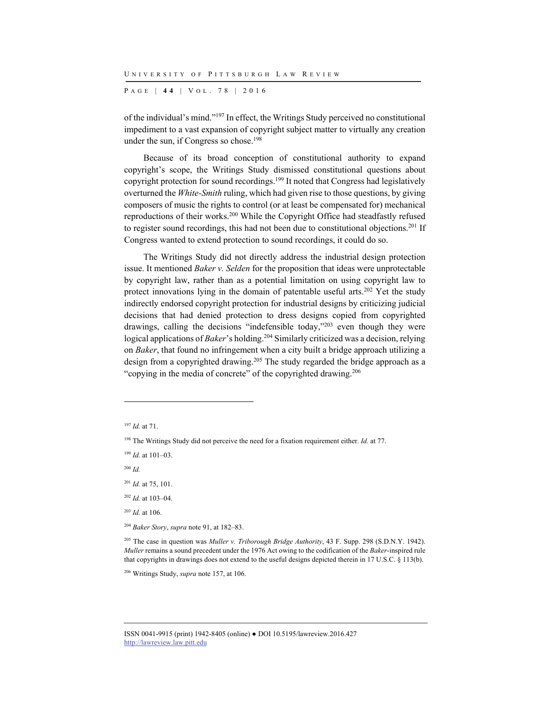P AGE | **4 4** | V O L . 7 8 | 2016

of the individual's mind."197 In effect, the Writings Study perceived no constitutional impediment to a vast expansion of copyright subject matter to virtually any creation under the sun, if Congress so chose.<sup>198</sup>

Because of its broad conception of constitutional authority to expand copyright's scope, the Writings Study dismissed constitutional questions about copyright protection for sound recordings.<sup>199</sup> It noted that Congress had legislatively overturned the *White-Smith* ruling, which had given rise to those questions, by giving composers of music the rights to control (or at least be compensated for) mechanical reproductions of their works.200 While the Copyright Office had steadfastly refused to register sound recordings, this had not been due to constitutional objections.<sup>201</sup> If Congress wanted to extend protection to sound recordings, it could do so.

The Writings Study did not directly address the industrial design protection issue. It mentioned *Baker v. Selden* for the proposition that ideas were unprotectable by copyright law, rather than as a potential limitation on using copyright law to protect innovations lying in the domain of patentable useful arts.<sup>202</sup> Yet the study indirectly endorsed copyright protection for industrial designs by criticizing judicial decisions that had denied protection to dress designs copied from copyrighted drawings, calling the decisions "indefensible today,"203 even though they were logical applications of *Baker*'s holding.<sup>204</sup> Similarly criticized was a decision, relying on *Baker*, that found no infringement when a city built a bridge approach utilizing a design from a copyrighted drawing.<sup>205</sup> The study regarded the bridge approach as a "copying in the media of concrete" of the copyrighted drawing.206

<sup>200</sup> *Id.*

l

<sup>203</sup> *Id.* at 106.

<sup>204</sup> *Baker Story*, *supra* note 91, at 182–83.

205 The case in question was *Muller v. Triborough Bridge Authority*, 43 F. Supp. 298 (S.D.N.Y. 1942). *Muller* remains a sound precedent under the 1976 Act owing to the codification of the *Baker*-inspired rule that copyrights in drawings does not extend to the useful designs depicted therein in 17 U.S.C. § 113(b).

206 Writings Study, *supra* note 157, at 106.

<sup>197</sup> *Id.* at 71.

<sup>&</sup>lt;sup>198</sup> The Writings Study did not perceive the need for a fixation requirement either. *Id.* at 77.

<sup>199</sup> *Id.* at 101–03.

<sup>201</sup> *Id.* at 75, 101.

<sup>202</sup> *Id.* at 103–04.

ISSN 0041-9915 (print) 1942-8405 (online) ● DOI 10.5195/lawreview.2016.427 http://lawreview.law.pitt.edu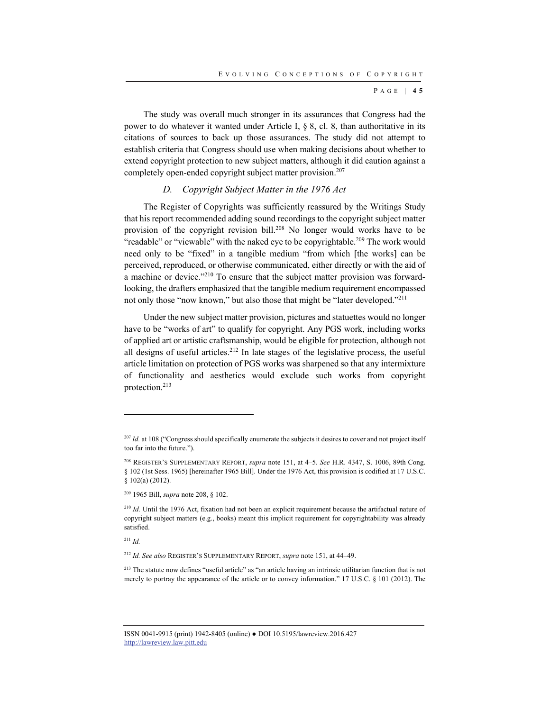P AGE | **4 5**

The study was overall much stronger in its assurances that Congress had the power to do whatever it wanted under Article I, § 8, cl. 8, than authoritative in its citations of sources to back up those assurances. The study did not attempt to establish criteria that Congress should use when making decisions about whether to extend copyright protection to new subject matters, although it did caution against a completely open-ended copyright subject matter provision.<sup>207</sup>

## *D. Copyright Subject Matter in the 1976 Act*

The Register of Copyrights was sufficiently reassured by the Writings Study that his report recommended adding sound recordings to the copyright subject matter provision of the copyright revision bill.<sup>208</sup> No longer would works have to be "readable" or "viewable" with the naked eye to be copyrightable.<sup>209</sup> The work would need only to be "fixed" in a tangible medium "from which [the works] can be perceived, reproduced, or otherwise communicated, either directly or with the aid of a machine or device."210 To ensure that the subject matter provision was forwardlooking, the drafters emphasized that the tangible medium requirement encompassed not only those "now known," but also those that might be "later developed."<sup>211</sup>

Under the new subject matter provision, pictures and statuettes would no longer have to be "works of art" to qualify for copyright. Any PGS work, including works of applied art or artistic craftsmanship, would be eligible for protection, although not all designs of useful articles.<sup>212</sup> In late stages of the legislative process, the useful article limitation on protection of PGS works was sharpened so that any intermixture of functionality and aesthetics would exclude such works from copyright protection.213

<sup>211</sup> *Id.*

l

<sup>212</sup> *Id. See also* REGISTER'S SUPPLEMENTARY REPORT, *supra* note 151, at 44–49.

<sup>213</sup> The statute now defines "useful article" as "an article having an intrinsic utilitarian function that is not merely to portray the appearance of the article or to convey information." 17 U.S.C. § 101 (2012). The

<sup>&</sup>lt;sup>207</sup> *Id.* at 108 ("Congress should specifically enumerate the subjects it desires to cover and not project itself too far into the future.").

<sup>208</sup> REGISTER'S SUPPLEMENTARY REPORT, *supra* note 151, at 4–5. *See* H.R. 4347, S. 1006, 89th Cong. § 102 (1st Sess. 1965) [hereinafter 1965 Bill]. Under the 1976 Act, this provision is codified at 17 U.S.C. § 102(a) (2012).

<sup>209 1965</sup> Bill, *supra* note 208, § 102.

<sup>&</sup>lt;sup>210</sup> *Id.* Until the 1976 Act, fixation had not been an explicit requirement because the artifactual nature of copyright subject matters (e.g., books) meant this implicit requirement for copyrightability was already satisfied.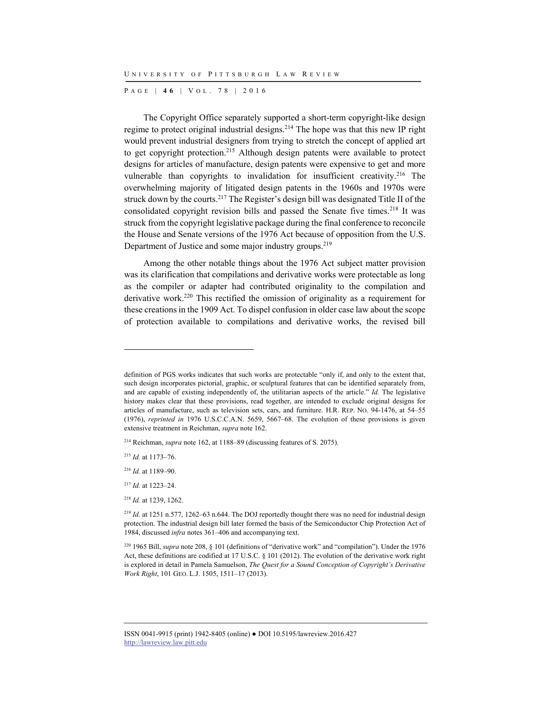P AGE | **4 6** | V O L . 7 8 | 2016

The Copyright Office separately supported a short-term copyright-like design regime to protect original industrial designs.214 The hope was that this new IP right would prevent industrial designers from trying to stretch the concept of applied art to get copyright protection.<sup>215</sup> Although design patents were available to protect designs for articles of manufacture, design patents were expensive to get and more vulnerable than copyrights to invalidation for insufficient creativity.<sup>216</sup> The overwhelming majority of litigated design patents in the 1960s and 1970s were struck down by the courts.217 The Register's design bill was designated Title II of the consolidated copyright revision bills and passed the Senate five times.<sup>218</sup> It was struck from the copyright legislative package during the final conference to reconcile the House and Senate versions of the 1976 Act because of opposition from the U.S. Department of Justice and some major industry groups.<sup>219</sup>

Among the other notable things about the 1976 Act subject matter provision was its clarification that compilations and derivative works were protectable as long as the compiler or adapter had contributed originality to the compilation and derivative work.220 This rectified the omission of originality as a requirement for these creations in the 1909 Act. To dispel confusion in older case law about the scope of protection available to compilations and derivative works, the revised bill

l

definition of PGS works indicates that such works are protectable "only if, and only to the extent that, such design incorporates pictorial, graphic, or sculptural features that can be identified separately from, and are capable of existing independently of, the utilitarian aspects of the article." *Id.* The legislative history makes clear that these provisions, read together, are intended to exclude original designs for articles of manufacture, such as television sets, cars, and furniture. H.R. REP. NO. 94-1476, at 54–55 (1976), *reprinted in* 1976 U.S.C.C.A.N. 5659, 5667–68. The evolution of these provisions is given extensive treatment in Reichman, *supra* note 162.

<sup>214</sup> Reichman, *supra* note 162, at 1188–89 (discussing features of S. 2075).

<sup>215</sup> *Id.* at 1173–76.

<sup>216</sup> *Id.* at 1189–90.

<sup>217</sup> *Id.* at 1223–24.

<sup>218</sup> *Id.* at 1239, 1262.

 $^{219}$  *Id.* at 1251 n.577, 1262–63 n.644. The DOJ reportedly thought there was no need for industrial design protection. The industrial design bill later formed the basis of the Semiconductor Chip Protection Act of 1984, discussed *infra* notes 361–406 and accompanying text.

<sup>220 1965</sup> Bill, *supra* note 208, § 101 (definitions of "derivative work" and "compilation"). Under the 1976 Act, these definitions are codified at 17 U.S.C. § 101 (2012). The evolution of the derivative work right is explored in detail in Pamela Samuelson, *The Quest for a Sound Conception of Copyright's Derivative Work Right*, 101 GEO. L.J. 1505, 1511–17 (2013).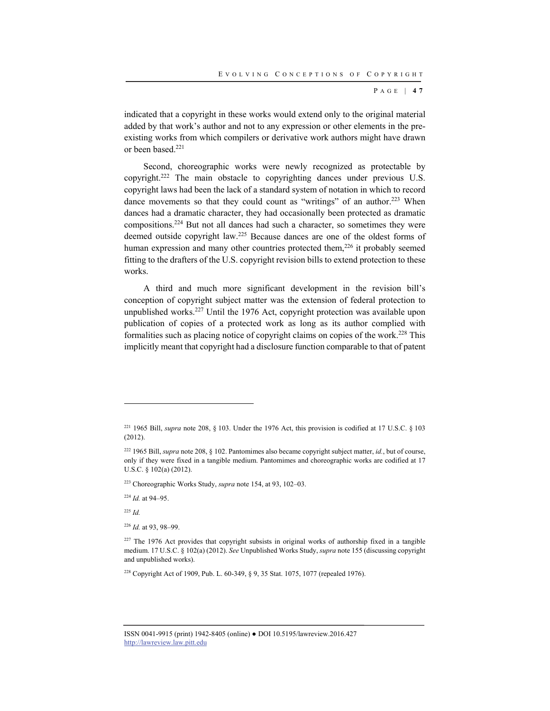P AGE | **4 7**

indicated that a copyright in these works would extend only to the original material added by that work's author and not to any expression or other elements in the preexisting works from which compilers or derivative work authors might have drawn or been based.<sup>221</sup>

Second, choreographic works were newly recognized as protectable by copyright.222 The main obstacle to copyrighting dances under previous U.S. copyright laws had been the lack of a standard system of notation in which to record dance movements so that they could count as "writings" of an author.<sup>223</sup> When dances had a dramatic character, they had occasionally been protected as dramatic compositions.224 But not all dances had such a character, so sometimes they were deemed outside copyright law.225 Because dances are one of the oldest forms of human expression and many other countries protected them, $^{226}$  it probably seemed fitting to the drafters of the U.S. copyright revision bills to extend protection to these works.

A third and much more significant development in the revision bill's conception of copyright subject matter was the extension of federal protection to unpublished works.<sup>227</sup> Until the 1976 Act, copyright protection was available upon publication of copies of a protected work as long as its author complied with formalities such as placing notice of copyright claims on copies of the work.228 This implicitly meant that copyright had a disclosure function comparable to that of patent

223 Choreographic Works Study, *supra* note 154, at 93, 102–03.

<sup>224</sup> *Id.* at 94–95.

<sup>225</sup> *Id.*

l

<sup>226</sup> *Id.* at 93, 98–99.

<sup>&</sup>lt;sup>221</sup> 1965 Bill, *supra* note 208, § 103. Under the 1976 Act, this provision is codified at 17 U.S.C. § 103 (2012).

<sup>222 1965</sup> Bill, *supra* note 208, § 102. Pantomimes also became copyright subject matter, *id.*, but of course, only if they were fixed in a tangible medium. Pantomimes and choreographic works are codified at 17 U.S.C. § 102(a) (2012).

<sup>&</sup>lt;sup>227</sup> The 1976 Act provides that copyright subsists in original works of authorship fixed in a tangible medium. 17 U.S.C. § 102(a) (2012). *See* Unpublished Works Study, *supra* note 155 (discussing copyright and unpublished works).

<sup>228</sup> Copyright Act of 1909, Pub. L. 60-349, § 9, 35 Stat. 1075, 1077 (repealed 1976).

ISSN 0041-9915 (print) 1942-8405 (online) ● DOI 10.5195/lawreview.2016.427 http://lawreview.law.pitt.edu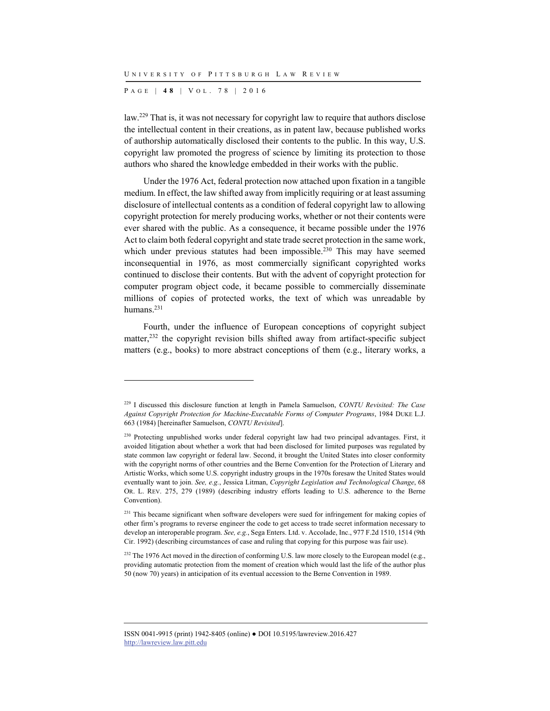P AGE | **4 8** | V O L . 7 8 | 2016

l

law.229 That is, it was not necessary for copyright law to require that authors disclose the intellectual content in their creations, as in patent law, because published works of authorship automatically disclosed their contents to the public. In this way, U.S. copyright law promoted the progress of science by limiting its protection to those authors who shared the knowledge embedded in their works with the public.

Under the 1976 Act, federal protection now attached upon fixation in a tangible medium. In effect, the law shifted away from implicitly requiring or at least assuming disclosure of intellectual contents as a condition of federal copyright law to allowing copyright protection for merely producing works, whether or not their contents were ever shared with the public. As a consequence, it became possible under the 1976 Act to claim both federal copyright and state trade secret protection in the same work, which under previous statutes had been impossible.<sup>230</sup> This may have seemed inconsequential in 1976, as most commercially significant copyrighted works continued to disclose their contents. But with the advent of copyright protection for computer program object code, it became possible to commercially disseminate millions of copies of protected works, the text of which was unreadable by humans.231

Fourth, under the influence of European conceptions of copyright subject matter,232 the copyright revision bills shifted away from artifact-specific subject matters (e.g., books) to more abstract conceptions of them (e.g., literary works, a

<sup>229</sup> I discussed this disclosure function at length in Pamela Samuelson, *CONTU Revisited: The Case Against Copyright Protection for Machine-Executable Forms of Computer Programs*, 1984 DUKE L.J. 663 (1984) [hereinafter Samuelson, *CONTU Revisited*].

<sup>&</sup>lt;sup>230</sup> Protecting unpublished works under federal copyright law had two principal advantages. First, it avoided litigation about whether a work that had been disclosed for limited purposes was regulated by state common law copyright or federal law. Second, it brought the United States into closer conformity with the copyright norms of other countries and the Berne Convention for the Protection of Literary and Artistic Works, which some U.S. copyright industry groups in the 1970s foresaw the United States would eventually want to join. *See, e.g.*, Jessica Litman, *Copyright Legislation and Technological Change*, 68 OR. L. REV. 275, 279 (1989) (describing industry efforts leading to U.S. adherence to the Berne Convention).

<sup>&</sup>lt;sup>231</sup> This became significant when software developers were sued for infringement for making copies of other firm's programs to reverse engineer the code to get access to trade secret information necessary to develop an interoperable program. *See, e.g.*, Sega Enters. Ltd. v. Accolade, Inc., 977 F.2d 1510, 1514 (9th Cir. 1992) (describing circumstances of case and ruling that copying for this purpose was fair use).

<sup>&</sup>lt;sup>232</sup> The 1976 Act moved in the direction of conforming U.S. law more closely to the European model (e.g., providing automatic protection from the moment of creation which would last the life of the author plus 50 (now 70) years) in anticipation of its eventual accession to the Berne Convention in 1989.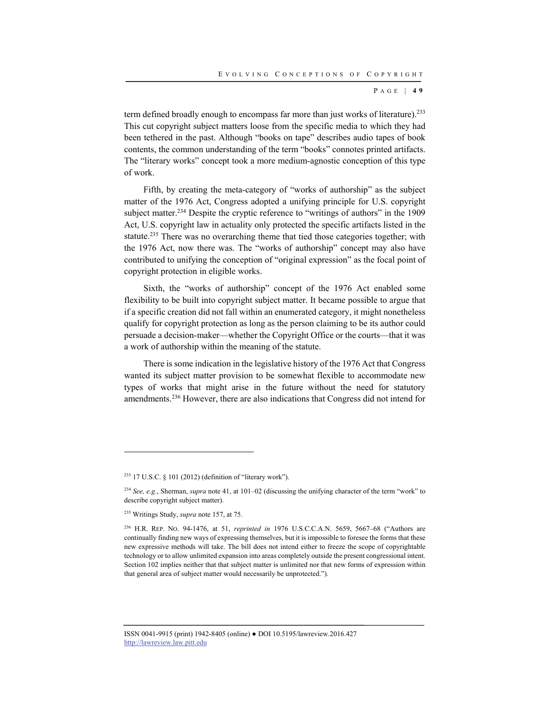P AGE | **4 9**

term defined broadly enough to encompass far more than just works of literature).<sup>233</sup> This cut copyright subject matters loose from the specific media to which they had been tethered in the past. Although "books on tape" describes audio tapes of book contents, the common understanding of the term "books" connotes printed artifacts. The "literary works" concept took a more medium-agnostic conception of this type of work.

Fifth, by creating the meta-category of "works of authorship" as the subject matter of the 1976 Act, Congress adopted a unifying principle for U.S. copyright subject matter.<sup>234</sup> Despite the cryptic reference to "writings of authors" in the 1909 Act, U.S. copyright law in actuality only protected the specific artifacts listed in the statute.<sup>235</sup> There was no overarching theme that tied those categories together; with the 1976 Act, now there was. The "works of authorship" concept may also have contributed to unifying the conception of "original expression" as the focal point of copyright protection in eligible works.

Sixth, the "works of authorship" concept of the 1976 Act enabled some flexibility to be built into copyright subject matter. It became possible to argue that if a specific creation did not fall within an enumerated category, it might nonetheless qualify for copyright protection as long as the person claiming to be its author could persuade a decision-maker—whether the Copyright Office or the courts—that it was a work of authorship within the meaning of the statute.

There is some indication in the legislative history of the 1976 Act that Congress wanted its subject matter provision to be somewhat flexible to accommodate new types of works that might arise in the future without the need for statutory amendments.236 However, there are also indications that Congress did not intend for

l

<sup>233 17</sup> U.S.C. § 101 (2012) (definition of "literary work").

<sup>234</sup> *See, e.g.*, Sherman, *supra* note 41, at 101–02 (discussing the unifying character of the term "work" to describe copyright subject matter).

<sup>235</sup> Writings Study, *supra* note 157, at 75.

<sup>236</sup> H.R. REP. NO. 94-1476, at 51, *reprinted in* 1976 U.S.C.C.A.N. 5659, 5667–68 ("Authors are continually finding new ways of expressing themselves, but it is impossible to foresee the forms that these new expressive methods will take. The bill does not intend either to freeze the scope of copyrightable technology or to allow unlimited expansion into areas completely outside the present congressional intent. Section 102 implies neither that that subject matter is unlimited nor that new forms of expression within that general area of subject matter would necessarily be unprotected.").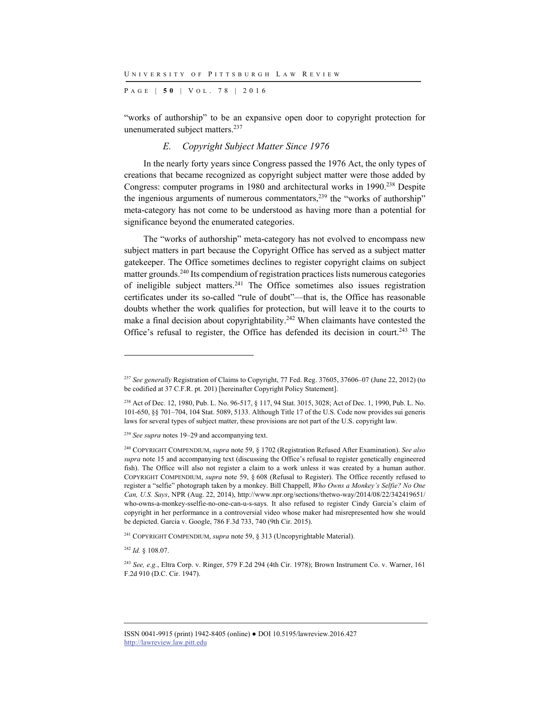P AGE | **5 0** | V O L . 7 8 | 2016

"works of authorship" to be an expansive open door to copyright protection for unenumerated subject matters.237

#### *E. Copyright Subject Matter Since 1976*

In the nearly forty years since Congress passed the 1976 Act, the only types of creations that became recognized as copyright subject matter were those added by Congress: computer programs in 1980 and architectural works in 1990.<sup>238</sup> Despite the ingenious arguments of numerous commentators,  $239$  the "works of authorship" meta-category has not come to be understood as having more than a potential for significance beyond the enumerated categories.

The "works of authorship" meta-category has not evolved to encompass new subject matters in part because the Copyright Office has served as a subject matter gatekeeper. The Office sometimes declines to register copyright claims on subject matter grounds.240 Its compendium of registration practices lists numerous categories of ineligible subject matters.241 The Office sometimes also issues registration certificates under its so-called "rule of doubt"—that is, the Office has reasonable doubts whether the work qualifies for protection, but will leave it to the courts to make a final decision about copyrightability.<sup>242</sup> When claimants have contested the Office's refusal to register, the Office has defended its decision in court.<sup>243</sup> The

<sup>242</sup> *Id.* § 108.07.

l

<sup>&</sup>lt;sup>237</sup> See generally Registration of Claims to Copyright, 77 Fed. Reg. 37605, 37606–07 (June 22, 2012) (to be codified at 37 C.F.R. pt. 201) [hereinafter Copyright Policy Statement].

<sup>238</sup> Act of Dec. 12, 1980, Pub. L. No. 96-517, § 117, 94 Stat. 3015, 3028; Act of Dec. 1, 1990, Pub. L. No. 101-650, §§ 701–704, 104 Stat. 5089, 5133. Although Title 17 of the U.S. Code now provides sui generis laws for several types of subject matter, these provisions are not part of the U.S. copyright law.

<sup>239</sup> *See supra* notes 19–29 and accompanying text.

<sup>240</sup> COPYRIGHT COMPENDIUM, *supra* note 59, § 1702 (Registration Refused After Examination). *See also supra* note 15 and accompanying text (discussing the Office's refusal to register genetically engineered fish). The Office will also not register a claim to a work unless it was created by a human author. COPYRIGHT COMPENDIUM, *supra* note 59, § 608 (Refusal to Register). The Office recently refused to register a "selfie" photograph taken by a monkey. Bill Chappell, *Who Owns a Monkey's Selfie? No One Can, U.S. Says*, NPR (Aug. 22, 2014), http://www.npr.org/sections/thetwo-way/2014/08/22/342419651/ who-owns-a-monkey-sselfie-no-one-can-u-s-says. It also refused to register Cindy Garcia's claim of copyright in her performance in a controversial video whose maker had misrepresented how she would be depicted. Garcia v. Google, 786 F.3d 733, 740 (9th Cir. 2015).

<sup>241</sup> COPYRIGHT COMPENDIUM, *supra* note 59, § 313 (Uncopyrightable Material).

<sup>243</sup> *See, e.g.*, Eltra Corp. v. Ringer, 579 F.2d 294 (4th Cir. 1978); Brown Instrument Co. v. Warner, 161 F.2d 910 (D.C. Cir. 1947).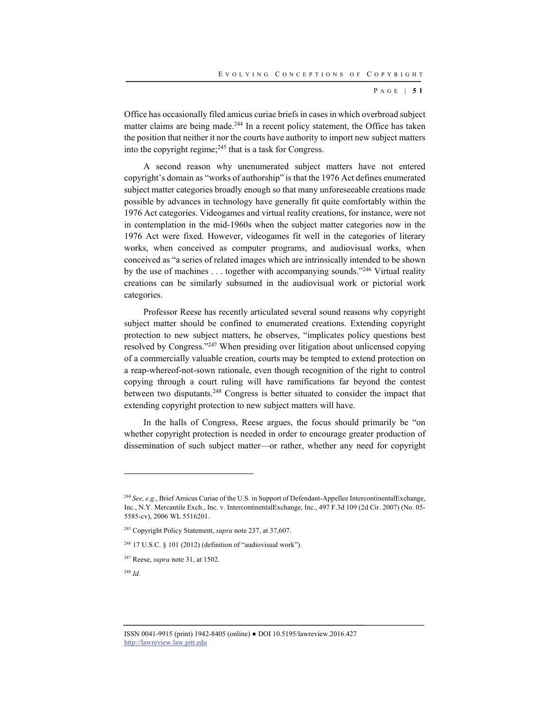P AGE | **5 1**

Office has occasionally filed amicus curiae briefs in cases in which overbroad subject matter claims are being made.<sup>244</sup> In a recent policy statement, the Office has taken the position that neither it nor the courts have authority to import new subject matters into the copyright regime;<sup>245</sup> that is a task for Congress.

A second reason why unenumerated subject matters have not entered copyright's domain as "works of authorship" is that the 1976 Act defines enumerated subject matter categories broadly enough so that many unforeseeable creations made possible by advances in technology have generally fit quite comfortably within the 1976 Act categories. Videogames and virtual reality creations, for instance, were not in contemplation in the mid-1960s when the subject matter categories now in the 1976 Act were fixed. However, videogames fit well in the categories of literary works, when conceived as computer programs, and audiovisual works, when conceived as "a series of related images which are intrinsically intended to be shown by the use of machines . . . together with accompanying sounds."246 Virtual reality creations can be similarly subsumed in the audiovisual work or pictorial work categories.

Professor Reese has recently articulated several sound reasons why copyright subject matter should be confined to enumerated creations. Extending copyright protection to new subject matters, he observes, "implicates policy questions best resolved by Congress."247 When presiding over litigation about unlicensed copying of a commercially valuable creation, courts may be tempted to extend protection on a reap-whereof-not-sown rationale, even though recognition of the right to control copying through a court ruling will have ramifications far beyond the contest between two disputants.<sup>248</sup> Congress is better situated to consider the impact that extending copyright protection to new subject matters will have.

In the halls of Congress, Reese argues, the focus should primarily be "on whether copyright protection is needed in order to encourage greater production of dissemination of such subject matter—or rather, whether any need for copyright

<sup>244</sup> *See, e.g.*, Brief Amicus Curiae of the U.S. in Support of Defendant-Appellee IntercontinentalExchange, Inc., N.Y. Mercantile Exch., Inc. v. IntercontinentalExchange, Inc., 497 F.3d 109 (2d Cir. 2007) (No. 05- 5585-cv), 2006 WL 5516201.

<sup>245</sup> Copyright Policy Statement, *supra* note 237, at 37,607.

 $246$  17 U.S.C. § 101 (2012) (definition of "audiovisual work").

<sup>247</sup> Reese, *supra* note 31, at 1502.

<sup>248</sup> *Id.*

ISSN 0041-9915 (print) 1942-8405 (online) ● DOI 10.5195/lawreview.2016.427 http://lawreview.law.pitt.edu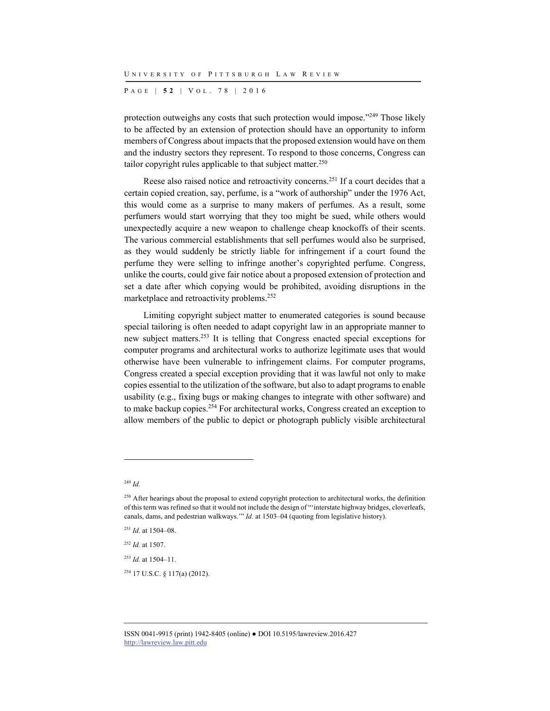P AGE | **5 2** | V O L . 7 8 | 2016

protection outweighs any costs that such protection would impose."249 Those likely to be affected by an extension of protection should have an opportunity to inform members of Congress about impacts that the proposed extension would have on them and the industry sectors they represent. To respond to those concerns, Congress can tailor copyright rules applicable to that subject matter.250

Reese also raised notice and retroactivity concerns.<sup>251</sup> If a court decides that a certain copied creation, say, perfume, is a "work of authorship" under the 1976 Act, this would come as a surprise to many makers of perfumes. As a result, some perfumers would start worrying that they too might be sued, while others would unexpectedly acquire a new weapon to challenge cheap knockoffs of their scents. The various commercial establishments that sell perfumes would also be surprised, as they would suddenly be strictly liable for infringement if a court found the perfume they were selling to infringe another's copyrighted perfume. Congress, unlike the courts, could give fair notice about a proposed extension of protection and set a date after which copying would be prohibited, avoiding disruptions in the marketplace and retroactivity problems.252

Limiting copyright subject matter to enumerated categories is sound because special tailoring is often needed to adapt copyright law in an appropriate manner to new subject matters.253 It is telling that Congress enacted special exceptions for computer programs and architectural works to authorize legitimate uses that would otherwise have been vulnerable to infringement claims. For computer programs, Congress created a special exception providing that it was lawful not only to make copies essential to the utilization of the software, but also to adapt programs to enable usability (e.g., fixing bugs or making changes to integrate with other software) and to make backup copies.254 For architectural works, Congress created an exception to allow members of the public to depict or photograph publicly visible architectural

l

<sup>252</sup> *Id.* at 1507.

<sup>253</sup> *Id.* at 1504–11.

254 17 U.S.C. § 117(a) (2012).

<sup>249</sup> *Id.*

<sup>&</sup>lt;sup>250</sup> After hearings about the proposal to extend copyright protection to architectural works, the definition of this term was refined so that it would not include the design of "'interstate highway bridges, cloverleafs, canals, dams, and pedestrian walkways.'" *Id.* at 1503–04 (quoting from legislative history).

<sup>251</sup> *Id.* at 1504–08.

ISSN 0041-9915 (print) 1942-8405 (online) ● DOI 10.5195/lawreview.2016.427 http://lawreview.law.pitt.edu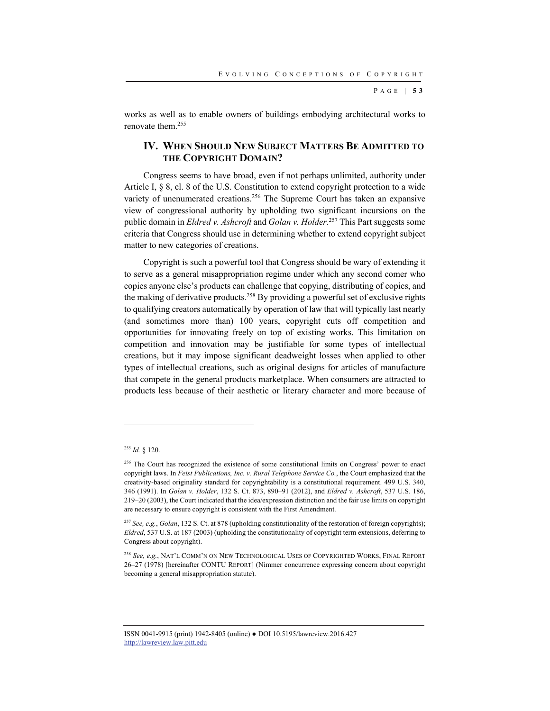P AGE | **5 3**

works as well as to enable owners of buildings embodying architectural works to renovate them.255

# **IV. WHEN SHOULD NEW SUBJECT MATTERS BE ADMITTED TO THE COPYRIGHT DOMAIN?**

Congress seems to have broad, even if not perhaps unlimited, authority under Article I, § 8, cl. 8 of the U.S. Constitution to extend copyright protection to a wide variety of unenumerated creations.<sup>256</sup> The Supreme Court has taken an expansive view of congressional authority by upholding two significant incursions on the public domain in *Eldred v. Ashcroft* and *Golan v. Holder*. 257 This Part suggests some criteria that Congress should use in determining whether to extend copyright subject matter to new categories of creations.

Copyright is such a powerful tool that Congress should be wary of extending it to serve as a general misappropriation regime under which any second comer who copies anyone else's products can challenge that copying, distributing of copies, and the making of derivative products.258 By providing a powerful set of exclusive rights to qualifying creators automatically by operation of law that will typically last nearly (and sometimes more than) 100 years, copyright cuts off competition and opportunities for innovating freely on top of existing works. This limitation on competition and innovation may be justifiable for some types of intellectual creations, but it may impose significant deadweight losses when applied to other types of intellectual creations, such as original designs for articles of manufacture that compete in the general products marketplace. When consumers are attracted to products less because of their aesthetic or literary character and more because of

l

<sup>255</sup> *Id.* § 120.

<sup>&</sup>lt;sup>256</sup> The Court has recognized the existence of some constitutional limits on Congress' power to enact copyright laws. In *Feist Publications, Inc. v. Rural Telephone Service Co.*, the Court emphasized that the creativity-based originality standard for copyrightability is a constitutional requirement. 499 U.S. 340, 346 (1991). In *Golan v. Holder*, 132 S. Ct. 873, 890–91 (2012), and *Eldred v. Ashcroft*, 537 U.S. 186, 219–20 (2003), the Court indicated that the idea/expression distinction and the fair use limits on copyright are necessary to ensure copyright is consistent with the First Amendment.

<sup>257</sup> *See, e.g.*, *Golan*, 132 S. Ct. at 878 (upholding constitutionality of the restoration of foreign copyrights); *Eldred*, 537 U.S. at 187 (2003) (upholding the constitutionality of copyright term extensions, deferring to Congress about copyright).

<sup>258</sup> *See, e.g.*, NAT'L COMM'N ON NEW TECHNOLOGICAL USES OF COPYRIGHTED WORKS, FINAL REPORT 26–27 (1978) [hereinafter CONTU REPORT] (Nimmer concurrence expressing concern about copyright becoming a general misappropriation statute).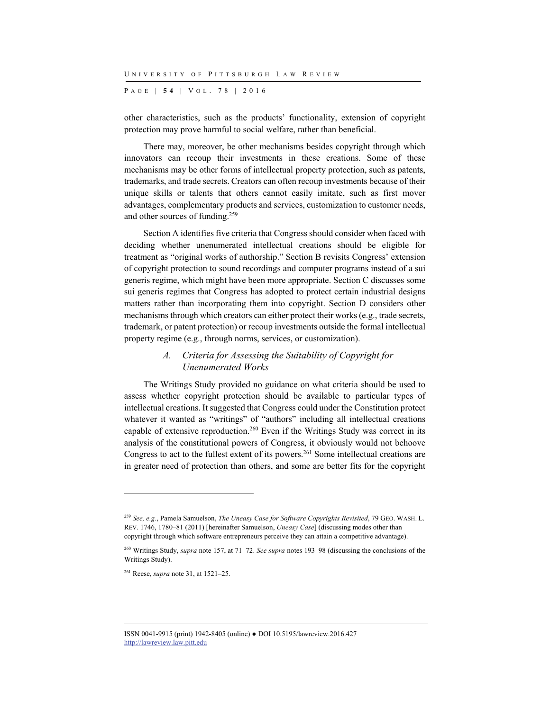P AGE | **5 4** | V O L . 7 8 | 2016

other characteristics, such as the products' functionality, extension of copyright protection may prove harmful to social welfare, rather than beneficial.

There may, moreover, be other mechanisms besides copyright through which innovators can recoup their investments in these creations. Some of these mechanisms may be other forms of intellectual property protection, such as patents, trademarks, and trade secrets. Creators can often recoup investments because of their unique skills or talents that others cannot easily imitate, such as first mover advantages, complementary products and services, customization to customer needs, and other sources of funding.259

Section A identifies five criteria that Congress should consider when faced with deciding whether unenumerated intellectual creations should be eligible for treatment as "original works of authorship." Section B revisits Congress' extension of copyright protection to sound recordings and computer programs instead of a sui generis regime, which might have been more appropriate. Section C discusses some sui generis regimes that Congress has adopted to protect certain industrial designs matters rather than incorporating them into copyright. Section D considers other mechanisms through which creators can either protect their works (e.g., trade secrets, trademark, or patent protection) or recoup investments outside the formal intellectual property regime (e.g., through norms, services, or customization).

# *A. Criteria for Assessing the Suitability of Copyright for Unenumerated Works*

The Writings Study provided no guidance on what criteria should be used to assess whether copyright protection should be available to particular types of intellectual creations. It suggested that Congress could under the Constitution protect whatever it wanted as "writings" of "authors" including all intellectual creations capable of extensive reproduction.260 Even if the Writings Study was correct in its analysis of the constitutional powers of Congress, it obviously would not behoove Congress to act to the fullest extent of its powers.261 Some intellectual creations are in greater need of protection than others, and some are better fits for the copyright

<sup>259</sup> *See, e.g.*, Pamela Samuelson, *The Uneasy Case for Software Copyrights Revisited*, 79 GEO. WASH. L. REV. 1746, 1780–81 (2011) [hereinafter Samuelson, *Uneasy Case*] (discussing modes other than copyright through which software entrepreneurs perceive they can attain a competitive advantage).

<sup>260</sup> Writings Study, *supra* note 157, at 71–72. *See supra* notes 193–98 (discussing the conclusions of the Writings Study).

<sup>261</sup> Reese, *supra* note 31, at 1521–25.

ISSN 0041-9915 (print) 1942-8405 (online) ● DOI 10.5195/lawreview.2016.427 http://lawreview.law.pitt.edu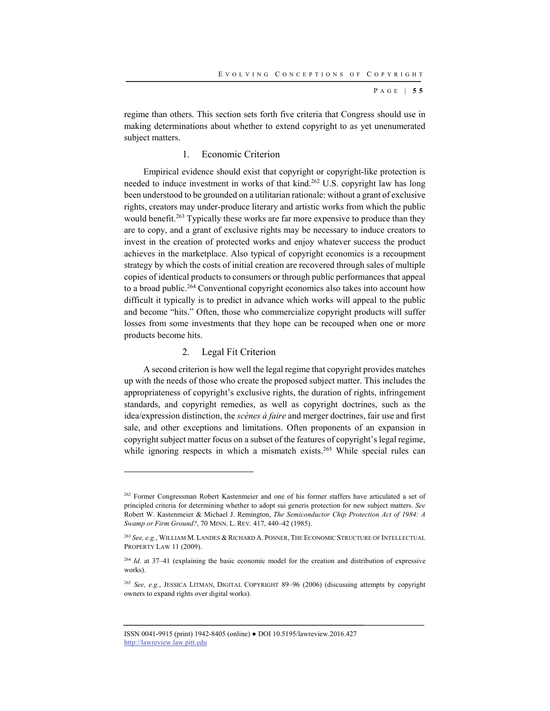P AGE | **5 5**

regime than others. This section sets forth five criteria that Congress should use in making determinations about whether to extend copyright to as yet unenumerated subject matters.

## 1. Economic Criterion

Empirical evidence should exist that copyright or copyright-like protection is needed to induce investment in works of that kind.<sup>262</sup> U.S. copyright law has long been understood to be grounded on a utilitarian rationale: without a grant of exclusive rights, creators may under-produce literary and artistic works from which the public would benefit.<sup>263</sup> Typically these works are far more expensive to produce than they are to copy, and a grant of exclusive rights may be necessary to induce creators to invest in the creation of protected works and enjoy whatever success the product achieves in the marketplace. Also typical of copyright economics is a recoupment strategy by which the costs of initial creation are recovered through sales of multiple copies of identical products to consumers or through public performances that appeal to a broad public.264 Conventional copyright economics also takes into account how difficult it typically is to predict in advance which works will appeal to the public and become "hits." Often, those who commercialize copyright products will suffer losses from some investments that they hope can be recouped when one or more products become hits.

#### 2. Legal Fit Criterion

l

A second criterion is how well the legal regime that copyright provides matches up with the needs of those who create the proposed subject matter. This includes the appropriateness of copyright's exclusive rights, the duration of rights, infringement standards, and copyright remedies, as well as copyright doctrines, such as the idea/expression distinction, the *scènes à faire* and merger doctrines, fair use and first sale, and other exceptions and limitations. Often proponents of an expansion in copyright subject matter focus on a subset of the features of copyright's legal regime, while ignoring respects in which a mismatch exists.<sup>265</sup> While special rules can

<sup>&</sup>lt;sup>262</sup> Former Congressman Robert Kastenmeier and one of his former staffers have articulated a set of principled criteria for determining whether to adopt sui generis protection for new subject matters. *See* Robert W. Kastenmeier & Michael J. Remington, *The Semiconductor Chip Protection Act of 1984: A Swamp or Firm Ground?*, 70 MINN. L. REV. 417, 440–42 (1985).

<sup>&</sup>lt;sup>263</sup> See, e.g., WILLIAM M. LANDES & RICHARD A. POSNER, THE ECONOMIC STRUCTURE OF INTELLECTUAL PROPERTY LAW 11 (2009).

<sup>&</sup>lt;sup>264</sup> *Id.* at 37-41 (explaining the basic economic model for the creation and distribution of expressive works).

<sup>265</sup> *See, e.g.*, JESSICA LITMAN, DIGITAL COPYRIGHT 89–96 (2006) (discussing attempts by copyright owners to expand rights over digital works).

ISSN 0041-9915 (print) 1942-8405 (online) ● DOI 10.5195/lawreview.2016.427 http://lawreview.law.pitt.edu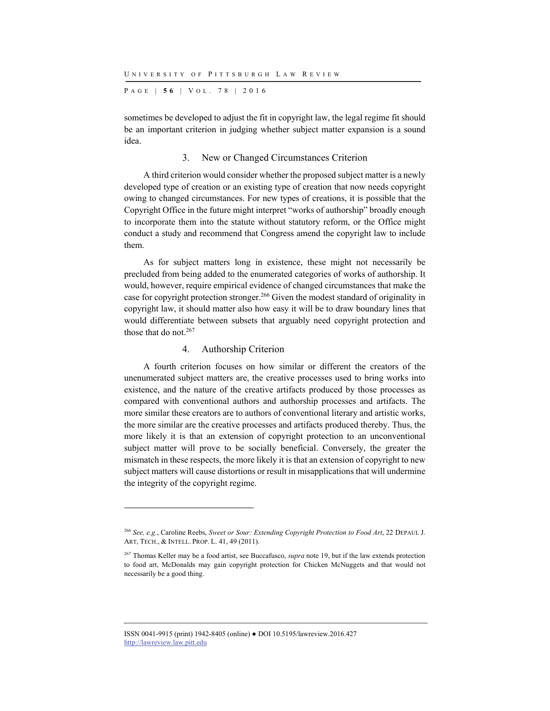P AGE | **5 6** | V O L . 7 8 | 2016

sometimes be developed to adjust the fit in copyright law, the legal regime fit should be an important criterion in judging whether subject matter expansion is a sound idea.

## 3. New or Changed Circumstances Criterion

A third criterion would consider whether the proposed subject matter is a newly developed type of creation or an existing type of creation that now needs copyright owing to changed circumstances. For new types of creations, it is possible that the Copyright Office in the future might interpret "works of authorship" broadly enough to incorporate them into the statute without statutory reform, or the Office might conduct a study and recommend that Congress amend the copyright law to include them.

As for subject matters long in existence, these might not necessarily be precluded from being added to the enumerated categories of works of authorship. It would, however, require empirical evidence of changed circumstances that make the case for copyright protection stronger.266 Given the modest standard of originality in copyright law, it should matter also how easy it will be to draw boundary lines that would differentiate between subsets that arguably need copyright protection and those that do not. $267$ 

#### 4. Authorship Criterion

l

A fourth criterion focuses on how similar or different the creators of the unenumerated subject matters are, the creative processes used to bring works into existence, and the nature of the creative artifacts produced by those processes as compared with conventional authors and authorship processes and artifacts. The more similar these creators are to authors of conventional literary and artistic works, the more similar are the creative processes and artifacts produced thereby. Thus, the more likely it is that an extension of copyright protection to an unconventional subject matter will prove to be socially beneficial. Conversely, the greater the mismatch in these respects, the more likely it is that an extension of copyright to new subject matters will cause distortions or result in misapplications that will undermine the integrity of the copyright regime.

<sup>266</sup> *See, e.g.*, Caroline Reebs, *Sweet or Sour: Extending Copyright Protection to Food Art*, 22 DEPAUL J. ART, TECH., & INTELL. PROP. L. 41, 49 (2011).

<sup>267</sup> Thomas Keller may be a food artist, see Buccafusco, *supra* note 19, but if the law extends protection to food art, McDonalds may gain copyright protection for Chicken McNuggets and that would not necessarily be a good thing.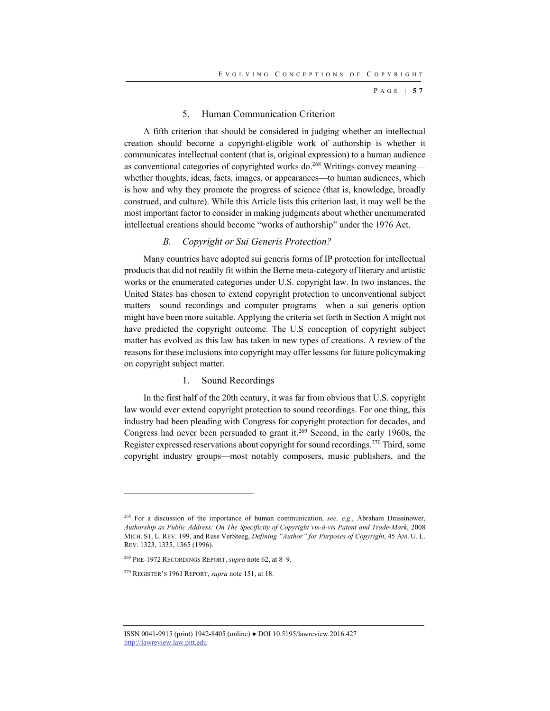P AGE | **5 7**

#### 5. Human Communication Criterion

A fifth criterion that should be considered in judging whether an intellectual creation should become a copyright-eligible work of authorship is whether it communicates intellectual content (that is, original expression) to a human audience as conventional categories of copyrighted works do.<sup>268</sup> Writings convey meaning whether thoughts, ideas, facts, images, or appearances—to human audiences, which is how and why they promote the progress of science (that is, knowledge, broadly construed, and culture). While this Article lists this criterion last, it may well be the most important factor to consider in making judgments about whether unenumerated intellectual creations should become "works of authorship" under the 1976 Act.

## *B. Copyright or Sui Generis Protection?*

Many countries have adopted sui generis forms of IP protection for intellectual products that did not readily fit within the Berne meta-category of literary and artistic works or the enumerated categories under U.S. copyright law. In two instances, the United States has chosen to extend copyright protection to unconventional subject matters—sound recordings and computer programs—when a sui generis option might have been more suitable. Applying the criteria set forth in Section A might not have predicted the copyright outcome. The U.S conception of copyright subject matter has evolved as this law has taken in new types of creations. A review of the reasons for these inclusions into copyright may offer lessons for future policymaking on copyright subject matter.

## 1. Sound Recordings

In the first half of the 20th century, it was far from obvious that U.S. copyright law would ever extend copyright protection to sound recordings. For one thing, this industry had been pleading with Congress for copyright protection for decades, and Congress had never been persuaded to grant it.<sup>269</sup> Second, in the early 1960s, the Register expressed reservations about copyright for sound recordings.<sup>270</sup> Third, some copyright industry groups—most notably composers, music publishers, and the

<sup>268</sup> For a discussion of the importance of human communication, *see, e.g.*, Abraham Drassinower, *Authorship as Public Address: On The Specificity of Copyright vis-à-vis Patent and Trade-Mark*, 2008 MICH. ST. L. REV. 199, and Russ VerSteeg, *Defining "Author" for Purposes of Copyright*, 45 AM. U. L. REV. 1323, 1335, 1365 (1996).

<sup>269</sup> PRE-1972 RECORDINGS REPORT, *supra* note 62, at 8–9.

<sup>270</sup> REGISTER'S 1961 REPORT, *supra* note 151, at 18.

ISSN 0041-9915 (print) 1942-8405 (online) ● DOI 10.5195/lawreview.2016.427 http://lawreview.law.pitt.edu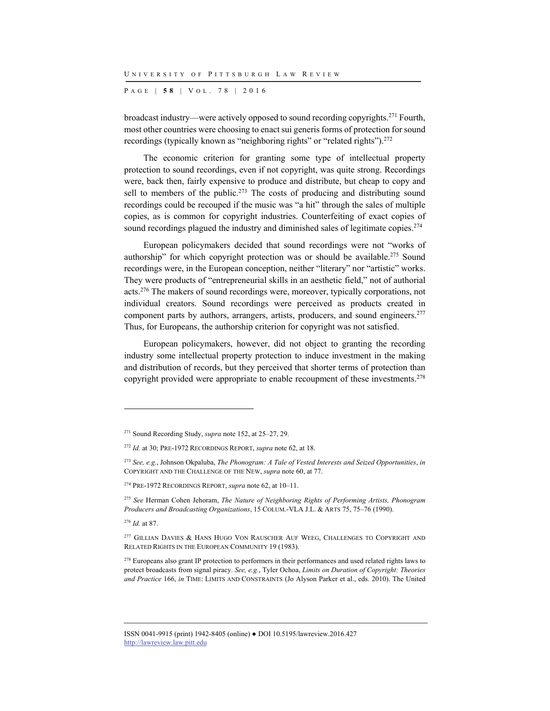P AGE | **5 8** | V O L . 7 8 | 2016

broadcast industry—were actively opposed to sound recording copyrights.271 Fourth, most other countries were choosing to enact sui generis forms of protection for sound recordings (typically known as "neighboring rights" or "related rights").<sup>272</sup>

The economic criterion for granting some type of intellectual property protection to sound recordings, even if not copyright, was quite strong. Recordings were, back then, fairly expensive to produce and distribute, but cheap to copy and sell to members of the public.<sup>273</sup> The costs of producing and distributing sound recordings could be recouped if the music was "a hit" through the sales of multiple copies, as is common for copyright industries. Counterfeiting of exact copies of sound recordings plagued the industry and diminished sales of legitimate copies.<sup>274</sup>

European policymakers decided that sound recordings were not "works of authorship" for which copyright protection was or should be available.<sup>275</sup> Sound recordings were, in the European conception, neither "literary" nor "artistic" works. They were products of "entrepreneurial skills in an aesthetic field," not of authorial acts.276 The makers of sound recordings were, moreover, typically corporations, not individual creators. Sound recordings were perceived as products created in component parts by authors, arrangers, artists, producers, and sound engineers.<sup>277</sup> Thus, for Europeans, the authorship criterion for copyright was not satisfied.

European policymakers, however, did not object to granting the recording industry some intellectual property protection to induce investment in the making and distribution of records, but they perceived that shorter terms of protection than copyright provided were appropriate to enable recoupment of these investments.<sup>278</sup>

<sup>276</sup> *Id.* at 87.

<sup>271</sup> Sound Recording Study, *supra* note 152, at 25–27, 29.

<sup>272</sup> *Id.* at 30; PRE-1972 RECORDINGS REPORT, *supra* note 62, at 18.

<sup>273</sup> *See, e.g.*, Johnson Okpaluba, *The Phonogram: A Tale of Vested Interests and Seized Opportunities*, *in* COPYRIGHT AND THE CHALLENGE OF THE NEW, *supra* note 60, at 77.

<sup>274</sup> PRE-1972 RECORDINGS REPORT, *supra* note 62, at 10–11.

<sup>275</sup> *See* Herman Cohen Jehoram, *The Nature of Neighboring Rights of Performing Artists, Phonogram Producers and Broadcasting Organizations*, 15 COLUM.-VLA J.L. & ARTS 75, 75–76 (1990).

<sup>&</sup>lt;sup>277</sup> GILLIAN DAVIES & HANS HUGO VON RAUSCHER AUF WEEG, CHALLENGES TO COPYRIGHT AND RELATED RIGHTS IN THE EUROPEAN COMMUNITY 19 (1983).

<sup>&</sup>lt;sup>278</sup> Europeans also grant IP protection to performers in their performances and used related rights laws to protect broadcasts from signal piracy. *See, e.g.*, Tyler Ochoa, *Limits on Duration of Copyright: Theories and Practice* 166, *in* TIME: LIMITS AND CONSTRAINTS (Jo Alyson Parker et al., eds. 2010). The United

ISSN 0041-9915 (print) 1942-8405 (online) ● DOI 10.5195/lawreview.2016.427 http://lawreview.law.pitt.edu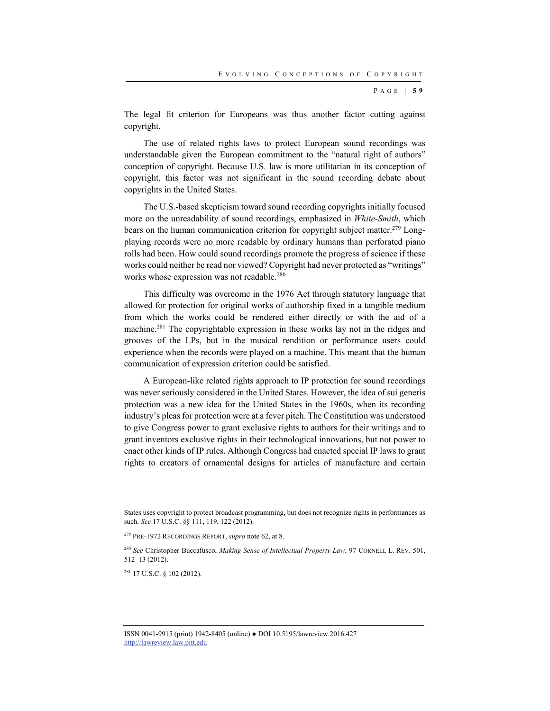P AGE | **5 9**

The legal fit criterion for Europeans was thus another factor cutting against copyright.

The use of related rights laws to protect European sound recordings was understandable given the European commitment to the "natural right of authors" conception of copyright. Because U.S. law is more utilitarian in its conception of copyright, this factor was not significant in the sound recording debate about copyrights in the United States.

The U.S.-based skepticism toward sound recording copyrights initially focused more on the unreadability of sound recordings, emphasized in *White-Smith*, which bears on the human communication criterion for copyright subject matter.279 Longplaying records were no more readable by ordinary humans than perforated piano rolls had been. How could sound recordings promote the progress of science if these works could neither be read nor viewed? Copyright had never protected as "writings" works whose expression was not readable.280

This difficulty was overcome in the 1976 Act through statutory language that allowed for protection for original works of authorship fixed in a tangible medium from which the works could be rendered either directly or with the aid of a machine.<sup>281</sup> The copyrightable expression in these works lay not in the ridges and grooves of the LPs, but in the musical rendition or performance users could experience when the records were played on a machine. This meant that the human communication of expression criterion could be satisfied.

A European-like related rights approach to IP protection for sound recordings was never seriously considered in the United States. However, the idea of sui generis protection was a new idea for the United States in the 1960s, when its recording industry's pleas for protection were at a fever pitch. The Constitution was understood to give Congress power to grant exclusive rights to authors for their writings and to grant inventors exclusive rights in their technological innovations, but not power to enact other kinds of IP rules. Although Congress had enacted special IP laws to grant rights to creators of ornamental designs for articles of manufacture and certain

281 17 U.S.C. § 102 (2012).

States uses copyright to protect broadcast programming, but does not recognize rights in performances as such. *See* 17 U.S.C. §§ 111, 119, 122 (2012).

<sup>279</sup> PRE-1972 RECORDINGS REPORT, *supra* note 62, at 8.

<sup>280</sup> *See* Christopher Buccafusco, *Making Sense of Intellectual Property Law*, 97 CORNELL L. REV. 501, 512–13 (2012).

ISSN 0041-9915 (print) 1942-8405 (online) ● DOI 10.5195/lawreview.2016.427 http://lawreview.law.pitt.edu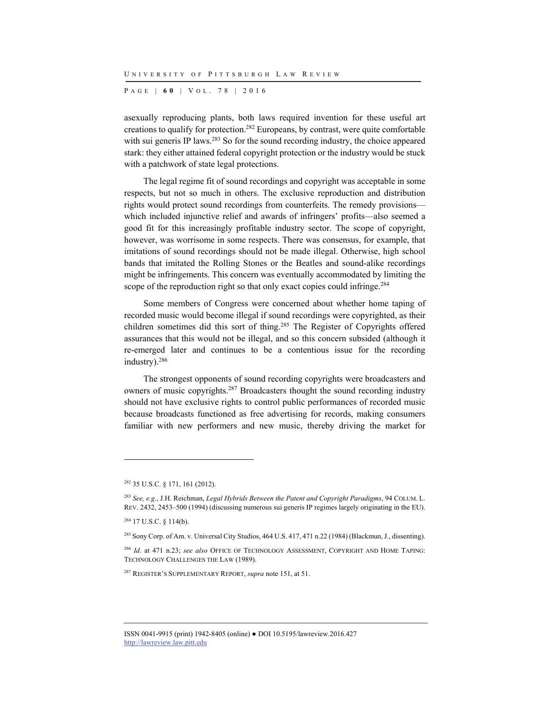P AGE | **6 0** | V O L . 7 8 | 2016

asexually reproducing plants, both laws required invention for these useful art creations to qualify for protection.282 Europeans, by contrast, were quite comfortable with sui generis IP laws.<sup>283</sup> So for the sound recording industry, the choice appeared stark: they either attained federal copyright protection or the industry would be stuck with a patchwork of state legal protections.

The legal regime fit of sound recordings and copyright was acceptable in some respects, but not so much in others. The exclusive reproduction and distribution rights would protect sound recordings from counterfeits. The remedy provisions which included injunctive relief and awards of infringers' profits—also seemed a good fit for this increasingly profitable industry sector. The scope of copyright, however, was worrisome in some respects. There was consensus, for example, that imitations of sound recordings should not be made illegal. Otherwise, high school bands that imitated the Rolling Stones or the Beatles and sound-alike recordings might be infringements. This concern was eventually accommodated by limiting the scope of the reproduction right so that only exact copies could infringe.<sup>284</sup>

Some members of Congress were concerned about whether home taping of recorded music would become illegal if sound recordings were copyrighted, as their children sometimes did this sort of thing.285 The Register of Copyrights offered assurances that this would not be illegal, and so this concern subsided (although it re-emerged later and continues to be a contentious issue for the recording industry).286

The strongest opponents of sound recording copyrights were broadcasters and owners of music copyrights.287 Broadcasters thought the sound recording industry should not have exclusive rights to control public performances of recorded music because broadcasts functioned as free advertising for records, making consumers familiar with new performers and new music, thereby driving the market for

<sup>282 35</sup> U.S.C. § 171, 161 (2012).

<sup>283</sup> *See, e.g.*, J.H. Reichman, *Legal Hybrids Between the Patent and Copyright Paradigms*, 94 COLUM. L. REV. 2432, 2453–500 (1994) (discussing numerous sui generis IP regimes largely originating in the EU).

<sup>284 17</sup> U.S.C. § 114(b).

<sup>&</sup>lt;sup>285</sup> Sony Corp. of Am. v. Universal City Studios, 464 U.S. 417, 471 n.22 (1984) (Blackmun, J., dissenting).

<sup>286</sup> *Id.* at 471 n.23; *see also* OFFICE OF TECHNOLOGY ASSESSMENT, COPYRIGHT AND HOME TAPING: TECHNOLOGY CHALLENGES THE LAW (1989).

<sup>287</sup> REGISTER'S SUPPLEMENTARY REPORT, *supra* note 151, at 51.

ISSN 0041-9915 (print) 1942-8405 (online) ● DOI 10.5195/lawreview.2016.427 http://lawreview.law.pitt.edu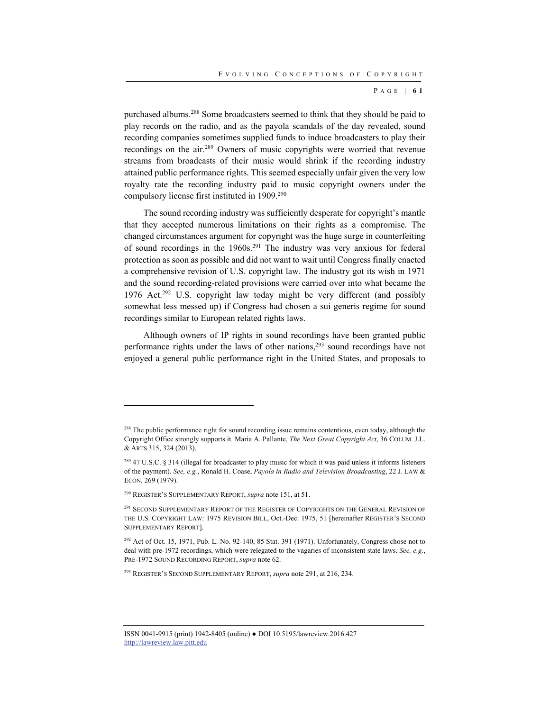P AGE | **6 1**

purchased albums.288 Some broadcasters seemed to think that they should be paid to play records on the radio, and as the payola scandals of the day revealed, sound recording companies sometimes supplied funds to induce broadcasters to play their recordings on the air.289 Owners of music copyrights were worried that revenue streams from broadcasts of their music would shrink if the recording industry attained public performance rights. This seemed especially unfair given the very low royalty rate the recording industry paid to music copyright owners under the compulsory license first instituted in 1909.290

The sound recording industry was sufficiently desperate for copyright's mantle that they accepted numerous limitations on their rights as a compromise. The changed circumstances argument for copyright was the huge surge in counterfeiting of sound recordings in the  $1960s$ .<sup>291</sup> The industry was very anxious for federal protection as soon as possible and did not want to wait until Congress finally enacted a comprehensive revision of U.S. copyright law. The industry got its wish in 1971 and the sound recording-related provisions were carried over into what became the 1976 Act.<sup>292</sup> U.S. copyright law today might be very different (and possibly somewhat less messed up) if Congress had chosen a sui generis regime for sound recordings similar to European related rights laws.

Although owners of IP rights in sound recordings have been granted public performance rights under the laws of other nations,<sup>293</sup> sound recordings have not enjoyed a general public performance right in the United States, and proposals to

<sup>&</sup>lt;sup>288</sup> The public performance right for sound recording issue remains contentious, even today, although the Copyright Office strongly supports it. Maria A. Pallante, *The Next Great Copyright Act*, 36 COLUM. J.L. & ARTS 315, 324 (2013).

 $^{289}$  47 U.S.C. § 314 (illegal for broadcaster to play music for which it was paid unless it informs listeners of the payment). *See, e.g.*, Ronald H. Coase, *Payola in Radio and Television Broadcasting*, 22 J. LAW & ECON. 269 (1979).

<sup>290</sup> REGISTER'S SUPPLEMENTARY REPORT, *supra* note 151, at 51.

<sup>&</sup>lt;sup>291</sup> SECOND SUPPLEMENTARY REPORT OF THE REGISTER OF COPYRIGHTS ON THE GENERAL REVISION OF THE U.S. COPYRIGHT LAW: 1975 REVISION BILL, Oct.-Dec. 1975, 51 [hereinafter REGISTER'S SECOND SUPPLEMENTARY REPORT].

<sup>292</sup> Act of Oct. 15, 1971, Pub. L. No. 92-140, 85 Stat. 391 (1971). Unfortunately, Congress chose not to deal with pre-1972 recordings, which were relegated to the vagaries of inconsistent state laws. *See, e.g.*, PRE-1972 SOUND RECORDING REPORT, *supra* note 62.

<sup>293</sup> REGISTER'S SECOND SUPPLEMENTARY REPORT, *supra* note 291, at 216, 234.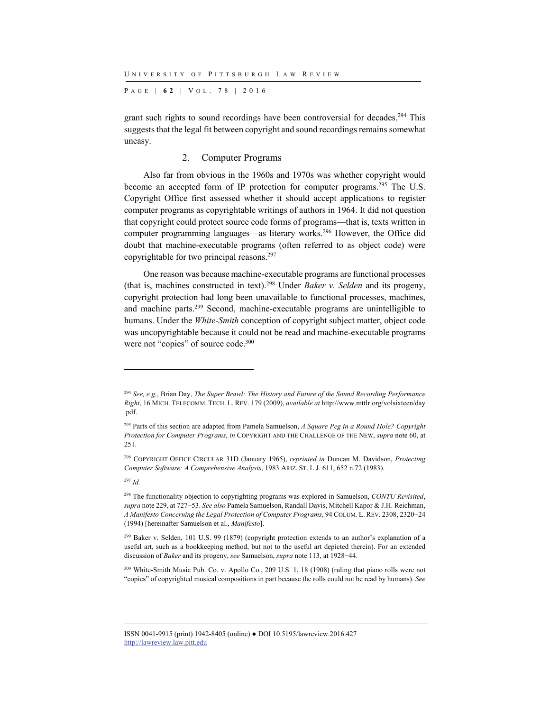P AGE | **6 2** | V O L . 7 8 | 2016

grant such rights to sound recordings have been controversial for decades.<sup>294</sup> This suggests that the legal fit between copyright and sound recordings remains somewhat uneasy.

## 2. Computer Programs

Also far from obvious in the 1960s and 1970s was whether copyright would become an accepted form of IP protection for computer programs.<sup>295</sup> The U.S. Copyright Office first assessed whether it should accept applications to register computer programs as copyrightable writings of authors in 1964. It did not question that copyright could protect source code forms of programs—that is, texts written in computer programming languages—as literary works.296 However, the Office did doubt that machine-executable programs (often referred to as object code) were copyrightable for two principal reasons.<sup>297</sup>

One reason was because machine-executable programs are functional processes (that is, machines constructed in text).298 Under *Baker v. Selden* and its progeny, copyright protection had long been unavailable to functional processes, machines, and machine parts.299 Second, machine-executable programs are unintelligible to humans. Under the *White-Smith* conception of copyright subject matter, object code was uncopyrightable because it could not be read and machine-executable programs were not "copies" of source code.<sup>300</sup>

<sup>294</sup> *See, e.g.*, Brian Day, *The Super Brawl: The History and Future of the Sound Recording Performance Right*, 16 MICH. TELECOMM. TECH. L. REV. 179 (2009), *available at* http://www.mttlr.org/volsixteen/day .pdf.

<sup>295</sup> Parts of this section are adapted from Pamela Samuelson, *A Square Peg in a Round Hole? Copyright Protection for Computer Programs*, *in* COPYRIGHT AND THE CHALLENGE OF THE NEW, *supra* note 60, at 251.

<sup>296</sup> COPYRIGHT OFFICE CIRCULAR 31D (January 1965), *reprinted in* Duncan M. Davidson, *Protecting Computer Software: A Comprehensive Analysis*, 1983 ARIZ. ST. L.J. 611, 652 n.72 (1983).

<sup>297</sup> *Id.*

<sup>298</sup> The functionality objection to copyrighting programs was explored in Samuelson, *CONTU Revisited*, *supra* note 229, at 727−53. *See also* Pamela Samuelson, Randall Davis, Mitchell Kapor & J.H. Reichman, *A Manifesto Concerning the Legal Protection of Computer Programs*, 94 COLUM. L. REV. 2308, 2320−24 (1994) [hereinafter Samuelson et al., *Manifesto*].

<sup>&</sup>lt;sup>299</sup> Baker v. Selden, 101 U.S. 99 (1879) (copyright protection extends to an author's explanation of a useful art, such as a bookkeeping method, but not to the useful art depicted therein). For an extended discussion of *Baker* and its progeny, *see* Samuelson, *supra* note 113, at 1928−44.

<sup>300</sup> White-Smith Music Pub. Co. v. Apollo Co., 209 U.S. 1, 18 (1908) (ruling that piano rolls were not "copies" of copyrighted musical compositions in part because the rolls could not be read by humans). *See* 

ISSN 0041-9915 (print) 1942-8405 (online) ● DOI 10.5195/lawreview.2016.427 http://lawreview.law.pitt.edu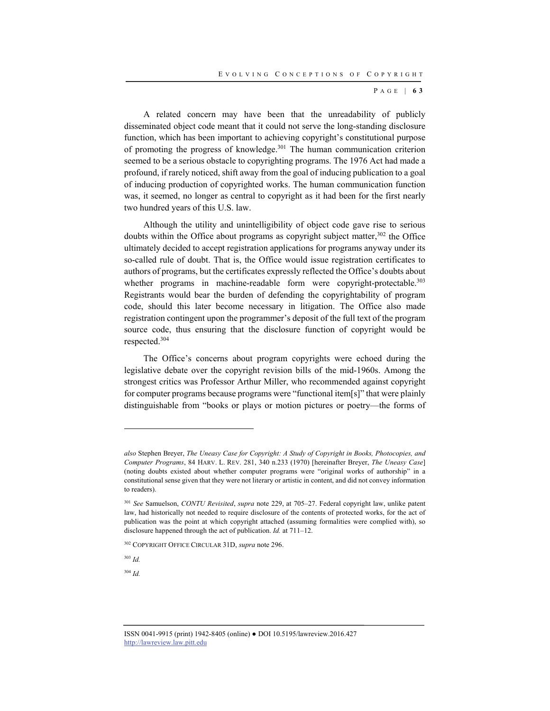P AGE | **6 3**

A related concern may have been that the unreadability of publicly disseminated object code meant that it could not serve the long-standing disclosure function, which has been important to achieving copyright's constitutional purpose of promoting the progress of knowledge.<sup>301</sup> The human communication criterion seemed to be a serious obstacle to copyrighting programs. The 1976 Act had made a profound, if rarely noticed, shift away from the goal of inducing publication to a goal of inducing production of copyrighted works. The human communication function was, it seemed, no longer as central to copyright as it had been for the first nearly two hundred years of this U.S. law.

Although the utility and unintelligibility of object code gave rise to serious doubts within the Office about programs as copyright subject matter, $302$  the Office ultimately decided to accept registration applications for programs anyway under its so-called rule of doubt. That is, the Office would issue registration certificates to authors of programs, but the certificates expressly reflected the Office's doubts about whether programs in machine-readable form were copyright-protectable.<sup>303</sup> Registrants would bear the burden of defending the copyrightability of program code, should this later become necessary in litigation. The Office also made registration contingent upon the programmer's deposit of the full text of the program source code, thus ensuring that the disclosure function of copyright would be respected.304

The Office's concerns about program copyrights were echoed during the legislative debate over the copyright revision bills of the mid-1960s. Among the strongest critics was Professor Arthur Miller, who recommended against copyright for computer programs because programs were "functional item[s]" that were plainly distinguishable from "books or plays or motion pictures or poetry—the forms of

l

<sup>304</sup> *Id.*

*also* Stephen Breyer, *The Uneasy Case for Copyright: A Study of Copyright in Books, Photocopies, and Computer Programs*, 84 HARV. L. REV. 281, 340 n.233 (1970) [hereinafter Breyer, *The Uneasy Case*] (noting doubts existed about whether computer programs were "original works of authorship" in a constitutional sense given that they were not literary or artistic in content, and did not convey information to readers).

<sup>301</sup> *See* Samuelson, *CONTU Revisited*, *supra* note 229, at 705–27. Federal copyright law, unlike patent law, had historically not needed to require disclosure of the contents of protected works, for the act of publication was the point at which copyright attached (assuming formalities were complied with), so disclosure happened through the act of publication. *Id.* at 711–12.

<sup>302</sup> COPYRIGHT OFFICE CIRCULAR 31D, *supra* note 296.

<sup>303</sup> *Id.*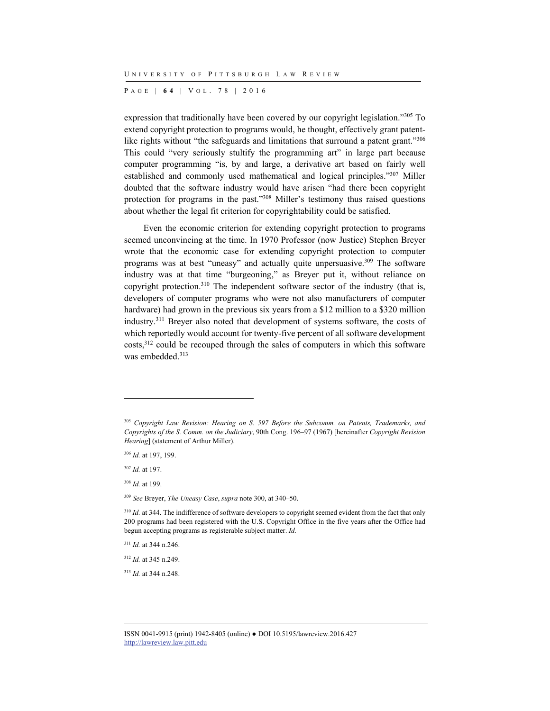P AGE | **6 4** | V O L . 7 8 | 2016

expression that traditionally have been covered by our copyright legislation."305 To extend copyright protection to programs would, he thought, effectively grant patentlike rights without "the safeguards and limitations that surround a patent grant."<sup>306</sup> This could "very seriously stultify the programming art" in large part because computer programming "is, by and large, a derivative art based on fairly well established and commonly used mathematical and logical principles."307 Miller doubted that the software industry would have arisen "had there been copyright protection for programs in the past."308 Miller's testimony thus raised questions about whether the legal fit criterion for copyrightability could be satisfied.

Even the economic criterion for extending copyright protection to programs seemed unconvincing at the time. In 1970 Professor (now Justice) Stephen Breyer wrote that the economic case for extending copyright protection to computer programs was at best "uneasy" and actually quite unpersuasive.309 The software industry was at that time "burgeoning," as Breyer put it, without reliance on copyright protection.<sup>310</sup> The independent software sector of the industry (that is, developers of computer programs who were not also manufacturers of computer hardware) had grown in the previous six years from a \$12 million to a \$320 million industry.311 Breyer also noted that development of systems software, the costs of which reportedly would account for twenty-five percent of all software development costs,312 could be recouped through the sales of computers in which this software was embedded.<sup>313</sup>

l

<sup>311</sup> *Id.* at 344 n.246.

<sup>312</sup> *Id.* at 345 n.249.

<sup>313</sup> *Id.* at 344 n.248.

<sup>305</sup> *Copyright Law Revision: Hearing on S. 597 Before the Subcomm. on Patents, Trademarks, and Copyrights of the S. Comm. on the Judiciary*, 90th Cong. 196–97 (1967) [hereinafter *Copyright Revision Hearing*] (statement of Arthur Miller).

<sup>306</sup> *Id.* at 197, 199.

<sup>307</sup> *Id.* at 197.

<sup>308</sup> *Id.* at 199.

<sup>309</sup> *See* Breyer, *The Uneasy Case*, *supra* note 300, at 340–50.

<sup>&</sup>lt;sup>310</sup> *Id.* at 344. The indifference of software developers to copyright seemed evident from the fact that only 200 programs had been registered with the U.S. Copyright Office in the five years after the Office had begun accepting programs as registerable subject matter. *Id.*

ISSN 0041-9915 (print) 1942-8405 (online) ● DOI 10.5195/lawreview.2016.427 http://lawreview.law.pitt.edu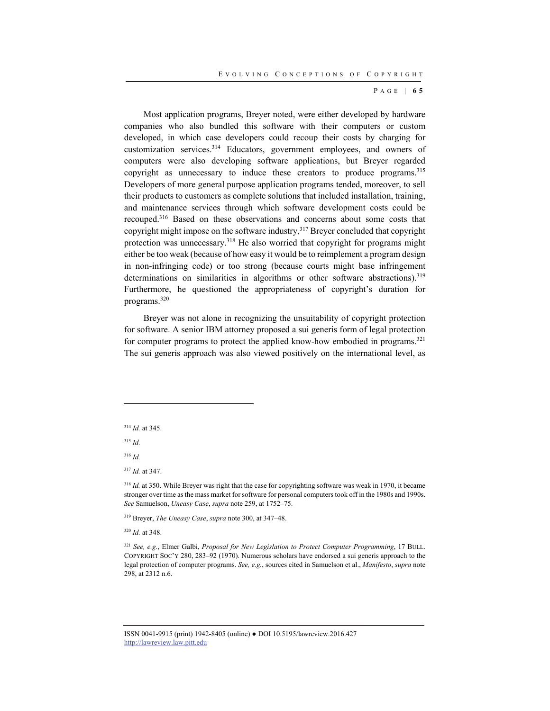#### P AGE | **6 5**

Most application programs, Breyer noted, were either developed by hardware companies who also bundled this software with their computers or custom developed, in which case developers could recoup their costs by charging for customization services.314 Educators, government employees, and owners of computers were also developing software applications, but Breyer regarded copyright as unnecessary to induce these creators to produce programs.<sup>315</sup> Developers of more general purpose application programs tended, moreover, to sell their products to customers as complete solutions that included installation, training, and maintenance services through which software development costs could be recouped.316 Based on these observations and concerns about some costs that copyright might impose on the software industry,317 Breyer concluded that copyright protection was unnecessary.<sup>318</sup> He also worried that copyright for programs might either be too weak (because of how easy it would be to reimplement a program design in non-infringing code) or too strong (because courts might base infringement determinations on similarities in algorithms or other software abstractions).<sup>319</sup> Furthermore, he questioned the appropriateness of copyright's duration for programs.320

Breyer was not alone in recognizing the unsuitability of copyright protection for software. A senior IBM attorney proposed a sui generis form of legal protection for computer programs to protect the applied know-how embodied in programs.<sup>321</sup> The sui generis approach was also viewed positively on the international level, as

<sup>314</sup> *Id.* at 345.

<sup>315</sup> *Id.*

l

<sup>316</sup> *Id.*

<sup>317</sup> *Id.* at 347.

<sup>318</sup> *Id.* at 350. While Breyer was right that the case for copyrighting software was weak in 1970, it became stronger over time as the mass market for software for personal computers took off in the 1980s and 1990s. *See* Samuelson, *Uneasy Case*, *supra* note 259, at 1752–75.

319 Breyer, *The Uneasy Case*, *supra* note 300, at 347–48.

<sup>320</sup> *Id.* at 348.

<sup>321</sup> *See, e.g.*, Elmer Galbi, *Proposal for New Legislation to Protect Computer Programming*, 17 BULL. COPYRIGHT SOC'Y 280, 283–92 (1970). Numerous scholars have endorsed a sui generis approach to the legal protection of computer programs. *See, e.g.*, sources cited in Samuelson et al., *Manifesto*, *supra* note 298, at 2312 n.6.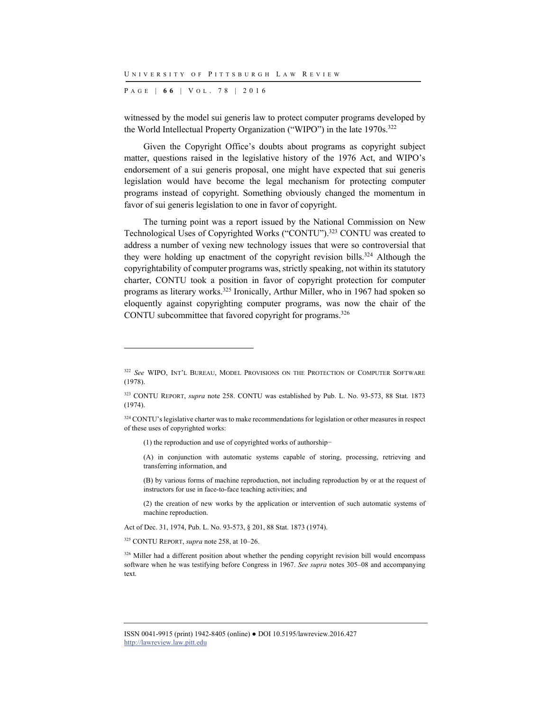P AGE | **6 6** | V O L . 7 8 | 2016

witnessed by the model sui generis law to protect computer programs developed by the World Intellectual Property Organization ("WIPO") in the late 1970s.<sup>322</sup>

Given the Copyright Office's doubts about programs as copyright subject matter, questions raised in the legislative history of the 1976 Act, and WIPO's endorsement of a sui generis proposal, one might have expected that sui generis legislation would have become the legal mechanism for protecting computer programs instead of copyright. Something obviously changed the momentum in favor of sui generis legislation to one in favor of copyright.

The turning point was a report issued by the National Commission on New Technological Uses of Copyrighted Works ("CONTU").323 CONTU was created to address a number of vexing new technology issues that were so controversial that they were holding up enactment of the copyright revision bills.<sup>324</sup> Although the copyrightability of computer programs was, strictly speaking, not within its statutory charter, CONTU took a position in favor of copyright protection for computer programs as literary works.325 Ironically, Arthur Miller, who in 1967 had spoken so eloquently against copyrighting computer programs, was now the chair of the CONTU subcommittee that favored copyright for programs.326

(1) the reproduction and use of copyrighted works of authorship−

(A) in conjunction with automatic systems capable of storing, processing, retrieving and transferring information, and

 (B) by various forms of machine reproduction, not including reproduction by or at the request of instructors for use in face-to-face teaching activities; and

 (2) the creation of new works by the application or intervention of such automatic systems of machine reproduction.

Act of Dec. 31, 1974, Pub. L. No. 93-573, § 201, 88 Stat. 1873 (1974).

325 CONTU REPORT, *supra* note 258, at 10–26.

l

326 Miller had a different position about whether the pending copyright revision bill would encompass software when he was testifying before Congress in 1967. *See supra* notes 305–08 and accompanying text.

<sup>322</sup> *See* WIPO, INT'L BUREAU, MODEL PROVISIONS ON THE PROTECTION OF COMPUTER SOFTWARE (1978).

<sup>323</sup> CONTU REPORT, *supra* note 258. CONTU was established by Pub. L. No. 93-573, 88 Stat. 1873 (1974).

<sup>&</sup>lt;sup>324</sup> CONTU's legislative charter was to make recommendations for legislation or other measures in respect of these uses of copyrighted works:

ISSN 0041-9915 (print) 1942-8405 (online) ● DOI 10.5195/lawreview.2016.427 http://lawreview.law.pitt.edu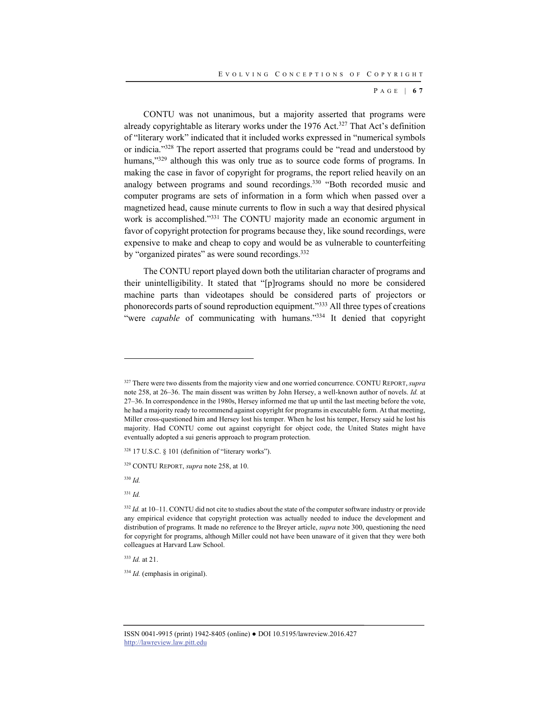P AGE | **6 7**

CONTU was not unanimous, but a majority asserted that programs were already copyrightable as literary works under the 1976 Act.<sup>327</sup> That Act's definition of "literary work" indicated that it included works expressed in "numerical symbols or indicia."328 The report asserted that programs could be "read and understood by humans,"<sup>329</sup> although this was only true as to source code forms of programs. In making the case in favor of copyright for programs, the report relied heavily on an analogy between programs and sound recordings.<sup>330</sup> "Both recorded music and computer programs are sets of information in a form which when passed over a magnetized head, cause minute currents to flow in such a way that desired physical work is accomplished."<sup>331</sup> The CONTU majority made an economic argument in favor of copyright protection for programs because they, like sound recordings, were expensive to make and cheap to copy and would be as vulnerable to counterfeiting by "organized pirates" as were sound recordings.<sup>332</sup>

The CONTU report played down both the utilitarian character of programs and their unintelligibility. It stated that "[p]rograms should no more be considered machine parts than videotapes should be considered parts of projectors or phonorecords parts of sound reproduction equipment."333 All three types of creations "were *capable* of communicating with humans."<sup>334</sup> It denied that copyright

<sup>330</sup> *Id.*

l

<sup>331</sup> *Id.*

<sup>333</sup> *Id.* at 21.

<sup>334</sup> *Id.* (emphasis in original).

<sup>327</sup> There were two dissents from the majority view and one worried concurrence. CONTU REPORT, *supra* note 258, at 26–36. The main dissent was written by John Hersey, a well-known author of novels. *Id.* at 27–36. In correspondence in the 1980s, Hersey informed me that up until the last meeting before the vote, he had a majority ready to recommend against copyright for programs in executable form. At that meeting, Miller cross-questioned him and Hersey lost his temper. When he lost his temper, Hersey said he lost his majority. Had CONTU come out against copyright for object code, the United States might have eventually adopted a sui generis approach to program protection.

 $328$  17 U.S.C.  $\S$  101 (definition of "literary works").

<sup>329</sup> CONTU REPORT, *supra* note 258, at 10.

<sup>332</sup> *Id.* at 10–11. CONTU did not cite to studies about the state of the computer software industry or provide any empirical evidence that copyright protection was actually needed to induce the development and distribution of programs. It made no reference to the Breyer article, *supra* note 300, questioning the need for copyright for programs, although Miller could not have been unaware of it given that they were both colleagues at Harvard Law School.

ISSN 0041-9915 (print) 1942-8405 (online) ● DOI 10.5195/lawreview.2016.427 http://lawreview.law.pitt.edu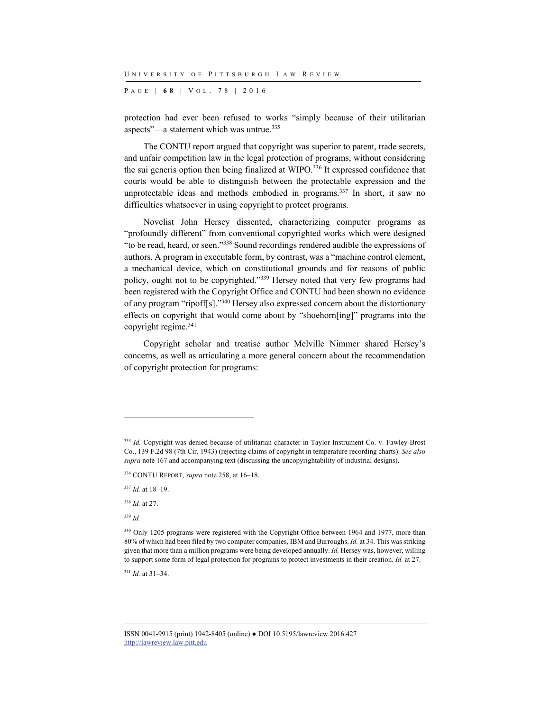P AGE | **6 8** | V O L . 7 8 | 2016

protection had ever been refused to works "simply because of their utilitarian aspects"—a statement which was untrue.335

The CONTU report argued that copyright was superior to patent, trade secrets, and unfair competition law in the legal protection of programs, without considering the sui generis option then being finalized at WIPO.336 It expressed confidence that courts would be able to distinguish between the protectable expression and the unprotectable ideas and methods embodied in programs.<sup>337</sup> In short, it saw no difficulties whatsoever in using copyright to protect programs.

Novelist John Hersey dissented, characterizing computer programs as "profoundly different" from conventional copyrighted works which were designed "to be read, heard, or seen."338 Sound recordings rendered audible the expressions of authors. A program in executable form, by contrast, was a "machine control element, a mechanical device, which on constitutional grounds and for reasons of public policy, ought not to be copyrighted."339 Hersey noted that very few programs had been registered with the Copyright Office and CONTU had been shown no evidence of any program "ripoff[s]."340 Hersey also expressed concern about the distortionary effects on copyright that would come about by "shoehorn[ing]" programs into the copyright regime.341

Copyright scholar and treatise author Melville Nimmer shared Hersey's concerns, as well as articulating a more general concern about the recommendation of copyright protection for programs:

l

<sup>341</sup> *Id.* at 31–34.

<sup>&</sup>lt;sup>335</sup> *Id.* Copyright was denied because of utilitarian character in Taylor Instrument Co. v. Fawley-Brost Co., 139 F.2d 98 (7th Cir. 1943) (rejecting claims of copyright in temperature recording charts). *See also supra* note 167 and accompanying text (discussing the uncopyrightability of industrial designs).

<sup>336</sup> CONTU REPORT, *supra* note 258, at 16–18.

<sup>337</sup> *Id.* at 18–19.

<sup>338</sup> *Id.* at 27.

<sup>339</sup> *Id.*

<sup>&</sup>lt;sup>340</sup> Only 1205 programs were registered with the Copyright Office between 1964 and 1977, more than 80% of which had been filed by two computer companies, IBM and Burroughs. *Id.* at 34. This was striking given that more than a million programs were being developed annually. *Id.* Hersey was, however, willing to support some form of legal protection for programs to protect investments in their creation. *Id.* at 27.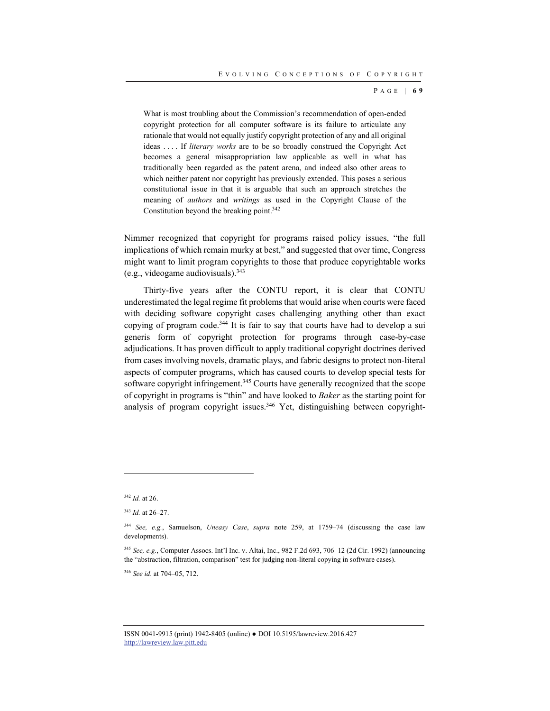P AGE | **6 9**

What is most troubling about the Commission's recommendation of open-ended copyright protection for all computer software is its failure to articulate any rationale that would not equally justify copyright protection of any and all original ideas . . . . If *literary works* are to be so broadly construed the Copyright Act becomes a general misappropriation law applicable as well in what has traditionally been regarded as the patent arena, and indeed also other areas to which neither patent nor copyright has previously extended. This poses a serious constitutional issue in that it is arguable that such an approach stretches the meaning of *authors* and *writings* as used in the Copyright Clause of the Constitution beyond the breaking point.<sup>342</sup>

Nimmer recognized that copyright for programs raised policy issues, "the full implications of which remain murky at best," and suggested that over time, Congress might want to limit program copyrights to those that produce copyrightable works (e.g., videogame audiovisuals).343

Thirty-five years after the CONTU report, it is clear that CONTU underestimated the legal regime fit problems that would arise when courts were faced with deciding software copyright cases challenging anything other than exact copying of program code.344 It is fair to say that courts have had to develop a sui generis form of copyright protection for programs through case-by-case adjudications. It has proven difficult to apply traditional copyright doctrines derived from cases involving novels, dramatic plays, and fabric designs to protect non-literal aspects of computer programs, which has caused courts to develop special tests for software copyright infringement.<sup>345</sup> Courts have generally recognized that the scope of copyright in programs is "thin" and have looked to *Baker* as the starting point for analysis of program copyright issues.<sup>346</sup> Yet, distinguishing between copyright-

<sup>342</sup> *Id.* at 26.

<sup>343</sup> *Id.* at 26–27.

<sup>344</sup> *See, e.g.*, Samuelson, *Uneasy Case*, *supra* note 259, at 1759–74 (discussing the case law developments).

<sup>345</sup> *See, e.g.*, Computer Assocs. Int'l Inc. v. Altai, Inc., 982 F.2d 693, 706–12 (2d Cir. 1992) (announcing the "abstraction, filtration, comparison" test for judging non-literal copying in software cases).

<sup>346</sup> *See id*. at 704–05, 712.

ISSN 0041-9915 (print) 1942-8405 (online) ● DOI 10.5195/lawreview.2016.427 http://lawreview.law.pitt.edu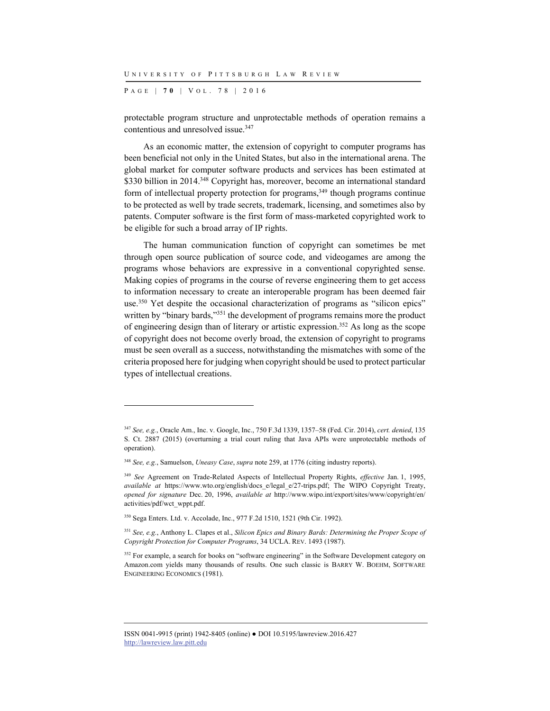P AGE | **7 0** | V O L . 7 8 | 2016

protectable program structure and unprotectable methods of operation remains a contentious and unresolved issue.<sup>347</sup>

As an economic matter, the extension of copyright to computer programs has been beneficial not only in the United States, but also in the international arena. The global market for computer software products and services has been estimated at \$330 billion in 2014.<sup>348</sup> Copyright has, moreover, become an international standard form of intellectual property protection for programs, $349$  though programs continue to be protected as well by trade secrets, trademark, licensing, and sometimes also by patents. Computer software is the first form of mass-marketed copyrighted work to be eligible for such a broad array of IP rights.

The human communication function of copyright can sometimes be met through open source publication of source code, and videogames are among the programs whose behaviors are expressive in a conventional copyrighted sense. Making copies of programs in the course of reverse engineering them to get access to information necessary to create an interoperable program has been deemed fair use.<sup>350</sup> Yet despite the occasional characterization of programs as "silicon epics" written by "binary bards,"<sup>351</sup> the development of programs remains more the product of engineering design than of literary or artistic expression.352 As long as the scope of copyright does not become overly broad, the extension of copyright to programs must be seen overall as a success, notwithstanding the mismatches with some of the criteria proposed here for judging when copyright should be used to protect particular types of intellectual creations.

<sup>347</sup> *See, e.g.*, Oracle Am., Inc. v. Google, Inc., 750 F.3d 1339, 1357–58 (Fed. Cir. 2014), *cert. denied*, 135 S. Ct. 2887 (2015) (overturning a trial court ruling that Java APIs were unprotectable methods of operation).

<sup>348</sup> *See, e.g.*, Samuelson, *Uneasy Case*, *supra* note 259, at 1776 (citing industry reports).

<sup>349</sup> *See* Agreement on Trade-Related Aspects of Intellectual Property Rights, *effective* Jan. 1, 1995, *available at* https://www.wto.org/english/docs\_e/legal\_e/27-trips.pdf; The WIPO Copyright Treaty, *opened for signature* Dec. 20, 1996, *available at* http://www.wipo.int/export/sites/www/copyright/en/ activities/pdf/wct\_wppt.pdf.

<sup>350</sup> Sega Enters. Ltd. v. Accolade, Inc., 977 F.2d 1510, 1521 (9th Cir. 1992).

<sup>351</sup> *See, e.g.*, Anthony L. Clapes et al., *Silicon Epics and Binary Bards: Determining the Proper Scope of Copyright Protection for Computer Programs*, 34 UCLA. REV. 1493 (1987).

<sup>&</sup>lt;sup>352</sup> For example, a search for books on "software engineering" in the Software Development category on Amazon.com yields many thousands of results. One such classic is BARRY W. BOEHM, SOFTWARE ENGINEERING ECONOMICS (1981).

ISSN 0041-9915 (print) 1942-8405 (online) ● DOI 10.5195/lawreview.2016.427 http://lawreview.law.pitt.edu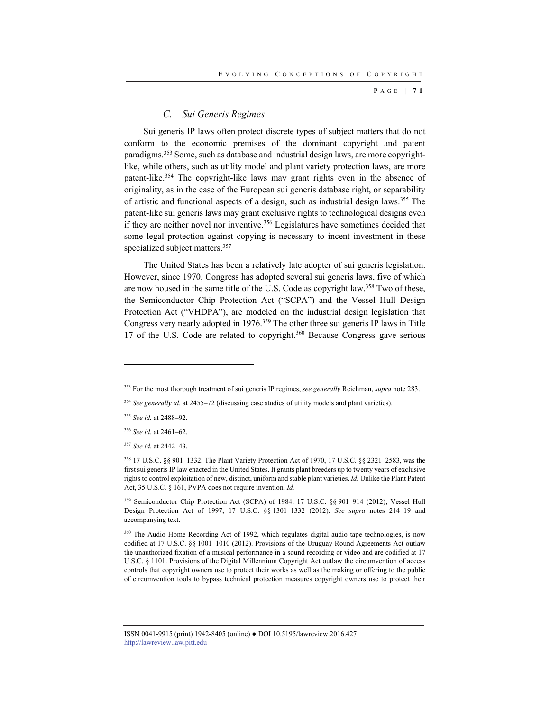P AGE | **7 1**

## *C. Sui Generis Regimes*

Sui generis IP laws often protect discrete types of subject matters that do not conform to the economic premises of the dominant copyright and patent paradigms.353 Some, such as database and industrial design laws, are more copyrightlike, while others, such as utility model and plant variety protection laws, are more patent-like.354 The copyright-like laws may grant rights even in the absence of originality, as in the case of the European sui generis database right, or separability of artistic and functional aspects of a design, such as industrial design laws.<sup>355</sup> The patent-like sui generis laws may grant exclusive rights to technological designs even if they are neither novel nor inventive.356 Legislatures have sometimes decided that some legal protection against copying is necessary to incent investment in these specialized subject matters.<sup>357</sup>

The United States has been a relatively late adopter of sui generis legislation. However, since 1970, Congress has adopted several sui generis laws, five of which are now housed in the same title of the U.S. Code as copyright law.<sup>358</sup> Two of these, the Semiconductor Chip Protection Act ("SCPA") and the Vessel Hull Design Protection Act ("VHDPA"), are modeled on the industrial design legislation that Congress very nearly adopted in 1976.<sup>359</sup> The other three sui generis IP laws in Title 17 of the U.S. Code are related to copyright.<sup>360</sup> Because Congress gave serious

l

359 Semiconductor Chip Protection Act (SCPA) of 1984, 17 U.S.C. §§ 901–914 (2012); Vessel Hull Design Protection Act of 1997, 17 U.S.C. §§ 1301–1332 (2012). *See supra* notes 214–19 and accompanying text.

<sup>360</sup> The Audio Home Recording Act of 1992, which regulates digital audio tape technologies, is now codified at 17 U.S.C. §§ 1001–1010 (2012). Provisions of the Uruguay Round Agreements Act outlaw the unauthorized fixation of a musical performance in a sound recording or video and are codified at 17 U.S.C. § 1101. Provisions of the Digital Millennium Copyright Act outlaw the circumvention of access controls that copyright owners use to protect their works as well as the making or offering to the public of circumvention tools to bypass technical protection measures copyright owners use to protect their

<sup>353</sup> For the most thorough treatment of sui generis IP regimes, *see generally* Reichman, *supra* note 283.

<sup>354</sup> *See generally id.* at 2455–72 (discussing case studies of utility models and plant varieties).

<sup>355</sup> *See id.* at 2488–92.

<sup>356</sup> *See id.* at 2461–62.

<sup>357</sup> *See id.* at 2442–43.

<sup>358 17</sup> U.S.C. §§ 901–1332. The Plant Variety Protection Act of 1970, 17 U.S.C. §§ 2321–2583, was the first sui generis IP law enacted in the United States. It grants plant breeders up to twenty years of exclusive rights to control exploitation of new, distinct, uniform and stable plant varieties. *Id.* Unlike the Plant Patent Act, 35 U.S.C. § 161, PVPA does not require invention. *Id.*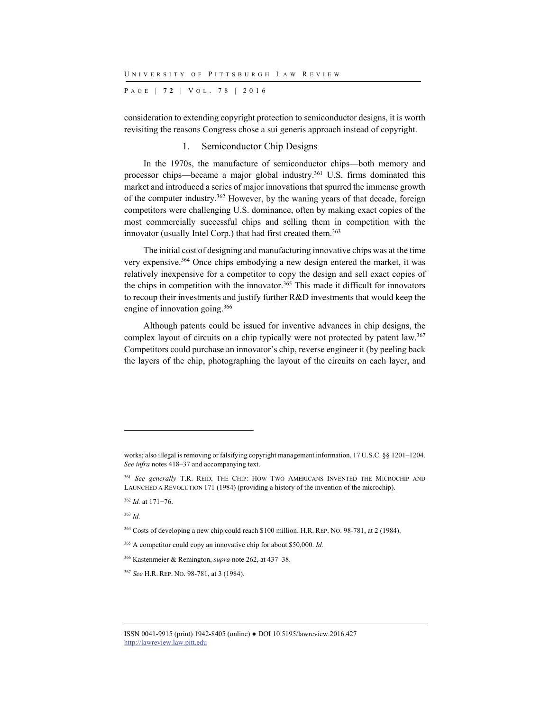P AGE | **7 2** | V O L . 7 8 | 2016

consideration to extending copyright protection to semiconductor designs, it is worth revisiting the reasons Congress chose a sui generis approach instead of copyright.

## 1. Semiconductor Chip Designs

In the 1970s, the manufacture of semiconductor chips—both memory and processor chips—became a major global industry.<sup>361</sup> U.S. firms dominated this market and introduced a series of major innovations that spurred the immense growth of the computer industry.362 However, by the waning years of that decade, foreign competitors were challenging U.S. dominance, often by making exact copies of the most commercially successful chips and selling them in competition with the innovator (usually Intel Corp.) that had first created them.<sup>363</sup>

The initial cost of designing and manufacturing innovative chips was at the time very expensive.364 Once chips embodying a new design entered the market, it was relatively inexpensive for a competitor to copy the design and sell exact copies of the chips in competition with the innovator.365 This made it difficult for innovators to recoup their investments and justify further R&D investments that would keep the engine of innovation going.<sup>366</sup>

Although patents could be issued for inventive advances in chip designs, the complex layout of circuits on a chip typically were not protected by patent law.<sup>367</sup> Competitors could purchase an innovator's chip, reverse engineer it (by peeling back the layers of the chip, photographing the layout of the circuits on each layer, and

<sup>362</sup> *Id.* at 171−76.

<sup>363</sup> *Id.*

works; also illegal is removing or falsifying copyright management information. 17 U.S.C. §§ 1201–1204. *See infra* notes 418–37 and accompanying text.

<sup>361</sup> *See generally* T.R. REID, THE CHIP: HOW TWO AMERICANS INVENTED THE MICROCHIP AND LAUNCHED A REVOLUTION 171 (1984) (providing a history of the invention of the microchip).

<sup>364</sup> Costs of developing a new chip could reach \$100 million. H.R. REP. NO. 98-781, at 2 (1984).

<sup>365</sup> A competitor could copy an innovative chip for about \$50,000. *Id.*

<sup>366</sup> Kastenmeier & Remington, *supra* note 262, at 437–38.

<sup>367</sup> *See* H.R. REP. NO. 98-781, at 3 (1984).

ISSN 0041-9915 (print) 1942-8405 (online) ● DOI 10.5195/lawreview.2016.427 http://lawreview.law.pitt.edu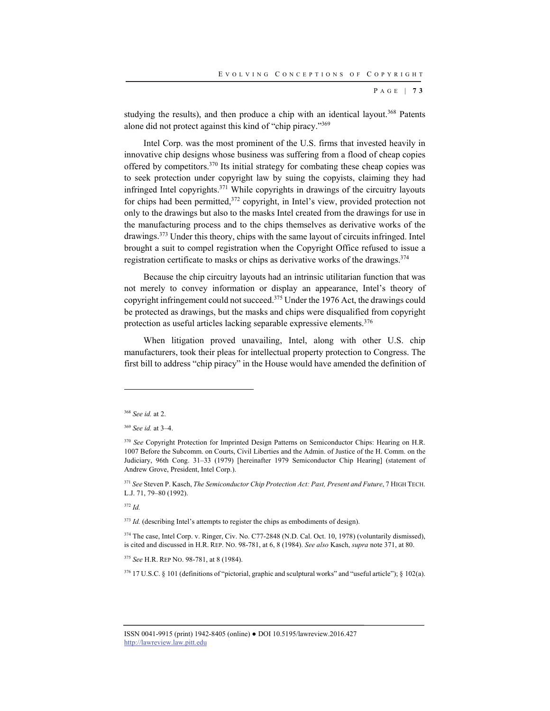P AGE | **7 3**

studying the results), and then produce a chip with an identical layout.<sup>368</sup> Patents alone did not protect against this kind of "chip piracy."369

Intel Corp. was the most prominent of the U.S. firms that invested heavily in innovative chip designs whose business was suffering from a flood of cheap copies offered by competitors.370 Its initial strategy for combating these cheap copies was to seek protection under copyright law by suing the copyists, claiming they had infringed Intel copyrights.371 While copyrights in drawings of the circuitry layouts for chips had been permitted,<sup>372</sup> copyright, in Intel's view, provided protection not only to the drawings but also to the masks Intel created from the drawings for use in the manufacturing process and to the chips themselves as derivative works of the drawings.373 Under this theory, chips with the same layout of circuits infringed. Intel brought a suit to compel registration when the Copyright Office refused to issue a registration certificate to masks or chips as derivative works of the drawings.<sup>374</sup>

Because the chip circuitry layouts had an intrinsic utilitarian function that was not merely to convey information or display an appearance, Intel's theory of copyright infringement could not succeed.375 Under the 1976 Act, the drawings could be protected as drawings, but the masks and chips were disqualified from copyright protection as useful articles lacking separable expressive elements.376

When litigation proved unavailing, Intel, along with other U.S. chip manufacturers, took their pleas for intellectual property protection to Congress. The first bill to address "chip piracy" in the House would have amended the definition of

l

<sup>372</sup> *Id.*

<sup>373</sup> *Id.* (describing Intel's attempts to register the chips as embodiments of design).

374 The case, Intel Corp. v. Ringer, Civ. No. C77-2848 (N.D. Cal. Oct. 10, 1978) (voluntarily dismissed), is cited and discussed in H.R. REP. NO. 98-781, at 6, 8 (1984). *See also* Kasch, *supra* note 371, at 80.

<sup>375</sup> *See* H.R. REP NO. 98-781, at 8 (1984).

376 17 U.S.C. § 101 (definitions of "pictorial, graphic and sculptural works" and "useful article"); § 102(a).

<sup>368</sup> *See id.* at 2.

<sup>369</sup> *See id.* at 3–4.

<sup>&</sup>lt;sup>370</sup> See Copyright Protection for Imprinted Design Patterns on Semiconductor Chips: Hearing on H.R. 1007 Before the Subcomm. on Courts, Civil Liberties and the Admin. of Justice of the H. Comm. on the Judiciary, 96th Cong. 31–33 (1979) [hereinafter 1979 Semiconductor Chip Hearing] (statement of Andrew Grove, President, Intel Corp.).

<sup>371</sup> *See* Steven P. Kasch, *The Semiconductor Chip Protection Act: Past, Present and Future*, 7 HIGH TECH. L.J. 71, 79–80 (1992).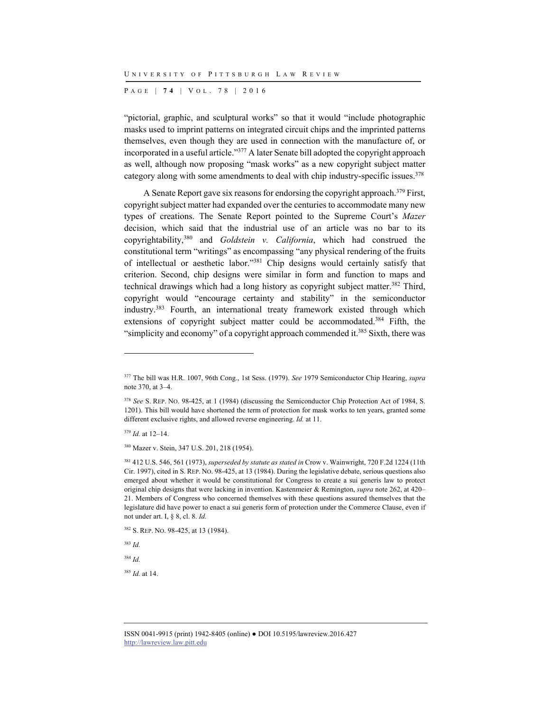P AGE | **7 4** | V O L . 7 8 | 2016

"pictorial, graphic, and sculptural works" so that it would "include photographic masks used to imprint patterns on integrated circuit chips and the imprinted patterns themselves, even though they are used in connection with the manufacture of, or incorporated in a useful article."377 A later Senate bill adopted the copyright approach as well, although now proposing "mask works" as a new copyright subject matter category along with some amendments to deal with chip industry-specific issues.<sup>378</sup>

A Senate Report gave six reasons for endorsing the copyright approach.<sup>379</sup> First, copyright subject matter had expanded over the centuries to accommodate many new types of creations. The Senate Report pointed to the Supreme Court's *Mazer* decision, which said that the industrial use of an article was no bar to its copyrightability,380 and *Goldstein v. California*, which had construed the constitutional term "writings" as encompassing "any physical rendering of the fruits of intellectual or aesthetic labor."381 Chip designs would certainly satisfy that criterion. Second, chip designs were similar in form and function to maps and technical drawings which had a long history as copyright subject matter.<sup>382</sup> Third, copyright would "encourage certainty and stability" in the semiconductor industry.383 Fourth, an international treaty framework existed through which extensions of copyright subject matter could be accommodated.<sup>384</sup> Fifth, the "simplicity and economy" of a copyright approach commended it.<sup>385</sup> Sixth, there was

<sup>379</sup> *Id.* at 12–14.

l

380 Mazer v. Stein, 347 U.S. 201, 218 (1954).

<sup>383</sup> *Id.*

<sup>384</sup> *Id.*

<sup>385</sup> *Id.* at 14.

<sup>377</sup> The bill was H.R. 1007, 96th Cong., 1st Sess. (1979). *See* 1979 Semiconductor Chip Hearing, *supra* note 370, at 3–4.

<sup>378</sup> *See* S. REP. NO. 98-425, at 1 (1984) (discussing the Semiconductor Chip Protection Act of 1984, S. 1201). This bill would have shortened the term of protection for mask works to ten years, granted some different exclusive rights, and allowed reverse engineering. *Id.* at 11.

<sup>381 412</sup> U.S. 546, 561 (1973), *superseded by statute as stated in* Crow v. Wainwright, 720 F.2d 1224 (11th Cir. 1997), cited in S. REP. NO. 98-425, at 13 (1984). During the legislative debate, serious questions also emerged about whether it would be constitutional for Congress to create a sui generis law to protect original chip designs that were lacking in invention. Kastenmeier & Remington, *supra* note 262, at 420– 21. Members of Congress who concerned themselves with these questions assured themselves that the legislature did have power to enact a sui generis form of protection under the Commerce Clause, even if not under art. I, § 8, cl. 8. *Id.*

<sup>382</sup> S. REP. NO. 98-425, at 13 (1984).

ISSN 0041-9915 (print) 1942-8405 (online) ● DOI 10.5195/lawreview.2016.427 http://lawreview.law.pitt.edu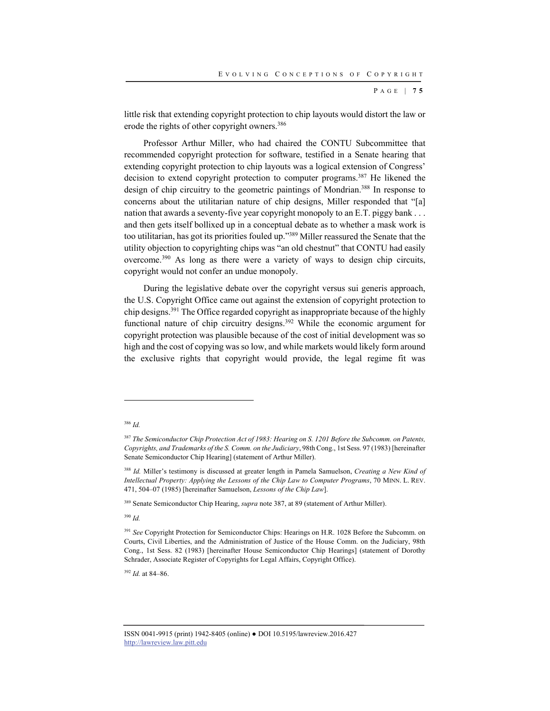P AGE | **7 5**

little risk that extending copyright protection to chip layouts would distort the law or erode the rights of other copyright owners.<sup>386</sup>

Professor Arthur Miller, who had chaired the CONTU Subcommittee that recommended copyright protection for software, testified in a Senate hearing that extending copyright protection to chip layouts was a logical extension of Congress' decision to extend copyright protection to computer programs.387 He likened the design of chip circuitry to the geometric paintings of Mondrian. 388 In response to concerns about the utilitarian nature of chip designs, Miller responded that "[a] nation that awards a seventy-five year copyright monopoly to an E.T. piggy bank . . . and then gets itself bollixed up in a conceptual debate as to whether a mask work is too utilitarian, has got its priorities fouled up."389 Miller reassured the Senate that the utility objection to copyrighting chips was "an old chestnut" that CONTU had easily overcome.390 As long as there were a variety of ways to design chip circuits, copyright would not confer an undue monopoly.

During the legislative debate over the copyright versus sui generis approach, the U.S. Copyright Office came out against the extension of copyright protection to chip designs.391 The Office regarded copyright as inappropriate because of the highly functional nature of chip circuitry designs.<sup>392</sup> While the economic argument for copyright protection was plausible because of the cost of initial development was so high and the cost of copying was so low, and while markets would likely form around the exclusive rights that copyright would provide, the legal regime fit was

l

<sup>389</sup> Senate Semiconductor Chip Hearing, *supra* note 387, at 89 (statement of Arthur Miller).

<sup>390</sup> *Id.*

<sup>392</sup> *Id.* at 84–86.

<sup>386</sup> *Id.*

<sup>387</sup> *The Semiconductor Chip Protection Act of 1983: Hearing on S. 1201 Before the Subcomm. on Patents, Copyrights, and Trademarks of the S. Comm. on the Judiciary*, 98th Cong., 1st Sess. 97 (1983) [hereinafter Senate Semiconductor Chip Hearing] (statement of Arthur Miller).

<sup>388</sup> *Id.* Miller's testimony is discussed at greater length in Pamela Samuelson, *Creating a New Kind of Intellectual Property: Applying the Lessons of the Chip Law to Computer Programs*, 70 MINN. L. REV. 471, 504–07 (1985) [hereinafter Samuelson, *Lessons of the Chip Law*].

<sup>&</sup>lt;sup>391</sup> See Copyright Protection for Semiconductor Chips: Hearings on H.R. 1028 Before the Subcomm. on Courts, Civil Liberties, and the Administration of Justice of the House Comm. on the Judiciary, 98th Cong., 1st Sess. 82 (1983) [hereinafter House Semiconductor Chip Hearings] (statement of Dorothy Schrader, Associate Register of Copyrights for Legal Affairs, Copyright Office).

ISSN 0041-9915 (print) 1942-8405 (online) ● DOI 10.5195/lawreview.2016.427 http://lawreview.law.pitt.edu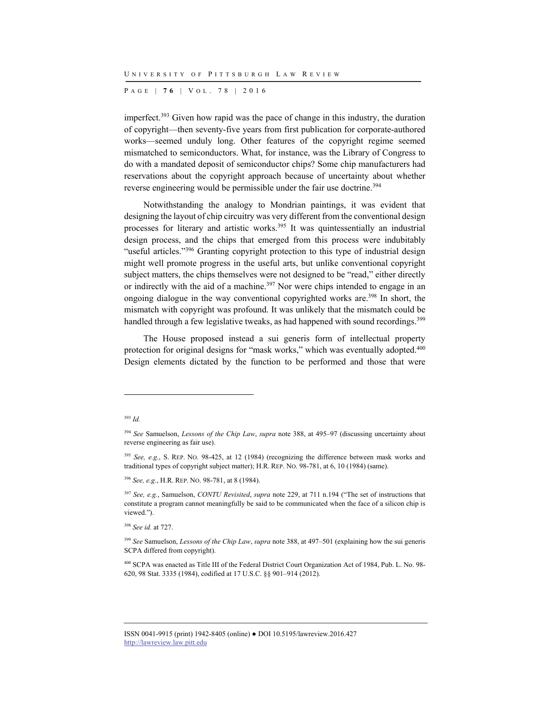P AGE | **7 6** | V O L . 7 8 | 2016

imperfect.393 Given how rapid was the pace of change in this industry, the duration of copyright—then seventy-five years from first publication for corporate-authored works—seemed unduly long. Other features of the copyright regime seemed mismatched to semiconductors. What, for instance, was the Library of Congress to do with a mandated deposit of semiconductor chips? Some chip manufacturers had reservations about the copyright approach because of uncertainty about whether reverse engineering would be permissible under the fair use doctrine.<sup>394</sup>

Notwithstanding the analogy to Mondrian paintings, it was evident that designing the layout of chip circuitry was very different from the conventional design processes for literary and artistic works.<sup>395</sup> It was quintessentially an industrial design process, and the chips that emerged from this process were indubitably "useful articles."<sup>396</sup> Granting copyright protection to this type of industrial design might well promote progress in the useful arts, but unlike conventional copyright subject matters, the chips themselves were not designed to be "read," either directly or indirectly with the aid of a machine.<sup>397</sup> Nor were chips intended to engage in an ongoing dialogue in the way conventional copyrighted works are.<sup>398</sup> In short, the mismatch with copyright was profound. It was unlikely that the mismatch could be handled through a few legislative tweaks, as had happened with sound recordings.<sup>399</sup>

The House proposed instead a sui generis form of intellectual property protection for original designs for "mask works," which was eventually adopted.<sup>400</sup> Design elements dictated by the function to be performed and those that were

l

<sup>396</sup> *See, e.g.*, H.R. REP. NO. 98-781, at 8 (1984).

<sup>398</sup> *See id.* at 727.

<sup>393</sup> *Id.*

<sup>394</sup> *See* Samuelson, *Lessons of the Chip Law*, *supra* note 388, at 495–97 (discussing uncertainty about reverse engineering as fair use).

<sup>395</sup> *See, e.g.*, S. REP. NO. 98-425, at 12 (1984) (recognizing the difference between mask works and traditional types of copyright subject matter); H.R. REP. NO. 98-781, at 6, 10 (1984) (same).

<sup>397</sup> *See, e.g.*, Samuelson, *CONTU Revisited*, *supra* note 229, at 711 n.194 ("The set of instructions that constitute a program cannot meaningfully be said to be communicated when the face of a silicon chip is viewed.").

<sup>399</sup> *See* Samuelson, *Lessons of the Chip Law*, *supra* note 388, at 497–501 (explaining how the sui generis SCPA differed from copyright).

<sup>400</sup> SCPA was enacted as Title III of the Federal District Court Organization Act of 1984, Pub. L. No. 98- 620, 98 Stat. 3335 (1984), codified at 17 U.S.C. §§ 901–914 (2012).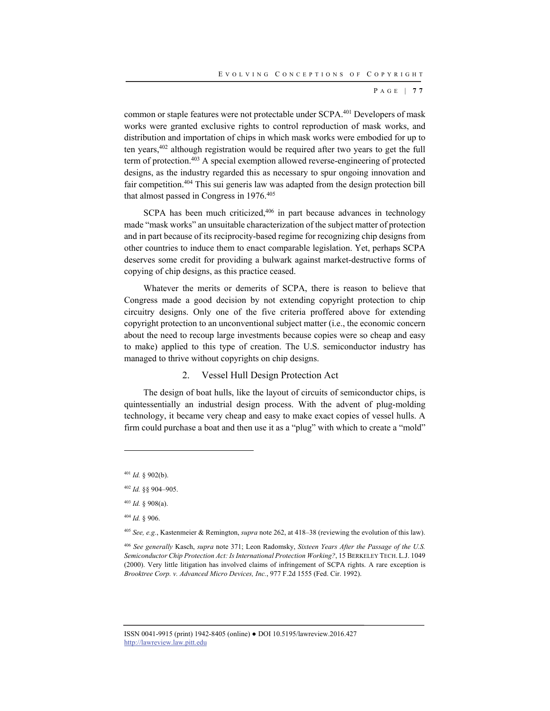P AGE | **7 7**

common or staple features were not protectable under SCPA.<sup>401</sup> Developers of mask works were granted exclusive rights to control reproduction of mask works, and distribution and importation of chips in which mask works were embodied for up to ten years,402 although registration would be required after two years to get the full term of protection.403 A special exemption allowed reverse-engineering of protected designs, as the industry regarded this as necessary to spur ongoing innovation and fair competition.404 This sui generis law was adapted from the design protection bill that almost passed in Congress in 1976.405

SCPA has been much criticized,<sup>406</sup> in part because advances in technology made "mask works" an unsuitable characterization of the subject matter of protection and in part because of its reciprocity-based regime for recognizing chip designs from other countries to induce them to enact comparable legislation. Yet, perhaps SCPA deserves some credit for providing a bulwark against market-destructive forms of copying of chip designs, as this practice ceased.

Whatever the merits or demerits of SCPA, there is reason to believe that Congress made a good decision by not extending copyright protection to chip circuitry designs. Only one of the five criteria proffered above for extending copyright protection to an unconventional subject matter (i.e., the economic concern about the need to recoup large investments because copies were so cheap and easy to make) applied to this type of creation. The U.S. semiconductor industry has managed to thrive without copyrights on chip designs.

## 2. Vessel Hull Design Protection Act

The design of boat hulls, like the layout of circuits of semiconductor chips, is quintessentially an industrial design process. With the advent of plug-molding technology, it became very cheap and easy to make exact copies of vessel hulls. A firm could purchase a boat and then use it as a "plug" with which to create a "mold"

l

<sup>401</sup> *Id.* § 902(b).

<sup>402</sup> *Id.* §§ 904–905.

<sup>403</sup> *Id.* § 908(a).

<sup>404</sup> *Id.* § 906.

<sup>405</sup> *See, e.g.*, Kastenmeier & Remington, *supra* note 262, at 418–38 (reviewing the evolution of this law).

<sup>406</sup> *See generally* Kasch, *supra* note 371; Leon Radomsky, *Sixteen Years After the Passage of the U.S. Semiconductor Chip Protection Act: Is International Protection Working?*, 15 BERKELEY TECH. L.J. 1049 (2000). Very little litigation has involved claims of infringement of SCPA rights. A rare exception is *Brooktree Corp. v. Advanced Micro Devices, Inc.*, 977 F.2d 1555 (Fed. Cir. 1992).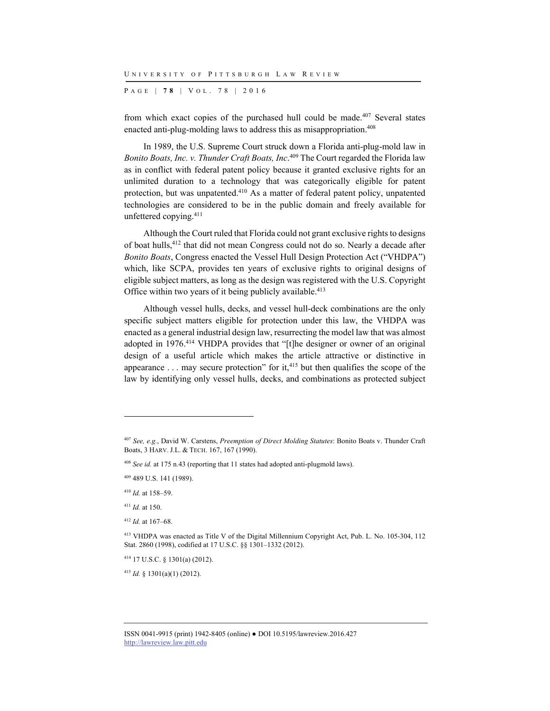P AGE | **7 8** | V O L . 7 8 | 2016

from which exact copies of the purchased hull could be made.407 Several states enacted anti-plug-molding laws to address this as misappropriation.<sup>408</sup>

In 1989, the U.S. Supreme Court struck down a Florida anti-plug-mold law in *Bonito Boats, Inc. v. Thunder Craft Boats, Inc*. 409 The Court regarded the Florida law as in conflict with federal patent policy because it granted exclusive rights for an unlimited duration to a technology that was categorically eligible for patent protection, but was unpatented.410 As a matter of federal patent policy, unpatented technologies are considered to be in the public domain and freely available for unfettered copying.411

Although the Court ruled that Florida could not grant exclusive rights to designs of boat hulls,412 that did not mean Congress could not do so. Nearly a decade after *Bonito Boats*, Congress enacted the Vessel Hull Design Protection Act ("VHDPA") which, like SCPA, provides ten years of exclusive rights to original designs of eligible subject matters, as long as the design was registered with the U.S. Copyright Office within two years of it being publicly available.<sup>413</sup>

Although vessel hulls, decks, and vessel hull-deck combinations are the only specific subject matters eligible for protection under this law, the VHDPA was enacted as a general industrial design law, resurrecting the model law that was almost adopted in 1976.414 VHDPA provides that "[t]he designer or owner of an original design of a useful article which makes the article attractive or distinctive in appearance  $\dots$  may secure protection" for it,<sup>415</sup> but then qualifies the scope of the law by identifying only vessel hulls, decks, and combinations as protected subject

l

414 17 U.S.C. § 1301(a) (2012).

<sup>415</sup> *Id.* § 1301(a)(1) (2012).

<sup>407</sup> *See, e.g.*, David W. Carstens, *Preemption of Direct Molding Statutes*: Bonito Boats v. Thunder Craft Boats, 3 HARV. J.L. & TECH. 167, 167 (1990).

<sup>408</sup> *See id.* at 175 n.43 (reporting that 11 states had adopted anti-plugmold laws).

<sup>409 489</sup> U.S. 141 (1989).

<sup>410</sup> *Id.* at 158–59.

<sup>411</sup> *Id.* at 150.

<sup>412</sup> *Id.* at 167–68.

<sup>413</sup> VHDPA was enacted as Title V of the Digital Millennium Copyright Act, Pub. L. No. 105-304, 112 Stat. 2860 (1998), codified at 17 U.S.C. §§ 1301–1332 (2012).

ISSN 0041-9915 (print) 1942-8405 (online) ● DOI 10.5195/lawreview.2016.427 http://lawreview.law.pitt.edu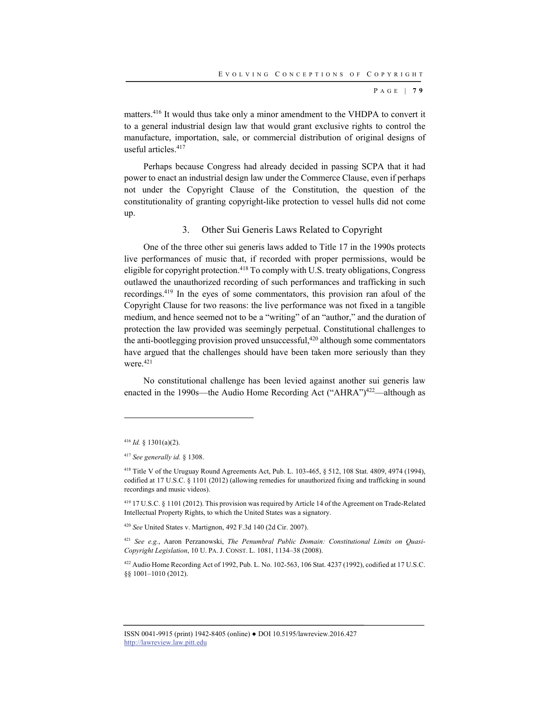P AGE | **7 9**

matters.416 It would thus take only a minor amendment to the VHDPA to convert it to a general industrial design law that would grant exclusive rights to control the manufacture, importation, sale, or commercial distribution of original designs of useful articles.417

Perhaps because Congress had already decided in passing SCPA that it had power to enact an industrial design law under the Commerce Clause, even if perhaps not under the Copyright Clause of the Constitution, the question of the constitutionality of granting copyright-like protection to vessel hulls did not come up.

## 3. Other Sui Generis Laws Related to Copyright

One of the three other sui generis laws added to Title 17 in the 1990s protects live performances of music that, if recorded with proper permissions, would be eligible for copyright protection.<sup>418</sup> To comply with U.S. treaty obligations, Congress outlawed the unauthorized recording of such performances and trafficking in such recordings.419 In the eyes of some commentators, this provision ran afoul of the Copyright Clause for two reasons: the live performance was not fixed in a tangible medium, and hence seemed not to be a "writing" of an "author," and the duration of protection the law provided was seemingly perpetual. Constitutional challenges to the anti-bootlegging provision proved unsuccessful,<sup>420</sup> although some commentators have argued that the challenges should have been taken more seriously than they were.<sup>421</sup>

No constitutional challenge has been levied against another sui generis law enacted in the 1990s—the Audio Home Recording Act ("AHRA")<sup>422</sup>—although as

l

<sup>420</sup> *See* United States v. Martignon, 492 F.3d 140 (2d Cir. 2007).

<sup>421</sup> *See e.g.*, Aaron Perzanowski, *The Penumbral Public Domain: Constitutional Limits on Quasi-Copyright Legislation*, 10 U. PA. J. CONST. L. 1081, 1134–38 (2008).

422 Audio Home Recording Act of 1992, Pub. L. No. 102-563, 106 Stat. 4237 (1992), codified at 17 U.S.C. §§ 1001–1010 (2012).

<sup>416</sup> *Id.* § 1301(a)(2).

<sup>417</sup> *See generally id.* § 1308.

<sup>418</sup> Title V of the Uruguay Round Agreements Act, Pub. L. 103-465, § 512, 108 Stat. 4809, 4974 (1994), codified at 17 U.S.C. § 1101 (2012) (allowing remedies for unauthorized fixing and trafficking in sound recordings and music videos).

<sup>419 17</sup> U.S.C. § 1101 (2012). This provision was required by Article 14 of the Agreement on Trade-Related Intellectual Property Rights, to which the United States was a signatory.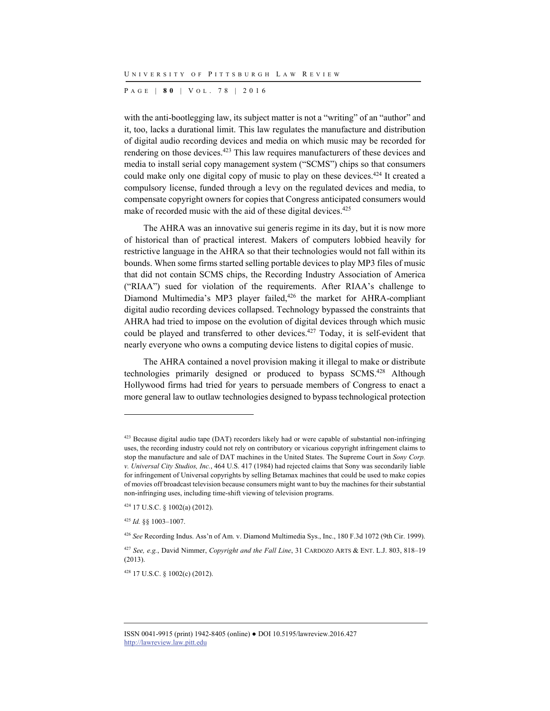P AGE | **8 0** | V O L . 7 8 | 2016

with the anti-bootlegging law, its subject matter is not a "writing" of an "author" and it, too, lacks a durational limit. This law regulates the manufacture and distribution of digital audio recording devices and media on which music may be recorded for rendering on those devices.423 This law requires manufacturers of these devices and media to install serial copy management system ("SCMS") chips so that consumers could make only one digital copy of music to play on these devices.<sup>424</sup> It created a compulsory license, funded through a levy on the regulated devices and media, to compensate copyright owners for copies that Congress anticipated consumers would make of recorded music with the aid of these digital devices.<sup>425</sup>

The AHRA was an innovative sui generis regime in its day, but it is now more of historical than of practical interest. Makers of computers lobbied heavily for restrictive language in the AHRA so that their technologies would not fall within its bounds. When some firms started selling portable devices to play MP3 files of music that did not contain SCMS chips, the Recording Industry Association of America ("RIAA") sued for violation of the requirements. After RIAA's challenge to Diamond Multimedia's MP3 player failed,<sup>426</sup> the market for AHRA-compliant digital audio recording devices collapsed. Technology bypassed the constraints that AHRA had tried to impose on the evolution of digital devices through which music could be played and transferred to other devices.427 Today, it is self-evident that nearly everyone who owns a computing device listens to digital copies of music.

The AHRA contained a novel provision making it illegal to make or distribute technologies primarily designed or produced to bypass SCMS.<sup>428</sup> Although Hollywood firms had tried for years to persuade members of Congress to enact a more general law to outlaw technologies designed to bypass technological protection

l

428 17 U.S.C. § 1002(c) (2012).

<sup>&</sup>lt;sup>423</sup> Because digital audio tape (DAT) recorders likely had or were capable of substantial non-infringing uses, the recording industry could not rely on contributory or vicarious copyright infringement claims to stop the manufacture and sale of DAT machines in the United States. The Supreme Court in *Sony Corp. v. Universal City Studios, Inc.*, 464 U.S. 417 (1984) had rejected claims that Sony was secondarily liable for infringement of Universal copyrights by selling Betamax machines that could be used to make copies of movies off broadcast television because consumers might want to buy the machines for their substantial non-infringing uses, including time-shift viewing of television programs.

<sup>424 17</sup> U.S.C. § 1002(a) (2012).

<sup>425</sup> *Id.* §§ 1003–1007.

<sup>426</sup> *See* Recording Indus. Ass'n of Am. v. Diamond Multimedia Sys., Inc., 180 F.3d 1072 (9th Cir. 1999).

<sup>427</sup> *See, e.g.*, David Nimmer, *Copyright and the Fall Line*, 31 CARDOZO ARTS & ENT. L.J. 803, 818–19 (2013).

ISSN 0041-9915 (print) 1942-8405 (online) ● DOI 10.5195/lawreview.2016.427 http://lawreview.law.pitt.edu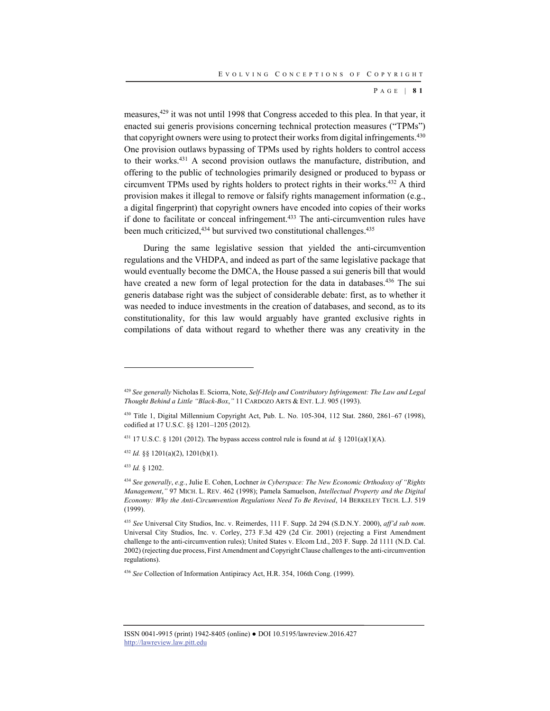P AGE | **8 1**

measures,429 it was not until 1998 that Congress acceded to this plea. In that year, it enacted sui generis provisions concerning technical protection measures ("TPMs") that copyright owners were using to protect their works from digital infringements.<sup>430</sup> One provision outlaws bypassing of TPMs used by rights holders to control access to their works.<sup>431</sup> A second provision outlaws the manufacture, distribution, and offering to the public of technologies primarily designed or produced to bypass or circumvent TPMs used by rights holders to protect rights in their works.432 A third provision makes it illegal to remove or falsify rights management information (e.g., a digital fingerprint) that copyright owners have encoded into copies of their works if done to facilitate or conceal infringement.<sup>433</sup> The anti-circumvention rules have been much criticized,<sup>434</sup> but survived two constitutional challenges.<sup>435</sup>

During the same legislative session that yielded the anti-circumvention regulations and the VHDPA, and indeed as part of the same legislative package that would eventually become the DMCA, the House passed a sui generis bill that would have created a new form of legal protection for the data in databases.<sup>436</sup> The sui generis database right was the subject of considerable debate: first, as to whether it was needed to induce investments in the creation of databases, and second, as to its constitutionality, for this law would arguably have granted exclusive rights in compilations of data without regard to whether there was any creativity in the

431 17 U.S.C. § 1201 (2012). The bypass access control rule is found at *id.* § 1201(a)(1)(A).

<sup>432</sup> *Id.* §§ 1201(a)(2), 1201(b)(1).

<sup>433</sup> *Id.* § 1202.

<sup>429</sup> *See generally* Nicholas E. Sciorra, Note, *Self-Help and Contributory Infringement: The Law and Legal Thought Behind a Little "Black-Box*,*"* 11 CARDOZO ARTS & ENT. L.J. 905 (1993).

<sup>430</sup> Title 1, Digital Millennium Copyright Act, Pub. L. No. 105-304, 112 Stat. 2860, 2861–67 (1998), codified at 17 U.S.C. §§ 1201–1205 (2012).

<sup>434</sup> *See generally*, *e.g.*, Julie E. Cohen, Lochner *in Cyberspace: The New Economic Orthodoxy of "Rights Management*,*"* 97 MICH. L. REV. 462 (1998); Pamela Samuelson, *Intellectual Property and the Digital Economy: Why the Anti-Circumvention Regulations Need To Be Revised*, 14 BERKELEY TECH. L.J. 519 (1999).

<sup>435</sup> *See* Universal City Studios, Inc. v. Reimerdes, 111 F. Supp. 2d 294 (S.D.N.Y. 2000), *aff'd sub nom*. Universal City Studios, Inc. v. Corley, 273 F.3d 429 (2d Cir. 2001) (rejecting a First Amendment challenge to the anti-circumvention rules); United States v. Elcom Ltd., 203 F. Supp. 2d 1111 (N.D. Cal. 2002) (rejecting due process, First Amendment and Copyright Clause challenges to the anti-circumvention regulations).

<sup>436</sup> *See* Collection of Information Antipiracy Act, H.R. 354, 106th Cong. (1999).

ISSN 0041-9915 (print) 1942-8405 (online) ● DOI 10.5195/lawreview.2016.427 http://lawreview.law.pitt.edu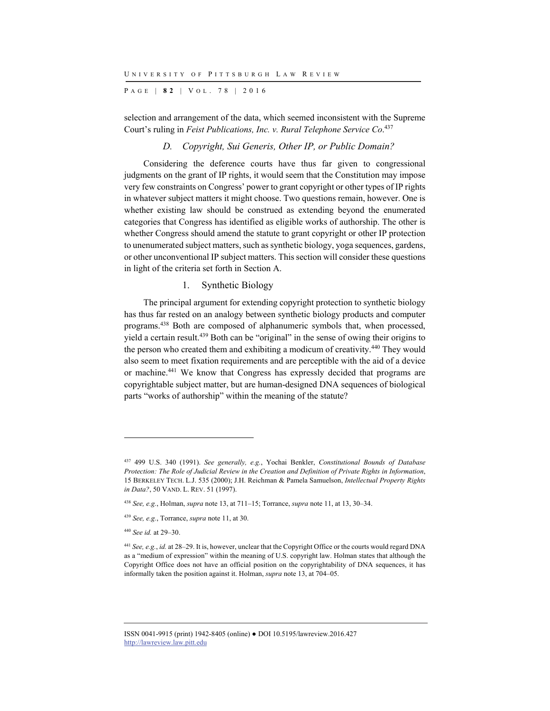P AGE | **8 2** | V O L . 7 8 | 2016

selection and arrangement of the data, which seemed inconsistent with the Supreme Court's ruling in *Feist Publications, Inc. v. Rural Telephone Service Co*. 437

## *D. Copyright, Sui Generis, Other IP, or Public Domain?*

Considering the deference courts have thus far given to congressional judgments on the grant of IP rights, it would seem that the Constitution may impose very few constraints on Congress' power to grant copyright or other types of IP rights in whatever subject matters it might choose. Two questions remain, however. One is whether existing law should be construed as extending beyond the enumerated categories that Congress has identified as eligible works of authorship. The other is whether Congress should amend the statute to grant copyright or other IP protection to unenumerated subject matters, such as synthetic biology, yoga sequences, gardens, or other unconventional IP subject matters. This section will consider these questions in light of the criteria set forth in Section A.

## 1. Synthetic Biology

The principal argument for extending copyright protection to synthetic biology has thus far rested on an analogy between synthetic biology products and computer programs.438 Both are composed of alphanumeric symbols that, when processed, yield a certain result.<sup>439</sup> Both can be "original" in the sense of owing their origins to the person who created them and exhibiting a modicum of creativity.440 They would also seem to meet fixation requirements and are perceptible with the aid of a device or machine.441 We know that Congress has expressly decided that programs are copyrightable subject matter, but are human-designed DNA sequences of biological parts "works of authorship" within the meaning of the statute?

l

<sup>437 499</sup> U.S. 340 (1991). *See generally, e.g.*, Yochai Benkler, *Constitutional Bounds of Database Protection: The Role of Judicial Review in the Creation and Definition of Private Rights in Information*, 15 BERKELEY TECH. L.J. 535 (2000); J.H. Reichman & Pamela Samuelson, *Intellectual Property Rights in Data?*, 50 VAND. L. REV. 51 (1997).

<sup>438</sup> *See, e.g.*, Holman, *supra* note 13, at 711–15; Torrance, *supra* note 11, at 13, 30–34.

<sup>439</sup> *See, e.g.*, Torrance, *supra* note 11, at 30.

<sup>440</sup> *See id.* at 29–30.

<sup>441</sup> *See, e.g.*, *id.* at 28–29. It is, however, unclear that the Copyright Office or the courts would regard DNA as a "medium of expression" within the meaning of U.S. copyright law. Holman states that although the Copyright Office does not have an official position on the copyrightability of DNA sequences, it has informally taken the position against it. Holman, *supra* note 13, at 704–05.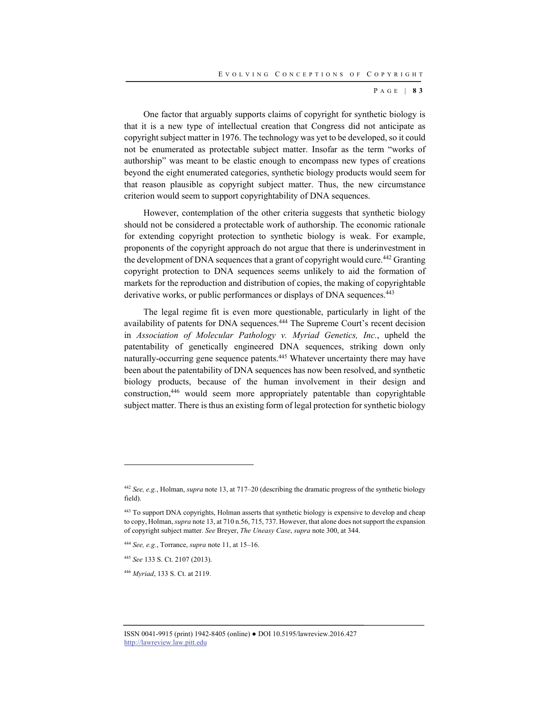P AGE | **8 3**

One factor that arguably supports claims of copyright for synthetic biology is that it is a new type of intellectual creation that Congress did not anticipate as copyright subject matter in 1976. The technology was yet to be developed, so it could not be enumerated as protectable subject matter. Insofar as the term "works of authorship" was meant to be elastic enough to encompass new types of creations beyond the eight enumerated categories, synthetic biology products would seem for that reason plausible as copyright subject matter. Thus, the new circumstance criterion would seem to support copyrightability of DNA sequences.

However, contemplation of the other criteria suggests that synthetic biology should not be considered a protectable work of authorship. The economic rationale for extending copyright protection to synthetic biology is weak. For example, proponents of the copyright approach do not argue that there is underinvestment in the development of DNA sequences that a grant of copyright would cure.<sup>442</sup> Granting copyright protection to DNA sequences seems unlikely to aid the formation of markets for the reproduction and distribution of copies, the making of copyrightable derivative works, or public performances or displays of DNA sequences.<sup>443</sup>

The legal regime fit is even more questionable, particularly in light of the availability of patents for DNA sequences.<sup>444</sup> The Supreme Court's recent decision in *Association of Molecular Pathology v. Myriad Genetics, Inc.*, upheld the patentability of genetically engineered DNA sequences, striking down only naturally-occurring gene sequence patents.<sup>445</sup> Whatever uncertainty there may have been about the patentability of DNA sequences has now been resolved, and synthetic biology products, because of the human involvement in their design and construction,446 would seem more appropriately patentable than copyrightable subject matter. There is thus an existing form of legal protection for synthetic biology

<sup>444</sup> *See, e.g.*, Torrance, *supra* note 11, at 15–16.

<sup>445</sup> *See* 133 S. Ct. 2107 (2013).

l

<sup>446</sup> *Myriad*, 133 S. Ct. at 2119.

<sup>442</sup> *See, e.g.*, Holman, *supra* note 13, at 717–20 (describing the dramatic progress of the synthetic biology field).

<sup>443</sup> To support DNA copyrights, Holman asserts that synthetic biology is expensive to develop and cheap to copy, Holman, *supra* note 13, at 710 n.56, 715, 737. However, that alone does not support the expansion of copyright subject matter. *See* Breyer, *The Uneasy Case*, *supra* note 300, at 344.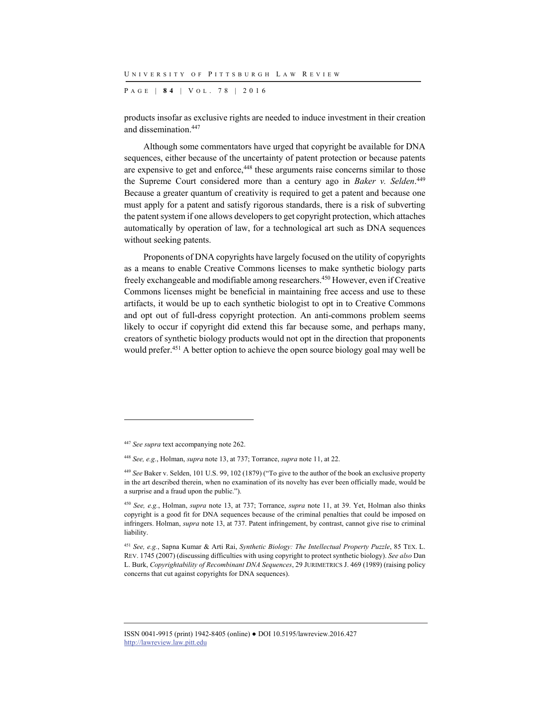P AGE | **8 4** | V O L . 7 8 | 2016

products insofar as exclusive rights are needed to induce investment in their creation and dissemination.447

Although some commentators have urged that copyright be available for DNA sequences, either because of the uncertainty of patent protection or because patents are expensive to get and enforce,<sup>448</sup> these arguments raise concerns similar to those the Supreme Court considered more than a century ago in *Baker v. Selden*. 449 Because a greater quantum of creativity is required to get a patent and because one must apply for a patent and satisfy rigorous standards, there is a risk of subverting the patent system if one allows developers to get copyright protection, which attaches automatically by operation of law, for a technological art such as DNA sequences without seeking patents.

Proponents of DNA copyrights have largely focused on the utility of copyrights as a means to enable Creative Commons licenses to make synthetic biology parts freely exchangeable and modifiable among researchers.450 However, even if Creative Commons licenses might be beneficial in maintaining free access and use to these artifacts, it would be up to each synthetic biologist to opt in to Creative Commons and opt out of full-dress copyright protection. An anti-commons problem seems likely to occur if copyright did extend this far because some, and perhaps many, creators of synthetic biology products would not opt in the direction that proponents would prefer.<sup>451</sup> A better option to achieve the open source biology goal may well be

l

<sup>447</sup> *See supra* text accompanying note 262.

<sup>448</sup> *See, e.g.*, Holman, *supra* note 13, at 737; Torrance, *supra* note 11, at 22.

<sup>449</sup> *See* Baker v. Selden, 101 U.S. 99, 102 (1879) ("To give to the author of the book an exclusive property in the art described therein, when no examination of its novelty has ever been officially made, would be a surprise and a fraud upon the public.").

<sup>450</sup> *See, e.g.*, Holman, *supra* note 13, at 737; Torrance, *supra* note 11, at 39. Yet, Holman also thinks copyright is a good fit for DNA sequences because of the criminal penalties that could be imposed on infringers. Holman, *supra* note 13, at 737. Patent infringement, by contrast, cannot give rise to criminal liability.

<sup>451</sup> *See, e.g.*, Sapna Kumar & Arti Rai, *Synthetic Biology: The Intellectual Property Puzzle*, 85 TEX. L. REV. 1745 (2007) (discussing difficulties with using copyright to protect synthetic biology). *See also* Dan L. Burk, *Copyrightability of Recombinant DNA Sequences*, 29 JURIMETRICS J. 469 (1989) (raising policy concerns that cut against copyrights for DNA sequences).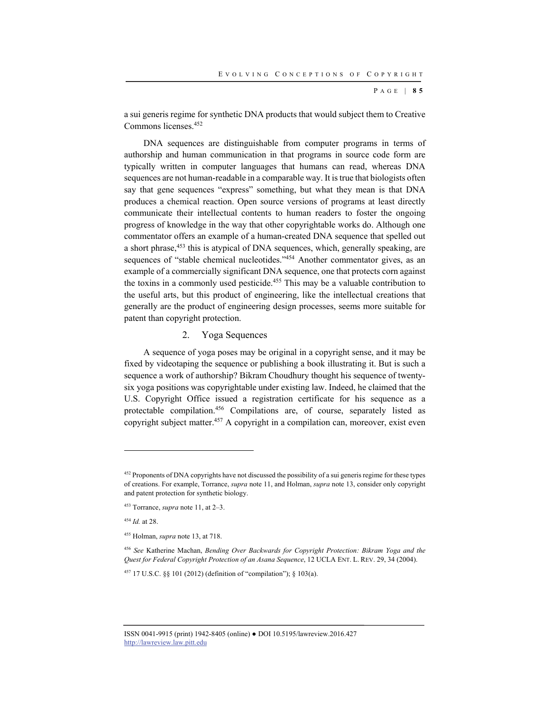P AGE | **8 5**

a sui generis regime for synthetic DNA products that would subject them to Creative Commons licenses.452

DNA sequences are distinguishable from computer programs in terms of authorship and human communication in that programs in source code form are typically written in computer languages that humans can read, whereas DNA sequences are not human-readable in a comparable way. It is true that biologists often say that gene sequences "express" something, but what they mean is that DNA produces a chemical reaction. Open source versions of programs at least directly communicate their intellectual contents to human readers to foster the ongoing progress of knowledge in the way that other copyrightable works do. Although one commentator offers an example of a human-created DNA sequence that spelled out a short phrase,<sup>453</sup> this is atypical of DNA sequences, which, generally speaking, are sequences of "stable chemical nucleotides."<sup>454</sup> Another commentator gives, as an example of a commercially significant DNA sequence, one that protects corn against the toxins in a commonly used pesticide.455 This may be a valuable contribution to the useful arts, but this product of engineering, like the intellectual creations that generally are the product of engineering design processes, seems more suitable for patent than copyright protection.

## 2. Yoga Sequences

A sequence of yoga poses may be original in a copyright sense, and it may be fixed by videotaping the sequence or publishing a book illustrating it. But is such a sequence a work of authorship? Bikram Choudhury thought his sequence of twentysix yoga positions was copyrightable under existing law. Indeed, he claimed that the U.S. Copyright Office issued a registration certificate for his sequence as a protectable compilation.456 Compilations are, of course, separately listed as copyright subject matter.457 A copyright in a compilation can, moreover, exist even

<sup>&</sup>lt;sup>452</sup> Proponents of DNA copyrights have not discussed the possibility of a sui generis regime for these types of creations. For example, Torrance, *supra* note 11, and Holman, *supra* note 13, consider only copyright and patent protection for synthetic biology.

<sup>453</sup> Torrance, *supra* note 11, at 2–3.

<sup>454</sup> *Id.* at 28.

<sup>455</sup> Holman, *supra* note 13, at 718.

<sup>456</sup> *See* Katherine Machan, *Bending Over Backwards for Copyright Protection: Bikram Yoga and the Quest for Federal Copyright Protection of an Asana Sequence*, 12 UCLA ENT. L. REV. 29, 34 (2004).

<sup>457 17</sup> U.S.C. §§ 101 (2012) (definition of "compilation"); § 103(a).

ISSN 0041-9915 (print) 1942-8405 (online) ● DOI 10.5195/lawreview.2016.427 http://lawreview.law.pitt.edu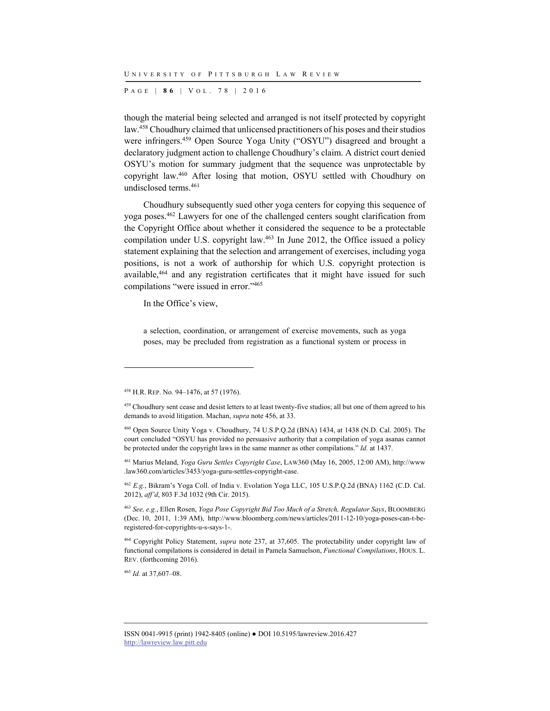P AGE | **8 6** | V O L . 7 8 | 2016

though the material being selected and arranged is not itself protected by copyright law.458 Choudhury claimed that unlicensed practitioners of his poses and their studios were infringers.<sup>459</sup> Open Source Yoga Unity ("OSYU") disagreed and brought a declaratory judgment action to challenge Choudhury's claim. A district court denied OSYU's motion for summary judgment that the sequence was unprotectable by copyright law.460 After losing that motion, OSYU settled with Choudhury on undisclosed terms.461

Choudhury subsequently sued other yoga centers for copying this sequence of yoga poses.462 Lawyers for one of the challenged centers sought clarification from the Copyright Office about whether it considered the sequence to be a protectable compilation under U.S. copyright law.<sup>463</sup> In June 2012, the Office issued a policy statement explaining that the selection and arrangement of exercises, including yoga positions, is not a work of authorship for which U.S. copyright protection is available,<sup>464</sup> and any registration certificates that it might have issued for such compilations "were issued in error."465

In the Office's view,

a selection, coordination, or arrangement of exercise movements, such as yoga poses, may be precluded from registration as a functional system or process in

l

<sup>465</sup> *Id.* at 37,607–08.

<sup>458</sup> H.R. REP. No. 94–1476, at 57 (1976).

<sup>&</sup>lt;sup>459</sup> Choudhury sent cease and desist letters to at least twenty-five studios; all but one of them agreed to his demands to avoid litigation. Machan, *supra* note 456, at 33.

<sup>460</sup> Open Source Unity Yoga v. Choudhury, 74 U.S.P.Q.2d (BNA) 1434, at 1438 (N.D. Cal. 2005). The court concluded "OSYU has provided no persuasive authority that a compilation of yoga asanas cannot be protected under the copyright laws in the same manner as other compilations." *Id.* at 1437.

<sup>461</sup> Marius Meland, *Yoga Guru Settles Copyright Case*, LAW360 (May 16, 2005, 12:00 AM), http://www .law360.com/articles/3453/yoga-guru-settles-copyright-case.

<sup>462</sup> *E.g.*, Bikram's Yoga Coll. of India v. Evolation Yoga LLC, 105 U.S.P.Q.2d (BNA) 1162 (C.D. Cal. 2012), *aff'd*, 803 F.3d 1032 (9th Cir. 2015).

<sup>463</sup> *See, e.g.*, Ellen Rosen, *Yoga Pose Copyright Bid Too Much of a Stretch, Regulator Says*, BLOOMBERG (Dec. 10, 2011, 1:39 AM), http://www.bloomberg.com/news/articles/2011-12-10/yoga-poses-can-t-beregistered-for-copyrights-u-s-says-1-.

<sup>464</sup> Copyright Policy Statement, *supra* note 237, at 37,605. The protectability under copyright law of functional compilations is considered in detail in Pamela Samuelson, *Functional Compilations*, HOUS. L. REV. (forthcoming 2016).

ISSN 0041-9915 (print) 1942-8405 (online) ● DOI 10.5195/lawreview.2016.427 http://lawreview.law.pitt.edu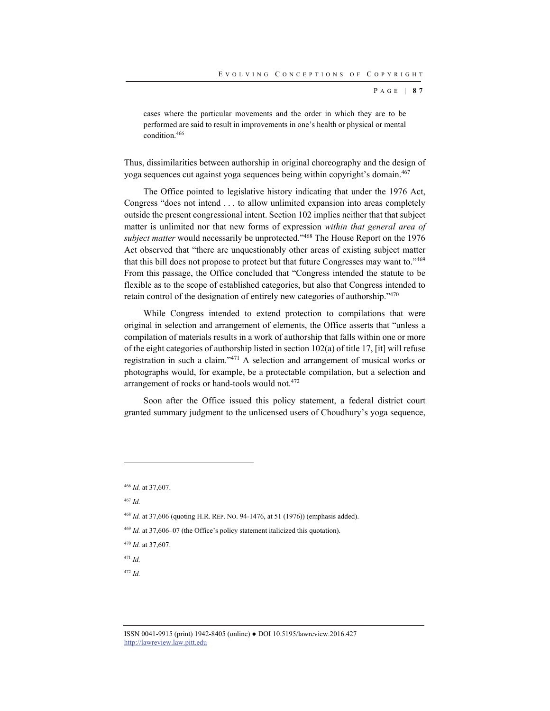P AGE | **8 7**

cases where the particular movements and the order in which they are to be performed are said to result in improvements in one's health or physical or mental condition.466

Thus, dissimilarities between authorship in original choreography and the design of yoga sequences cut against yoga sequences being within copyright's domain.<sup>467</sup>

The Office pointed to legislative history indicating that under the 1976 Act, Congress "does not intend . . . to allow unlimited expansion into areas completely outside the present congressional intent. Section 102 implies neither that that subject matter is unlimited nor that new forms of expression *within that general area of subject matter* would necessarily be unprotected."468 The House Report on the 1976 Act observed that "there are unquestionably other areas of existing subject matter that this bill does not propose to protect but that future Congresses may want to."469 From this passage, the Office concluded that "Congress intended the statute to be flexible as to the scope of established categories, but also that Congress intended to retain control of the designation of entirely new categories of authorship."470

While Congress intended to extend protection to compilations that were original in selection and arrangement of elements, the Office asserts that "unless a compilation of materials results in a work of authorship that falls within one or more of the eight categories of authorship listed in section  $102(a)$  of title 17, [it] will refuse registration in such a claim."471 A selection and arrangement of musical works or photographs would, for example, be a protectable compilation, but a selection and arrangement of rocks or hand-tools would not.472

Soon after the Office issued this policy statement, a federal district court granted summary judgment to the unlicensed users of Choudhury's yoga sequence,

l

<sup>470</sup> *Id.* at 37,607.

<sup>471</sup> *Id.*

<sup>472</sup> *Id.*

<sup>466</sup> *Id.* at 37,607.

<sup>467</sup> *Id.*

<sup>468</sup> *Id.* at 37,606 (quoting H.R. REP. NO. 94-1476, at 51 (1976)) (emphasis added).

<sup>469</sup> *Id.* at 37,606–07 (the Office's policy statement italicized this quotation).

ISSN 0041-9915 (print) 1942-8405 (online) ● DOI 10.5195/lawreview.2016.427 http://lawreview.law.pitt.edu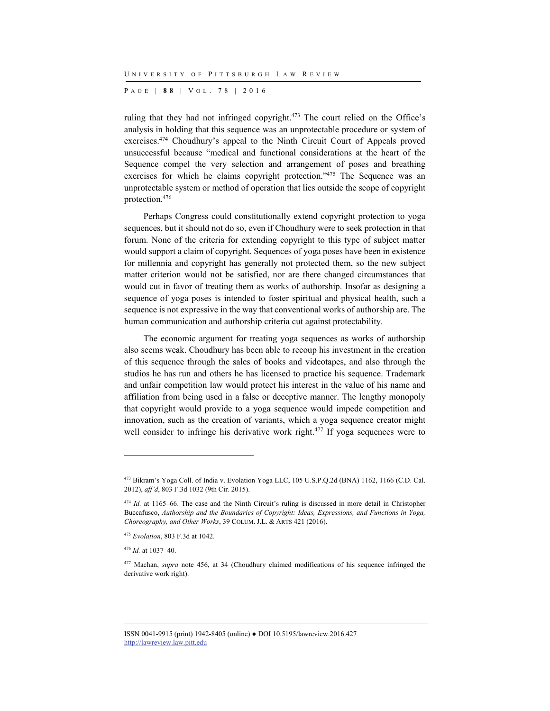P AGE | **8 8** | V O L . 7 8 | 2016

ruling that they had not infringed copyright.<sup>473</sup> The court relied on the Office's analysis in holding that this sequence was an unprotectable procedure or system of exercises.474 Choudhury's appeal to the Ninth Circuit Court of Appeals proved unsuccessful because "medical and functional considerations at the heart of the Sequence compel the very selection and arrangement of poses and breathing exercises for which he claims copyright protection."<sup>475</sup> The Sequence was an unprotectable system or method of operation that lies outside the scope of copyright protection.476

Perhaps Congress could constitutionally extend copyright protection to yoga sequences, but it should not do so, even if Choudhury were to seek protection in that forum. None of the criteria for extending copyright to this type of subject matter would support a claim of copyright. Sequences of yoga poses have been in existence for millennia and copyright has generally not protected them, so the new subject matter criterion would not be satisfied, nor are there changed circumstances that would cut in favor of treating them as works of authorship. Insofar as designing a sequence of yoga poses is intended to foster spiritual and physical health, such a sequence is not expressive in the way that conventional works of authorship are. The human communication and authorship criteria cut against protectability.

The economic argument for treating yoga sequences as works of authorship also seems weak. Choudhury has been able to recoup his investment in the creation of this sequence through the sales of books and videotapes, and also through the studios he has run and others he has licensed to practice his sequence. Trademark and unfair competition law would protect his interest in the value of his name and affiliation from being used in a false or deceptive manner. The lengthy monopoly that copyright would provide to a yoga sequence would impede competition and innovation, such as the creation of variants, which a yoga sequence creator might well consider to infringe his derivative work right.<sup>477</sup> If yoga sequences were to

l

ISSN 0041-9915 (print) 1942-8405 (online) ● DOI 10.5195/lawreview.2016.427 http://lawreview.law.pitt.edu

<sup>473</sup> Bikram's Yoga Coll. of India v. Evolation Yoga LLC, 105 U.S.P.Q.2d (BNA) 1162, 1166 (C.D. Cal. 2012), *aff'd*, 803 F.3d 1032 (9th Cir. 2015).

<sup>&</sup>lt;sup>474</sup> *Id.* at 1165–66. The case and the Ninth Circuit's ruling is discussed in more detail in Christopher Buccafusco, *Authorship and the Boundaries of Copyright: Ideas, Expressions, and Functions in Yoga, Choreography, and Other Works*, 39 COLUM. J.L. & ARTS 421 (2016).

<sup>475</sup> *Evolation*, 803 F.3d at 1042.

<sup>476</sup> *Id.* at 1037–40.

<sup>477</sup> Machan, *supra* note 456, at 34 (Choudhury claimed modifications of his sequence infringed the derivative work right).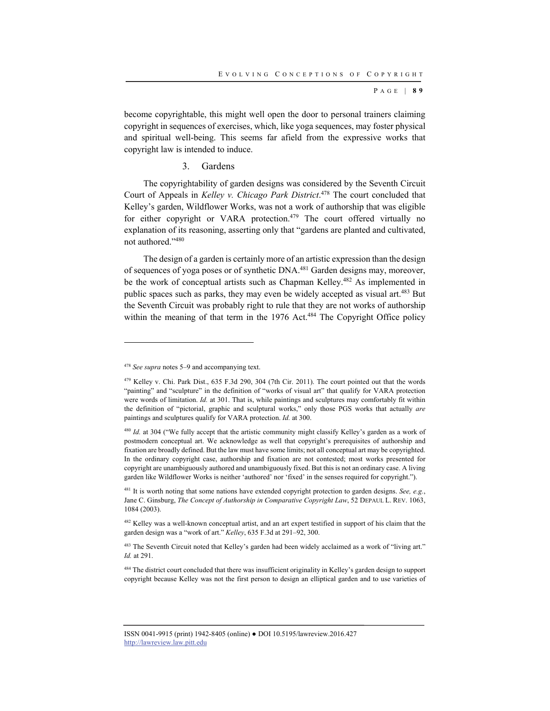P AGE | **8 9**

become copyrightable, this might well open the door to personal trainers claiming copyright in sequences of exercises, which, like yoga sequences, may foster physical and spiritual well-being. This seems far afield from the expressive works that copyright law is intended to induce.

3. Gardens

The copyrightability of garden designs was considered by the Seventh Circuit Court of Appeals in *Kelley v. Chicago Park District*. 478 The court concluded that Kelley's garden, Wildflower Works, was not a work of authorship that was eligible for either copyright or VARA protection.<sup>479</sup> The court offered virtually no explanation of its reasoning, asserting only that "gardens are planted and cultivated, not authored."480

The design of a garden is certainly more of an artistic expression than the design of sequences of yoga poses or of synthetic DNA.481 Garden designs may, moreover, be the work of conceptual artists such as Chapman Kelley.482 As implemented in public spaces such as parks, they may even be widely accepted as visual art.<sup>483</sup> But the Seventh Circuit was probably right to rule that they are not works of authorship within the meaning of that term in the 1976 Act.<sup>484</sup> The Copyright Office policy

l

<sup>478</sup> *See supra* notes 5–9 and accompanying text.

<sup>479</sup> Kelley v. Chi. Park Dist., 635 F.3d 290, 304 (7th Cir. 2011). The court pointed out that the words "painting" and "sculpture" in the definition of "works of visual art" that qualify for VARA protection were words of limitation. *Id.* at 301. That is, while paintings and sculptures may comfortably fit within the definition of "pictorial, graphic and sculptural works," only those PGS works that actually *are* paintings and sculptures qualify for VARA protection. *Id.* at 300.

<sup>&</sup>lt;sup>480</sup> *Id.* at 304 ("We fully accept that the artistic community might classify Kelley's garden as a work of postmodern conceptual art. We acknowledge as well that copyright's prerequisites of authorship and fixation are broadly defined. But the law must have some limits; not all conceptual art may be copyrighted. In the ordinary copyright case, authorship and fixation are not contested; most works presented for copyright are unambiguously authored and unambiguously fixed. But this is not an ordinary case. A living garden like Wildflower Works is neither 'authored' nor 'fixed' in the senses required for copyright.").

<sup>481</sup> It is worth noting that some nations have extended copyright protection to garden designs. *See, e.g.*, Jane C. Ginsburg, *The Concept of Authorship in Comparative Copyright Law*, 52 DEPAUL L. REV. 1063, 1084 (2003).

<sup>482</sup> Kelley was a well-known conceptual artist, and an art expert testified in support of his claim that the garden design was a "work of art." *Kelley*, 635 F.3d at 291–92, 300.

<sup>483</sup> The Seventh Circuit noted that Kelley's garden had been widely acclaimed as a work of "living art." *Id.* at 291.

<sup>&</sup>lt;sup>484</sup> The district court concluded that there was insufficient originality in Kelley's garden design to support copyright because Kelley was not the first person to design an elliptical garden and to use varieties of

ISSN 0041-9915 (print) 1942-8405 (online) ● DOI 10.5195/lawreview.2016.427 http://lawreview.law.pitt.edu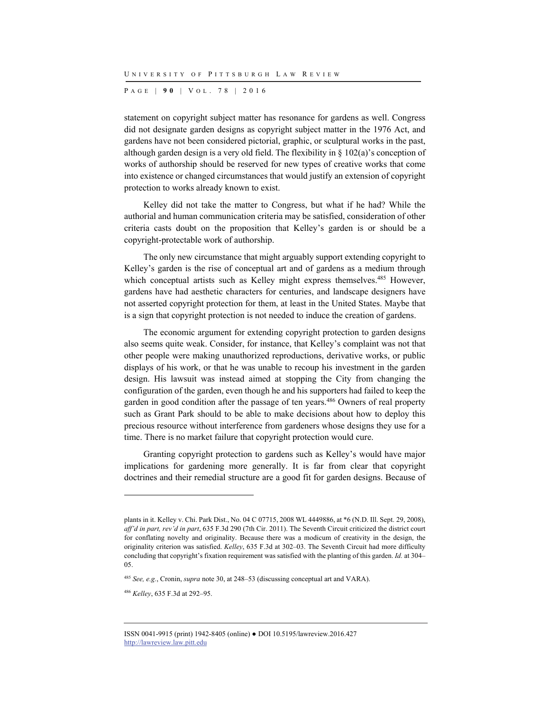P AGE | **9 0** | V O L . 7 8 | 2016

statement on copyright subject matter has resonance for gardens as well. Congress did not designate garden designs as copyright subject matter in the 1976 Act, and gardens have not been considered pictorial, graphic, or sculptural works in the past, although garden design is a very old field. The flexibility in § 102(a)'s conception of works of authorship should be reserved for new types of creative works that come into existence or changed circumstances that would justify an extension of copyright protection to works already known to exist.

Kelley did not take the matter to Congress, but what if he had? While the authorial and human communication criteria may be satisfied, consideration of other criteria casts doubt on the proposition that Kelley's garden is or should be a copyright-protectable work of authorship.

The only new circumstance that might arguably support extending copyright to Kelley's garden is the rise of conceptual art and of gardens as a medium through which conceptual artists such as Kelley might express themselves.<sup>485</sup> However, gardens have had aesthetic characters for centuries, and landscape designers have not asserted copyright protection for them, at least in the United States. Maybe that is a sign that copyright protection is not needed to induce the creation of gardens.

The economic argument for extending copyright protection to garden designs also seems quite weak. Consider, for instance, that Kelley's complaint was not that other people were making unauthorized reproductions, derivative works, or public displays of his work, or that he was unable to recoup his investment in the garden design. His lawsuit was instead aimed at stopping the City from changing the configuration of the garden, even though he and his supporters had failed to keep the garden in good condition after the passage of ten years.486 Owners of real property such as Grant Park should to be able to make decisions about how to deploy this precious resource without interference from gardeners whose designs they use for a time. There is no market failure that copyright protection would cure.

Granting copyright protection to gardens such as Kelley's would have major implications for gardening more generally. It is far from clear that copyright doctrines and their remedial structure are a good fit for garden designs. Because of

l

plants in it. Kelley v. Chi. Park Dist., No. 04 C 07715, 2008 WL 4449886, at \*6 (N.D. Ill. Sept. 29, 2008), *aff'd in part, rev'd in part*, 635 F.3d 290 (7th Cir. 2011). The Seventh Circuit criticized the district court for conflating novelty and originality. Because there was a modicum of creativity in the design, the originality criterion was satisfied. *Kelley*, 635 F.3d at 302–03. The Seventh Circuit had more difficulty concluding that copyright's fixation requirement was satisfied with the planting of this garden. *Id.* at 304– 05.

<sup>485</sup> *See, e.g.*, Cronin, *supra* note 30, at 248–53 (discussing conceptual art and VARA).

<sup>486</sup> *Kelley*, 635 F.3d at 292–95.

ISSN 0041-9915 (print) 1942-8405 (online) ● DOI 10.5195/lawreview.2016.427 http://lawreview.law.pitt.edu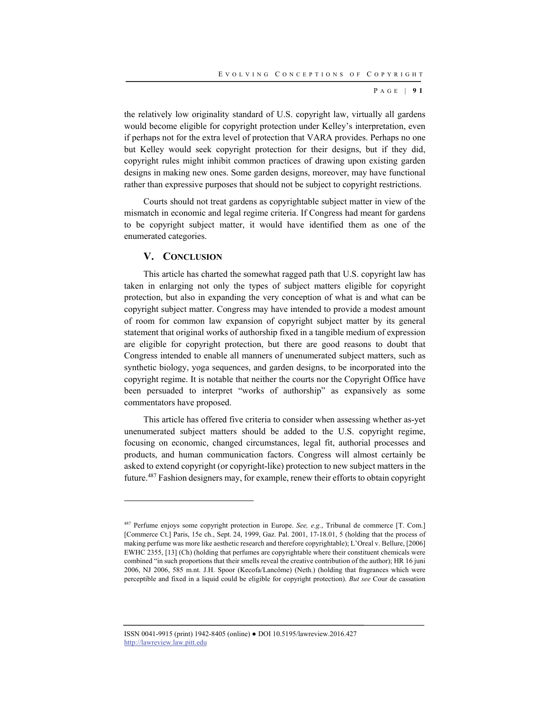P AGE | **9 1**

the relatively low originality standard of U.S. copyright law, virtually all gardens would become eligible for copyright protection under Kelley's interpretation, even if perhaps not for the extra level of protection that VARA provides. Perhaps no one but Kelley would seek copyright protection for their designs, but if they did, copyright rules might inhibit common practices of drawing upon existing garden designs in making new ones. Some garden designs, moreover, may have functional rather than expressive purposes that should not be subject to copyright restrictions.

Courts should not treat gardens as copyrightable subject matter in view of the mismatch in economic and legal regime criteria. If Congress had meant for gardens to be copyright subject matter, it would have identified them as one of the enumerated categories.

## **V. CONCLUSION**

l

This article has charted the somewhat ragged path that U.S. copyright law has taken in enlarging not only the types of subject matters eligible for copyright protection, but also in expanding the very conception of what is and what can be copyright subject matter. Congress may have intended to provide a modest amount of room for common law expansion of copyright subject matter by its general statement that original works of authorship fixed in a tangible medium of expression are eligible for copyright protection, but there are good reasons to doubt that Congress intended to enable all manners of unenumerated subject matters, such as synthetic biology, yoga sequences, and garden designs, to be incorporated into the copyright regime. It is notable that neither the courts nor the Copyright Office have been persuaded to interpret "works of authorship" as expansively as some commentators have proposed.

This article has offered five criteria to consider when assessing whether as-yet unenumerated subject matters should be added to the U.S. copyright regime, focusing on economic, changed circumstances, legal fit, authorial processes and products, and human communication factors. Congress will almost certainly be asked to extend copyright (or copyright-like) protection to new subject matters in the future.487 Fashion designers may, for example, renew their efforts to obtain copyright

ISSN 0041-9915 (print) 1942-8405 (online) ● DOI 10.5195/lawreview.2016.427 http://lawreview.law.pitt.edu

<sup>487</sup> Perfume enjoys some copyright protection in Europe. *See, e.g.*, Tribunal de commerce [T. Com.] [Commerce Ct.] Paris, 15e ch., Sept. 24, 1999, Gaz. Pal. 2001, 17-18.01, 5 (holding that the process of making perfume was more like aesthetic research and therefore copyrightable); L'Oreal v. Bellure, [2006] EWHC 2355, [13] (Ch) (holding that perfumes are copyrightable where their constituent chemicals were combined "in such proportions that their smells reveal the creative contribution of the author); HR 16 juni 2006, NJ 2006, 585 m.nt. J.H. Spoor (Kecofa/Lancôme) (Neth.) (holding that fragrances which were perceptible and fixed in a liquid could be eligible for copyright protection). *But see* Cour de cassation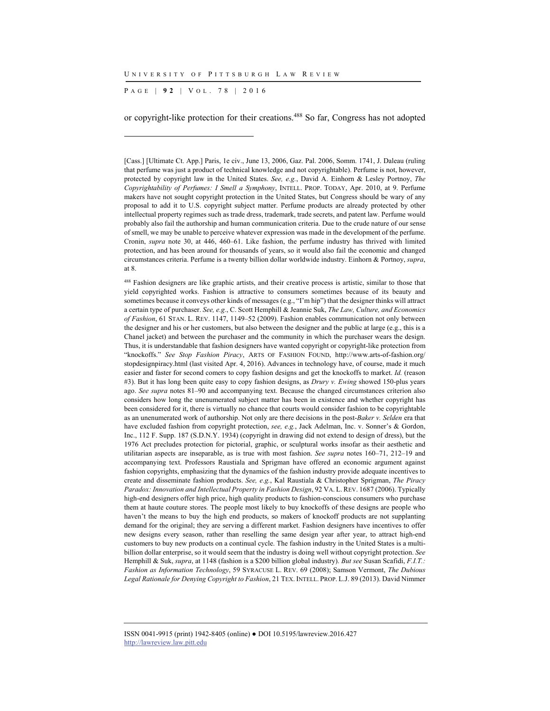P AGE | **9 2** | V O L . 7 8 | 2016

l

or copyright-like protection for their creations.488 So far, Congress has not adopted

488 Fashion designers are like graphic artists, and their creative process is artistic, similar to those that yield copyrighted works. Fashion is attractive to consumers sometimes because of its beauty and sometimes because it conveys other kinds of messages (e.g., "I'm hip") that the designer thinks will attract a certain type of purchaser. *See, e.g.*, C. Scott Hemphill & Jeannie Suk, *The Law, Culture, and Economics of Fashion*, 61 STAN. L. REV. 1147, 1149–52 (2009). Fashion enables communication not only between the designer and his or her customers, but also between the designer and the public at large (e.g., this is a Chanel jacket) and between the purchaser and the community in which the purchaser wears the design. Thus, it is understandable that fashion designers have wanted copyright or copyright-like protection from "knockoffs." *See Stop Fashion Piracy*, ARTS OF FASHION FOUND, http://www.arts-of-fashion.org/ stopdesignpiracy.html (last visited Apr. 4, 2016). Advances in technology have, of course, made it much easier and faster for second comers to copy fashion designs and get the knockoffs to market. *Id.* (reason #3). But it has long been quite easy to copy fashion designs, as *Drury v. Ewing* showed 150-plus years ago. *See supra* notes 81–90 and accompanying text. Because the changed circumstances criterion also considers how long the unenumerated subject matter has been in existence and whether copyright has been considered for it, there is virtually no chance that courts would consider fashion to be copyrightable as an unenumerated work of authorship. Not only are there decisions in the post-*Baker v. Selden* era that have excluded fashion from copyright protection, *see, e.g.*, Jack Adelman, Inc. v. Sonner's & Gordon, Inc., 112 F. Supp. 187 (S.D.N.Y. 1934) (copyright in drawing did not extend to design of dress), but the 1976 Act precludes protection for pictorial, graphic, or sculptural works insofar as their aesthetic and utilitarian aspects are inseparable, as is true with most fashion. *See supra* notes 160–71, 212–19 and accompanying text. Professors Raustiala and Sprigman have offered an economic argument against fashion copyrights, emphasizing that the dynamics of the fashion industry provide adequate incentives to create and disseminate fashion products. *See, e.g.*, Kal Raustiala & Christopher Sprigman, *The Piracy Paradox: Innovation and Intellectual Property in Fashion Design*, 92 VA. L. REV. 1687 (2006). Typically high-end designers offer high price, high quality products to fashion-conscious consumers who purchase them at haute couture stores. The people most likely to buy knockoffs of these designs are people who haven't the means to buy the high end products, so makers of knockoff products are not supplanting demand for the original; they are serving a different market. Fashion designers have incentives to offer new designs every season, rather than reselling the same design year after year, to attract high-end customers to buy new products on a continual cycle. The fashion industry in the United States is a multibillion dollar enterprise, so it would seem that the industry is doing well without copyright protection. *See* Hemphill & Suk, *supra*, at 1148 (fashion is a \$200 billion global industry). *But see* Susan Scafidi, *F.I.T.: Fashion as Information Technology*, 59 SYRACUSE L. REV. 69 (2008); Samson Vermont, *The Dubious Legal Rationale for Denying Copyright to Fashion*, 21 TEX. INTELL. PROP. L.J. 89 (2013). David Nimmer

<sup>[</sup>Cass.] [Ultimate Ct. App.] Paris, 1e civ., June 13, 2006, Gaz. Pal. 2006, Somm. 1741, J. Daleau (ruling that perfume was just a product of technical knowledge and not copyrightable). Perfume is not, however, protected by copyright law in the United States. *See, e.g.*, David A. Einhorn & Lesley Portnoy, *The Copyrightability of Perfumes: I Smell a Symphony*, INTELL. PROP. TODAY, Apr. 2010, at 9. Perfume makers have not sought copyright protection in the United States, but Congress should be wary of any proposal to add it to U.S. copyright subject matter. Perfume products are already protected by other intellectual property regimes such as trade dress, trademark, trade secrets, and patent law. Perfume would probably also fail the authorship and human communication criteria. Due to the crude nature of our sense of smell, we may be unable to perceive whatever expression was made in the development of the perfume. Cronin, *supra* note 30, at 446, 460–61. Like fashion, the perfume industry has thrived with limited protection, and has been around for thousands of years, so it would also fail the economic and changed circumstances criteria. Perfume is a twenty billion dollar worldwide industry. Einhorn & Portnoy, *supra*, at 8.

ISSN 0041-9915 (print) 1942-8405 (online) ● DOI 10.5195/lawreview.2016.427 http://lawreview.law.pitt.edu